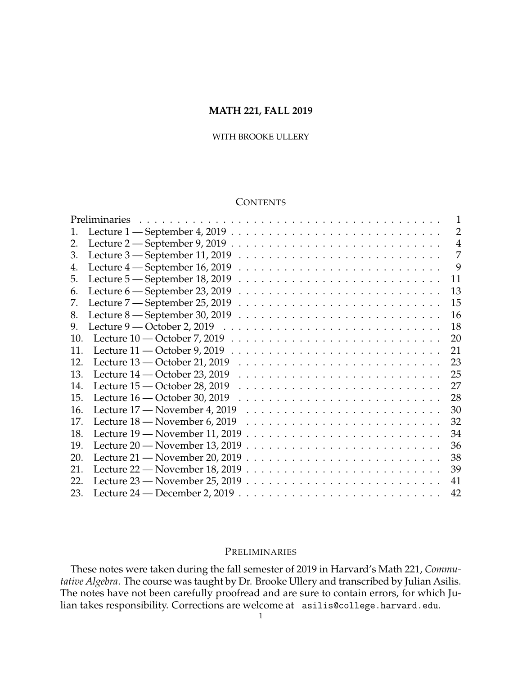### **MATH 221, FALL 2019**

# WITH BROOKE ULLERY

# **CONTENTS**

|     | Preliminaries                                                                                                     |    |                |
|-----|-------------------------------------------------------------------------------------------------------------------|----|----------------|
| 1.  | Lecture 1 - September 4, 2019                                                                                     |    | 2              |
| 2.  | Lecture 2 – September 9, 2019                                                                                     |    | $\overline{4}$ |
| 3.  | Lecture 3 - September 11, 2019                                                                                    |    | 7              |
| 4.  | Lecture $4$ — September 16, 2019                                                                                  |    | 9              |
| 5.  | Lecture 5 – September 18, 2019                                                                                    | 11 |                |
| 6.  | Lecture 6 - September 23, 2019                                                                                    | 13 |                |
| 7.  | Lecture 7 - September 25, 2019                                                                                    | 15 |                |
| 8.  | Lecture $8$ — September 30, 2019                                                                                  | 16 |                |
| 9.  | Lecture $9$ — October 2, 2019                                                                                     | 18 |                |
| 10. | Lecture $10$ — October 7, 2019                                                                                    | 20 |                |
| 11. | Lecture $11$ — October 9, 2019                                                                                    | 21 |                |
| 12. | Lecture $13$ — October 21, 2019                                                                                   | 23 |                |
| 13. | Lecture $14$ — October 23, 2019                                                                                   | 25 |                |
| 14. | Lecture $15$ — October 28, 2019                                                                                   | 27 |                |
| 15. | Lecture $16$ — October 30, 2019                                                                                   | 28 |                |
| 16. | Lecture 17 – November 4, 2019                                                                                     | 30 |                |
| 17. | Lecture 18 – November 6, 2019                                                                                     | 32 |                |
| 18. | Lecture 19 - November 11, 2019                                                                                    | 34 |                |
| 19. | Lecture 20 – November 13, 2019                                                                                    | 36 |                |
| 20. | Lecture 21 – November 20, 2019                                                                                    | 38 |                |
| 21. | Lecture $22$ — November 18, 2019 $\ldots$ $\ldots$ $\ldots$ $\ldots$ $\ldots$ $\ldots$ $\ldots$ $\ldots$ $\ldots$ | 39 |                |
| 22. |                                                                                                                   | 41 |                |
| 23. |                                                                                                                   | 42 |                |

### <span id="page-0-0"></span>PRELIMINARIES

These notes were taken during the fall semester of 2019 in Harvard's Math 221, *Commutative Algebra*. The course was taught by Dr. Brooke Ullery and transcribed by Julian Asilis. The notes have not been carefully proofread and are sure to contain errors, for which Julian takes responsibility. Corrections are welcome at asilis@college.harvard.edu.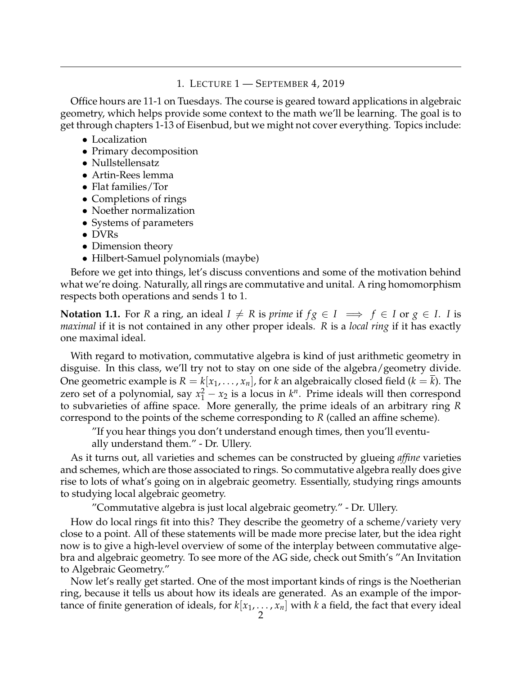# 1. LECTURE 1 — SEPTEMBER 4, 2019

<span id="page-1-0"></span>Office hours are 11-1 on Tuesdays. The course is geared toward applications in algebraic geometry, which helps provide some context to the math we'll be learning. The goal is to get through chapters 1-13 of Eisenbud, but we might not cover everything. Topics include:

- Localization
- Primary decomposition
- Nullstellensatz
- Artin-Rees lemma
- Flat families/Tor
- Completions of rings
- Noether normalization
- Systems of parameters
- DVRs
- Dimension theory
- Hilbert-Samuel polynomials (maybe)

Before we get into things, let's discuss conventions and some of the motivation behind what we're doing. Naturally, all rings are commutative and unital. A ring homomorphism respects both operations and sends 1 to 1.

**Notation 1.1.** For *R* a ring, an ideal  $I \neq R$  is *prime* if  $fg \in I \implies f \in I$  or  $g \in I$ . *I* is *maximal* if it is not contained in any other proper ideals. *R* is a *local ring* if it has exactly one maximal ideal.

With regard to motivation, commutative algebra is kind of just arithmetic geometry in disguise. In this class, we'll try not to stay on one side of the algebra/geometry divide. One geometric example is  $R = k[x_1, \ldots, x_n]$ , for *k* an algebraically closed field ( $k = k$ ). The zero set of a polynomial, say  $x_1^2 - x_2$  is a locus in  $k^n$ . Prime ideals will then correspond to subvarieties of affine space. More generally, the prime ideals of an arbitrary ring *R* correspond to the points of the scheme corresponding to *R* (called an affine scheme).

"If you hear things you don't understand enough times, then you'll eventually understand them." - Dr. Ullery.

As it turns out, all varieties and schemes can be constructed by glueing *affine* varieties and schemes, which are those associated to rings. So commutative algebra really does give rise to lots of what's going on in algebraic geometry. Essentially, studying rings amounts to studying local algebraic geometry.

"Commutative algebra is just local algebraic geometry." - Dr. Ullery.

How do local rings fit into this? They describe the geometry of a scheme/variety very close to a point. All of these statements will be made more precise later, but the idea right now is to give a high-level overview of some of the interplay between commutative algebra and algebraic geometry. To see more of the AG side, check out Smith's "An Invitation to Algebraic Geometry."

Now let's really get started. One of the most important kinds of rings is the Noetherian ring, because it tells us about how its ideals are generated. As an example of the importance of finite generation of ideals, for  $k[x_1, \ldots, x_n]$  with  $k$  a field, the fact that every ideal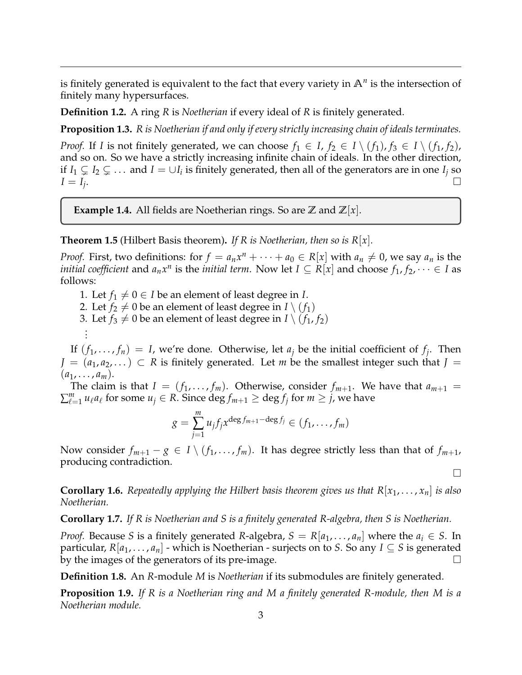is finitely generated is equivalent to the fact that every variety in **A***<sup>n</sup>* is the intersection of finitely many hypersurfaces.

**Definition 1.2.** A ring *R* is *Noetherian* if every ideal of *R* is finitely generated.

**Proposition 1.3.** *R is Noetherian if and only if every strictly increasing chain of ideals terminates.*

*Proof.* If *I* is not finitely generated, we can choose  $f_1 \in I$ ,  $f_2 \in I \setminus (f_1)$ ,  $f_3 \in I \setminus (f_1, f_2)$ , and so on. So we have a strictly increasing infinite chain of ideals. In the other direction, if  $I_1 \subsetneq I_2 \subsetneq \ldots$  and  $I = \cup I_i$  is finitely generated, then all of the generators are in one  $I_j$  so  $I = I_i$ . .

**Example 1.4.** All fields are Noetherian rings. So are  $\mathbb{Z}$  and  $\mathbb{Z}[x]$ .

**Theorem 1.5** (Hilbert Basis theorem). If R is Noetherian, then so is  $R[x]$ .

*Proof.* First, two definitions: for  $f = a_n x^n + \cdots + a_0 \in R[x]$  with  $a_n \neq 0$ , we say  $a_n$  is the *initial coefficient* and  $a_nx^n$  is the *initial term*. Now let  $I \subseteq R[x]$  and choose  $f_1, f_2, \dots \in I$  as follows:

1. Let  $f_1 \neq 0 \in I$  be an element of least degree in *I*.

2. Let  $f_2 \neq 0$  be an element of least degree in  $I \setminus (f_1)$ 

. .

3. Let *f*<sub>3</sub>  $\neq$  0 be an element of least degree in *I* \ (*f*<sub>1</sub>, *f*<sub>2</sub>) .

If  $(f_1, \ldots, f_n) = I$ , we're done. Otherwise, let  $a_j$  be the initial coefficient of  $f_j$ . Then *J* =  $(a_1, a_2, ...)$  ⊂ *R* is finitely generated. Let *m* be the smallest integer such that *J* =  $(a_1, \ldots, a_m).$ 

The claim is that  $I = (f_1, \ldots, f_m)$ . Otherwise, consider  $f_{m+1}$ . We have that  $a_{m+1}$  $\sum_{\ell=1}^m u_\ell a_\ell$  for some  $u_j \in R.$  Since  $\deg f_{m+1} \geq \deg f_j$  for  $m \geq j$ , we have

$$
g = \sum_{j=1}^m u_j f_j x^{\deg f_{m+1} - \deg f_j} \in (f_1, \ldots, f_m)
$$

Now consider  $f_{m+1} - g \in I \setminus (f_1, \ldots, f_m)$ . It has degree strictly less than that of  $f_{m+1}$ , producing contradiction.

 $\Box$ 

**Corollary 1.6.** *Repeatedly applying the Hilbert basis theorem gives us that*  $R[x_1, \ldots, x_n]$  *is also Noetherian.*

**Corollary 1.7.** *If R is Noetherian and S is a finitely generated R-algebra, then S is Noetherian.*

*Proof.* Because *S* is a finitely generated *R*-algebra,  $S = R[a_1, \ldots, a_n]$  where the  $a_i \in S$ . In particular,  $R[a_1, \ldots, a_n]$  - which is Noetherian - surjects on to *S*. So any  $I \subseteq S$  is generated by the images of the generators of its pre-image.  $\Box$ 

**Definition 1.8.** An *R*-module *M* is *Noetherian* if its submodules are finitely generated.

**Proposition 1.9.** *If R is a Noetherian ring and M a finitely generated R-module, then M is a Noetherian module.*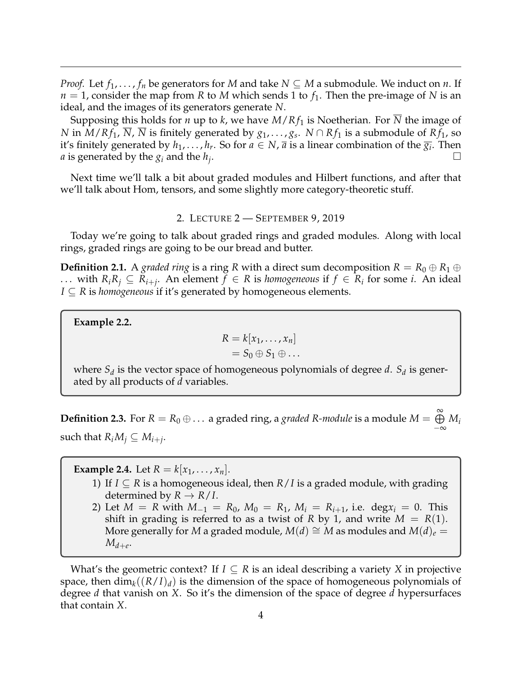*Proof.* Let  $f_1, \ldots, f_n$  be generators for *M* and take  $N \subseteq M$  a submodule. We induct on *n*. If  $n = 1$ , consider the map from *R* to *M* which sends 1 to  $f_1$ . Then the pre-image of *N* is an ideal, and the images of its generators generate *N*.

Supposing this holds for *n* up to *k*, we have  $M/Rf_1$  is Noetherian. For  $\overline{N}$  the image of *N* in  $M/Rf_1$ ,  $\overline{N}$ ,  $\overline{N}$  is finitely generated by  $g_1, \ldots, g_s$ .  $N \cap Rf_1$  is a submodule of  $Rf_1$ , so it's finitely generated by  $h_1, \ldots, h_r$ . So for  $a \in N$ ,  $\overline{a}$  is a linear combination of the  $\overline{g_i}$ . Then *a* is generated by the  $g_i$  and the  $h_j$ . .

Next time we'll talk a bit about graded modules and Hilbert functions, and after that we'll talk about Hom, tensors, and some slightly more category-theoretic stuff.

#### 2. LECTURE 2 — SEPTEMBER 9, 2019

<span id="page-3-0"></span>Today we're going to talk about graded rings and graded modules. Along with local rings, graded rings are going to be our bread and butter.

**Definition 2.1.** A *graded ring* is a ring *R* with a direct sum decomposition  $R = R_0 \oplus R_1 \oplus$ ... with  $R_iR_j ⊆ R_{i+j}$ . An element  $f ∈ R$  is *homogeneous* if  $f ∈ R_i$  for some *i*. An ideal *I* ⊆ *R* is *homogeneous* if it's generated by homogeneous elements.

**Example 2.2.**

$$
R = k[x_1, \ldots, x_n]
$$
  
=  $S_0 \oplus S_1 \oplus \ldots$ 

where *S<sup>d</sup>* is the vector space of homogeneous polynomials of degree *d*. *S<sup>d</sup>* is generated by all products of *d* variables.

**Definition 2.3.** For  $R = R_0 \oplus ...$  a graded ring, a *graded R-module* is a module  $M = \bigoplus^{\infty}$ −∞ *M<sup>i</sup>* such that  $R_iM_j \subseteq M_{i+j}$ .

**Example 2.4.** Let  $R = k|x_1, ..., x_n|$ .

- 1) If  $I \subseteq R$  is a homogeneous ideal, then  $R/I$  is a graded module, with grading determined by  $R \to R/I$ .
- 2) Let  $M = R$  with  $M_{-1} = R_0$ ,  $M_0 = R_1$ ,  $M_i = R_{i+1}$ , i.e. deg $x_i = 0$ . This shift in grading is referred to as a twist of *R* by 1, and write  $M = R(1)$ . More generally for *M* a graded module,  $M(d) \cong M$  as modules and  $M(d)_e$  =  $M_{d+e}$ .

What's the geometric context? If  $I \subseteq R$  is an ideal describing a variety X in projective space, then  $\dim_k((R/I)_d)$  is the dimension of the space of homogeneous polynomials of degree *d* that vanish on *X*. So it's the dimension of the space of degree *d* hypersurfaces that contain *X*.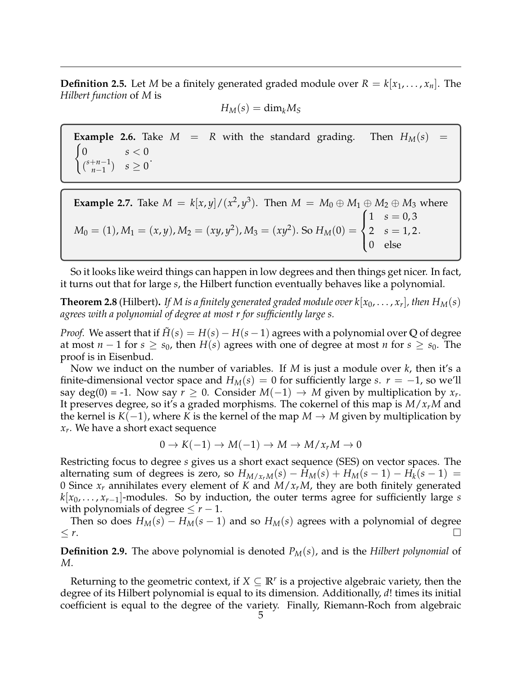**Definition 2.5.** Let *M* be a finitely generated graded module over  $R = k[x_1, \ldots, x_n]$ . The *Hilbert function* of *M* is

$$
H_M(s) = \mathrm{dim}_k M_S
$$

**Example 2.6.** Take  $M = R$  with the standard grading. Then  $H_M(s)$  =  $\theta$  $s < 0$  $\binom{s+n-1}{n-1}$ *n*−1 )  $s \geq 0$ 

**Example 2.7.** Take 
$$
M = k[x, y]/(x^2, y^3)
$$
. Then  $M = M_0 \oplus M_1 \oplus M_2 \oplus M_3$  where  $M_0 = (1), M_1 = (x, y), M_2 = (xy, y^2), M_3 = (xy^2)$ . So  $H_M(0) = \begin{cases} 1 & s = 0, 3 \\ 2 & s = 1, 2 \\ 0 & \text{else} \end{cases}$ 

So it looks like weird things can happen in low degrees and then things get nicer. In fact, it turns out that for large *s*, the Hilbert function eventually behaves like a polynomial.

**Theorem 2.8** (Hilbert). If M is a finitely generated graded module over k[x $_0, \ldots, x_r$ ], then  $H_M(s)$ *agrees with a polynomial of degree at most r for sufficiently large s.*

*Proof.* We assert that if  $\tilde{H}(s) = H(s) - H(s-1)$  agrees with a polynomial over Q of degree at most  $n-1$  for  $s \geq s_0$ , then  $H(s)$  agrees with one of degree at most *n* for  $s \geq s_0$ . The proof is in Eisenbud.

Now we induct on the number of variables. If *M* is just a module over *k*, then it's a finite-dimensional vector space and  $H_M(s) = 0$  for sufficiently large *s*.  $r = -1$ , so we'll say deg(0) = -1. Now say  $r \ge 0$ . Consider  $M(-1) \to M$  given by multiplication by  $x_r$ . It preserves degree, so it's a graded morphisms. The cokernel of this map is *M*/*xrM* and the kernel is  $K(-1)$ , where *K* is the kernel of the map *M* → *M* given by multiplication by *xr* . We have a short exact sequence

$$
0 \to K(-1) \to M(-1) \to M \to M/x_rM \to 0
$$

Restricting focus to degree *s* gives us a short exact sequence (SES) on vector spaces. The alternating sum of degrees is zero, so  $H_{M/x_rM}(s) - H_M(s) + H_M(s-1) - H_k(s-1) =$ 0 Since *x<sup>r</sup>* annihilates every element of *K* and *M*/*xrM*, they are both finitely generated *k*[*x*0, . . . , *xr*−1]-modules. So by induction, the outer terms agree for sufficiently large *s* with polynomials of degree  $\leq r-1$ .

Then so does  $H_M(s) - H_M(s - 1)$  and so  $H_M(s)$  agrees with a polynomial of degree  $\leq r$ .

**Definition 2.9.** The above polynomial is denoted *PM*(*s*), and is the *Hilbert polynomial* of *M*.

Returning to the geometric context, if  $X \subseteq \mathbb{R}^r$  is a projective algebraic variety, then the degree of its Hilbert polynomial is equal to its dimension. Additionally, *d*! times its initial coefficient is equal to the degree of the variety. Finally, Riemann-Roch from algebraic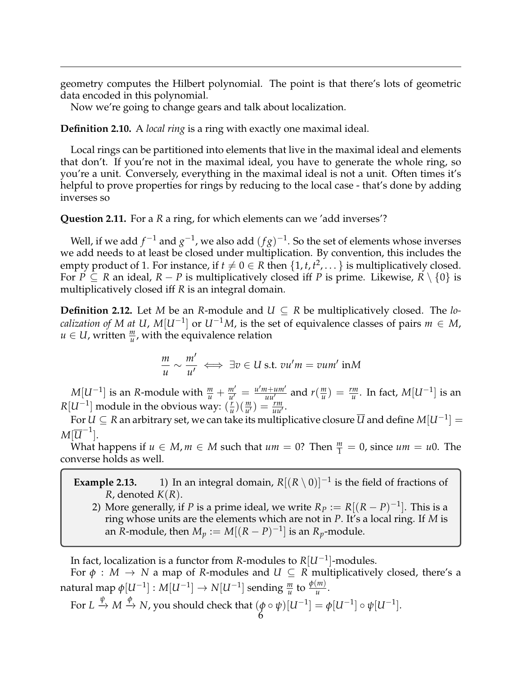geometry computes the Hilbert polynomial. The point is that there's lots of geometric data encoded in this polynomial.

Now we're going to change gears and talk about localization.

**Definition 2.10.** A *local ring* is a ring with exactly one maximal ideal.

Local rings can be partitioned into elements that live in the maximal ideal and elements that don't. If you're not in the maximal ideal, you have to generate the whole ring, so you're a unit. Conversely, everything in the maximal ideal is not a unit. Often times it's helpful to prove properties for rings by reducing to the local case - that's done by adding inverses so

**Question 2.11.** For a *R* a ring, for which elements can we 'add inverses'?

Well, if we add  $f^{-1}$  and  $g^{-1}$ , we also add  $(fg)^{-1}$ . So the set of elements whose inverses we add needs to at least be closed under multiplication. By convention, this includes the empty product of 1. For instance, if  $t \neq 0 \in R$  then  $\{1, t, t^2, \dots\}$  is multiplicatively closed. For *P* ⊆ *R* an ideal, *R* − *P* is multiplicatively closed iff *P* is prime. Likewise,  $R \setminus \{0\}$  is multiplicatively closed iff *R* is an integral domain.

**Definition 2.12.** Let *M* be an *R*-module and  $U \subseteq R$  be multiplicatively closed. The *localization of M at U, M*[ $U^{-1}$ ] or  $U^{-1}M$ , is the set of equivalence classes of pairs  $m \in M$ ,  $u \in U$ , written  $\frac{m}{u}$ , with the equivalence relation

$$
\frac{m}{u} \sim \frac{m'}{u'} \iff \exists v \in U \text{ s.t. } vu'm = vum' \text{ in } M
$$

 $M[U^{-1}]$  is an *R*-module with  $\frac{m}{u} + \frac{m'}{u'} = \frac{u'm+um'}{uu'}$  and  $r(\frac{m}{u})$  $\frac{dm}{u}$ ) =  $\frac{rm}{u}$ . In fact, *M*[*U*<sup>-1</sup>] is an  $R[U^{-1}]$  module in the obvious way:  $(\frac{r}{n})$  $\frac{r}{u}$  $\left(\frac{m}{u'}\right) = \frac{rm}{uu'}$ .

For  $U\subseteq R$  an arbitrary set, we can take its multiplicative closure  $\overline{U}$  and define  $M[U^{-1}]=0$  $M[\overline{U}^{-1}].$ 

What happens if  $u \in M$ ,  $m \in M$  such that  $um = 0$ ? Then  $\frac{m}{1} = 0$ , since  $um = u0$ . The converse holds as well.

**Example 2.13.** 1) In an integral domain,  $R[(R \setminus 0)]^{-1}$  is the field of fractions of *R*, denoted *K*(*R*).

2) More generally, if *P* is a prime ideal, we write  $R_P := R[(R - P)^{-1}]$ . This is a ring whose units are the elements which are not in *P*. It's a local ring. If *M* is an *R*-module, then  $M_p := M[(R - P)^{-1}]$  is an  $R_p$ -module.

In fact, localization is a functor from *R*-modules to *R*[*U*−<sup>1</sup> ]-modules.

For  $\phi : M \to N$  a map of *R*-modules and  $U \subseteq R$  multiplicatively closed, there's a  ${\rm \,m}$  natural  ${\rm \,m}$ ap  $\phi[U^{-1}] : M[U^{-1}] \to N[U^{-1}]$  sending  $\frac{m}{u}$  to  $\frac{\phi(m)}{u}.$ 

For 
$$
L \xrightarrow{\psi} M \xrightarrow{\phi} N
$$
, you should check that  $(\phi \circ \psi)[U^{-1}] = \phi[U^{-1}] \circ \psi[U^{-1}]$ .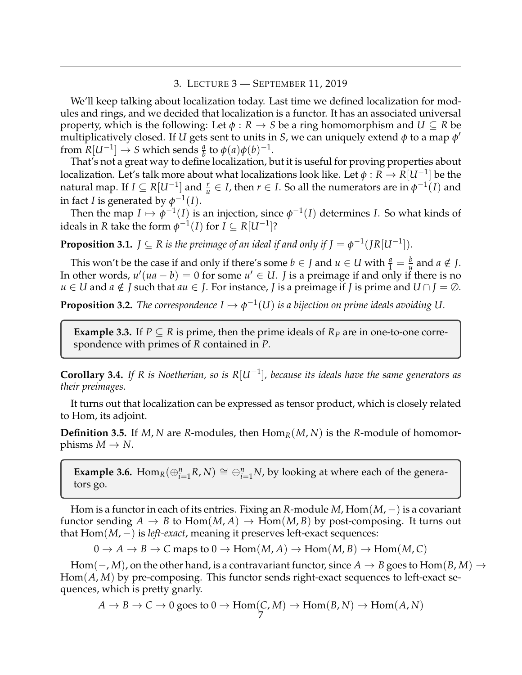#### 3. LECTURE 3 — SEPTEMBER 11, 2019

<span id="page-6-0"></span>We'll keep talking about localization today. Last time we defined localization for modules and rings, and we decided that localization is a functor. It has an associated universal property, which is the following: Let  $\phi : R \to S$  be a ring homomorphism and  $U \subseteq R$  be multiplicatively closed. If  $U$  gets sent to units in *S*, we can uniquely extend  $\phi$  to a map  $\phi'$ from  $R[U^{-1}] \rightarrow S$  which sends  $\frac{a}{b}$  to  $\phi(a)\phi(b)^{-1}$ .

That's not a great way to define localization, but it is useful for proving properties about localization. Let's talk more about what localizations look like. Let *φ* : *R* → *R*[*U*−<sup>1</sup> ] be the natural map. If  $I \subseteq R[U^{-1}]$  and  $\frac{r}{u} \in I$ , then  $r \in I$ . So all the numerators are in  $\phi^{-1}(I)$  and in fact *I* is generated by  $\phi^{-1}(I)$ .

Then the map  $I \mapsto \phi^{-1}(I)$  is an injection, since  $\phi^{-1}(I)$  determines *I*. So what kinds of ideals in *R* take the form  $\phi^{-1}(I)$  for  $I \subseteq R[U^{-1}]$ ?

**Proposition 3.1.**  $J \subseteq R$  is the preimage of an ideal if and only if  $J = \phi^{-1}(JR[U^{-1}])$ .

This won't be the case if and only if there's some  $b \in J$  and  $u \in U$  with  $\frac{a}{1} = \frac{b}{u}$  and  $a \notin J$ . In other words,  $u'(ua - b) = 0$  for some  $u' \in U$ . *J* is a preimage if and only if there is no *u* ∈ *U* and *a* ∉ *J* such that *au* ∈ *J*. For instance, *J* is a preimage if *J* is prime and *U* ∩ *J* = ∅.

**Proposition 3.2.** *The correspondence*  $I \mapsto \phi^{-1}(U)$  *is a bijection on prime ideals avoiding U.* 

**Example 3.3.** If  $P \subseteq R$  is prime, then the prime ideals of  $R_P$  are in one-to-one correspondence with primes of *R* contained in *P*.

**Corollary 3.4.** *If R is Noetherian, so is R*[*U*−<sup>1</sup> ]*, because its ideals have the same generators as their preimages.*

It turns out that localization can be expressed as tensor product, which is closely related to Hom, its adjoint.

**Definition 3.5.** If *M*, *N* are *R*-modules, then  $Hom_R(M, N)$  is the *R*-module of homomorphisms  $M \to N$ .

**Example 3.6.** Hom<sub>*R*</sub>( $\bigoplus_{i=1}^{n}$ *R*, *N*)  $\cong$   $\bigoplus_{i=1}^{n}$ *N*, by looking at where each of the generators go.

Hom is a functor in each of its entries. Fixing an *R*-module *M*, Hom(*M*, −) is a covariant functor sending  $A \to B$  to  $\text{Hom}(M, A) \to \text{Hom}(M, B)$  by post-composing. It turns out that Hom(*M*, −) is *left-exact*, meaning it preserves left-exact sequences:

 $0 \to A \to B \to C$  maps to  $0 \to \text{Hom}(M, A) \to \text{Hom}(M, B) \to \text{Hom}(M, C)$ 

Hom( $\mathcal{-}$ , *M*), on the other hand, is a contravariant functor, since  $A \to B$  goes to Hom( $B$ , *M*)  $\to$ Hom(*A*, *M*) by pre-composing. This functor sends right-exact sequences to left-exact sequences, which is pretty gnarly.

$$
A \to B \to C \to 0
$$
 goes to  $0 \to \text{Hom}(C, M) \to \text{Hom}(B, N) \to \text{Hom}(A, N)$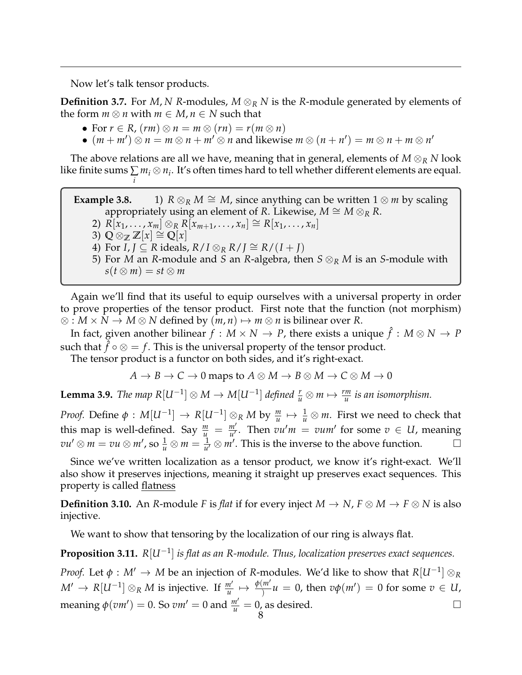Now let's talk tensor products.

**Definition 3.7.** For *M*, *N R*-modules, *M* ⊗*<sup>R</sup> N* is the *R*-module generated by elements of the form  $m \otimes n$  with  $m \in M$ ,  $n \in N$  such that

- For  $r \in R$ ,  $(rm) \otimes n = m \otimes (rn) = r(m \otimes n)$
- $(m + m')$   $\otimes$   $n = m \otimes n + m' \otimes n$  and likewise  $m \otimes (n + n') = m \otimes n + m \otimes n'$

The above relations are all we have, meaning that in general, elements of  $M \otimes_R N$  look like finite sums  $\sum m_i\otimes n_i$ . It's often times hard to tell whether different elements are equal. *i*

**Example 3.8.** 1)  $R \otimes_R M \cong M$ , since anything can be written  $1 \otimes m$  by scaling appropriately using an element of *R*. Likewise,  $M \cong M \otimes_R R$ . 2)  $R[x_1, ..., x_m] \otimes_R R[x_{m+1}, ..., x_n] \cong R[x_1, ..., x_n]$ 3)  $Q \otimes_{\mathbb{Z}} \mathbb{Z}[x] \cong Q[x]$ 4) For  $I, J \subseteq R$  ideals,  $R/I \otimes_R R/J \cong R/(I+J)$ 5) For *M* an *R*-module and *S* an *R*-algebra, then *S* ⊗*<sup>R</sup> M* is an *S*-module with  $s(t \otimes m) = st \otimes m$ 

Again we'll find that its useful to equip ourselves with a universal property in order to prove properties of the tensor product. First note that the function (not morphism) ⊗ : *M* × *N* → *M* ⊗ *N* defined by  $(m, n) \mapsto m \otimes n$  is bilinear over *R*.

In fact, given another bilinear  $f : M \times N \to P$ , there exists a unique  $\hat{f} : M \otimes N \to P$ such that  $\hat{f} \circ \otimes = f$ . This is the universal property of the tensor product.

The tensor product is a functor on both sides, and it's right-exact.

$$
A \to B \to C \to 0
$$
 maps to  $A \otimes M \to B \otimes M \to C \otimes M \to 0$ 

**Lemma 3.9.** *The map*  $R[U^{-1}] \otimes M \to M[U^{-1}]$  *defined*  $\frac{r}{u} \otimes m \mapsto \frac{rm}{u}$  *is an isomorphism.* 

*Proof.* Define  $\phi: M[U^{-1}]\to R[U^{-1}]\otimes_R M$  by  $\frac{m}{u}\mapsto \frac{1}{u}\otimes m$ . First we need to check that this map is well-defined. Say  $\frac{m}{u} = \frac{m'}{u'}$ . Then  $vu'm = vum'$  for some  $v \in U$ , meaning  $vu' \otimes m = vu \otimes m'$ , so  $\frac{1}{u} \otimes m = \frac{1}{u'} \otimes m'$ . This is the inverse to the above function.

Since we've written localization as a tensor product, we know it's right-exact. We'll also show it preserves injections, meaning it straight up preserves exact sequences. This property is called flatness

**Definition 3.10.** An *R*-module *F* is *flat* if for every inject  $M \to N$ ,  $F \otimes M \to F \otimes N$  is also injective.

We want to show that tensoring by the localization of our ring is always flat.

**Proposition 3.11.** *R*[*U*−<sup>1</sup> ] *is flat as an R-module. Thus, localization preserves exact sequences.*

*Proof.* Let  $\phi : M' \to M$  be an injection of *R*-modules. We'd like to show that  $R[U^{-1}]\otimes_R R$  $M' \to R[U^{-1}] \otimes_R M$  is injective. If  $\frac{m'}{u} \mapsto \frac{\phi(m')}{\ } u = 0$ , then  $v\phi(m') = 0$  for some  $v \in U$ , meaning  $\phi(vm') = 0$ . So  $vm' = 0$  and  $\frac{m'}{u} = 0$ , as desired.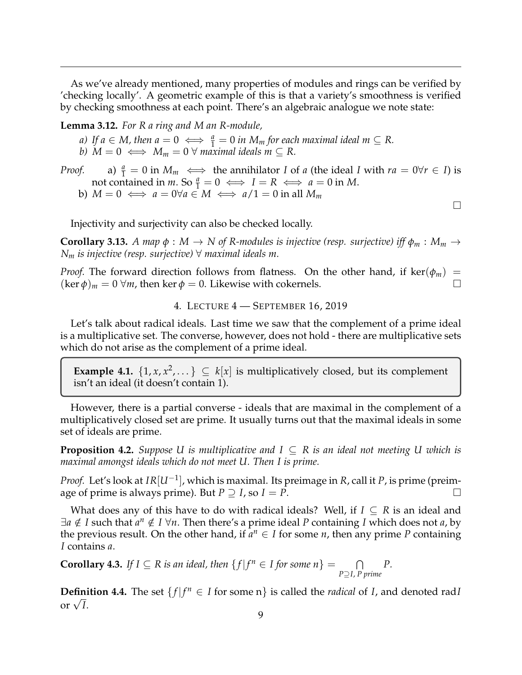As we've already mentioned, many properties of modules and rings can be verified by 'checking locally'. A geometric example of this is that a variety's smoothness is verified by checking smoothness at each point. There's an algebraic analogue we note state:

**Lemma 3.12.** *For R a ring and M an R-module,*

a) If 
$$
a \in M
$$
, then  $a = 0 \iff \frac{a}{1} = 0$  in  $M_m$  for each maximal ideal  $m \subseteq R$ .

*b*) *M* = 0  $\Longleftrightarrow$  *M*<sub>*m*</sub> = 0  $\forall$  *maximal ideals m*  $\subseteq$  *R*.

*Proof.* a)  $\frac{a}{1} = 0$  in  $M_m \iff$  the annihilator *I* of *a* (the ideal *I* with  $ra = 0 \forall r \in I$ ) is

not contained in *m*. So  $\frac{a}{1} = 0 \iff I = R \iff a = 0$  in *M*.

b)  $M = 0 \iff a = 0 \forall a \in M \iff a/1 = 0$  in all  $M_m$ 

Injectivity and surjectivity can also be checked locally.

**Corollary 3.13.** A map  $\phi : M \to N$  of R-modules is injective (resp. surjective) iff  $\phi_m : M_m \to$ *N<sup>m</sup> is injective (resp. surjective)* ∀ *maximal ideals m.*

*Proof.* The forward direction follows from flatness. On the other hand, if ker( $\phi_m$ ) =  $(\ker \phi)_m = 0 \ \forall m$ , then ker  $\phi = 0$ . Likewise with cokernels.

4. LECTURE 4 — SEPTEMBER 16, 2019

<span id="page-8-0"></span>Let's talk about radical ideals. Last time we saw that the complement of a prime ideal is a multiplicative set. The converse, however, does not hold - there are multiplicative sets which do not arise as the complement of a prime ideal.

**Example 4.1.**  $\{1, x, x^2, \dots\} \subseteq k[x]$  is multiplicatively closed, but its complement isn't an ideal (it doesn't contain 1).

However, there is a partial converse - ideals that are maximal in the complement of a multiplicatively closed set are prime. It usually turns out that the maximal ideals in some set of ideals are prime.

**Proposition 4.2.** *Suppose U is multiplicative and I* ⊆ *R is an ideal not meeting U which is maximal amongst ideals which do not meet U. Then I is prime.*

*Proof.* Let's look at *IR*[*U*−<sup>1</sup> ], which is maximal. Its preimage in *R*, call it *P*, is prime (preimage of prime is always prime). But  $P \supseteq I$ , so  $I = P$ .

What does any of this have to do with radical ideals? Well, if  $I \subseteq R$  is an ideal and ∃*a* ∉ *I* such that  $a^n$  ∉ *I* ∀*n*. Then there's a prime ideal *P* containing *I* which does not *a*, by the previous result. On the other hand, if  $a^n \in I$  for some *n*, then any prime *P* containing *I* contains *a*.

**Corollary 4.3.** *If I* ⊆ *R is an ideal, then*  $\{f | f^n \in I \text{ for some } n\} = \cap$ *P*⊇*I*, *P prime P.*

**Definition 4.4.** The set  $\{f | f^n \in I \text{ for some } n\}$  is called the *radical* of *I*, and denoted rad*I* **Defini**<br>or  $\sqrt{I}$ .

 $\Box$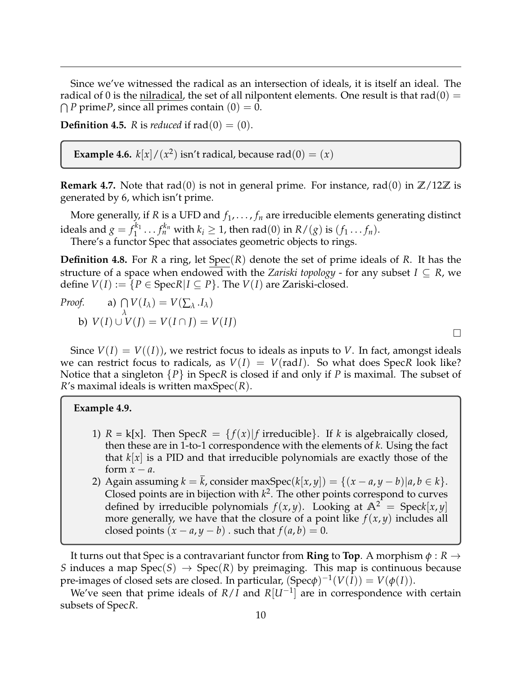Since we've witnessed the radical as an intersection of ideals, it is itself an ideal. The radical of 0 is the nilradical, the set of all nilpontent elements. One result is that rad(0) =  $\bigcap P$  prime*P*, since all primes contain  $(0) = 0$ .

**Definition 4.5.** *R* is *reduced* if  $rad(0) = (0)$ .

**Example 4.6.**  $k[x]/(x^2)$  isn't radical, because rad $(0) = (x)$ 

**Remark 4.7.** Note that rad(0) is not in general prime. For instance, rad(0) in  $\mathbb{Z}/12\mathbb{Z}$  is generated by 6, which isn't prime.

More generally, if *R* is a UFD and  $f_1, \ldots, f_n$  are irreducible elements generating distinct ideals and  $g = f_1^{k_1}$  $f_1^{k_1} \ldots f_n^{k_n}$  with  $k_i \geq 1$ , then rad(0) in  $R/(g)$  is  $(f_1 \ldots f_n)$ . There's a functor Spec that associates geometric objects to rings.

**Definition 4.8.** For *R* a ring, let Spec(*R*) denote the set of prime ideals of *R*. It has the structure of a space when endowed with the *Zariski topology* - for any subset  $I \subseteq R$ , we define  $V(I) := \{ P \in \text{Spec } R | I \subseteq P \}$ . The  $V(I)$  are Zariski-closed.

*Proof.* a) 
$$
\bigcap_{\lambda} V(I_{\lambda}) = V(\sum_{\lambda} I_{\lambda})
$$
  
b)  $V(I) \cup V(J) = V(I \cap J) = V(IJ)$ 

Since  $V(I) = V(I)$ , we restrict focus to ideals as inputs to *V*. In fact, amongst ideals we can restrict focus to radicals, as  $V(I) = V(\text{rad}I)$ . So what does Spec*R* look like? Notice that a singleton {*P*} in Spec*R* is closed if and only if *P* is maximal. The subset of *R*'s maximal ideals is written maxSpec(*R*).

 $\Box$ 

### **Example 4.9.**

- 1)  $R = k[x]$ . Then  $Spec R = {f(x)|f \text{ irreducible}}$ . If *k* is algebraically closed, then these are in 1-to-1 correspondence with the elements of *k*. Using the fact that *k*[*x*] is a PID and that irreducible polynomials are exactly those of the form  $x - a$ .
- 2) Again assuming  $k = \overline{k}$ , consider maxSpec( $k[x, y]$ ) = { $(x a, y b) | a, b \in k$  }. Closed points are in bijection with  $k^2$ . The other points correspond to curves defined by irreducible polynomials  $f(x, y)$ . Looking at  $\mathbb{A}^2 = \text{Spec}k[x, y]$ more generally, we have that the closure of a point like  $f(x, y)$  includes all closed points  $(x - a, y - b)$  . such that  $f(a, b) = 0$ .

It turns out that Spec is a contravariant functor from **Ring** to **Top**. A morphism *φ* : *R* → *S* induces a map  $Spec(S) \rightarrow Spec(R)$  by preimaging. This map is continuous because pre-images of closed sets are closed. In particular,  $(\text{Spec}\phi)^{-1}(V(\overline{I}))=V(\phi(I)).$ 

We've seen that prime ideals of  $R/I$  and  $R[U^{-1}]$  are in correspondence with certain subsets of Spec*R*.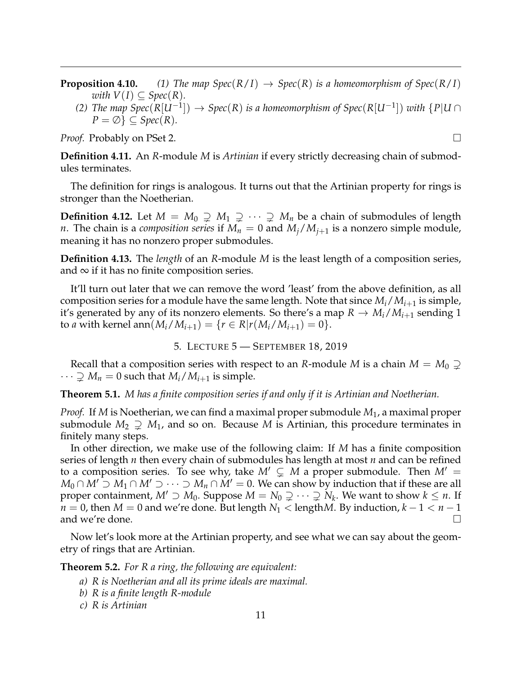**Proposition 4.10.** *(1) The map Spec*( $R/I$ )  $\rightarrow$  *Spec*( $R$ ) *is a homeomorphism of Spec*( $R/I$ ) *with*  $V(I) \subseteq Spec(R)$ *.* 

*(2) The map Spec*( $R[U^{-1}]$ ) → *Spec*( $R$ ) *is a homeomorphism of Spec*( $R[U^{-1}]$ ) *with* { $P|U \cap$  $P = \emptyset$   $\subseteq$  *Spec*(*R*).

*Proof.* Probably on PSet 2. □

**Definition 4.11.** An *R*-module *M* is *Artinian* if every strictly decreasing chain of submodules terminates.

The definition for rings is analogous. It turns out that the Artinian property for rings is stronger than the Noetherian.

**Definition 4.12.** Let  $M = M_0 \supsetneq M_1 \supsetneq \cdots \supsetneq M_n$  be a chain of submodules of length *n*. The chain is a *composition series* if  $M_n = 0$  and  $M_j/M_{j+1}$  is a nonzero simple module, meaning it has no nonzero proper submodules.

**Definition 4.13.** The *length* of an *R*-module *M* is the least length of a composition series, and  $\infty$  if it has no finite composition series.

It'll turn out later that we can remove the word 'least' from the above definition, as all composition series for a module have the same length. Note that since *Mi*/*Mi*+<sup>1</sup> is simple, it's generated by any of its nonzero elements. So there's a map  $R \to M_i/M_{i+1}$  sending 1 to *a* with kernel ann $(M_i/M_{i+1}) = \{r \in R | r(M_i/M_{i+1}) = 0\}.$ 

5. LECTURE 5 — SEPTEMBER 18, 2019

<span id="page-10-0"></span>Recall that a composition series with respect to an *R*-module *M* is a chain  $M = M_0 \supsetneq$  $\cdots \supsetneq M_n = 0$  such that  $M_i/M_{i+1}$  is simple.

**Theorem 5.1.** *M has a finite composition series if and only if it is Artinian and Noetherian.*

*Proof.* If *M* is Noetherian, we can find a maximal proper submodule *M*1, a maximal proper submodule  $M_2 \supsetneq M_1$ , and so on. Because M is Artinian, this procedure terminates in finitely many steps.

In other direction, we make use of the following claim: If *M* has a finite composition series of length *n* then every chain of submodules has length at most *n* and can be refined to a composition series. To see why, take  $M' \subsetneq M$  a proper submodule. Then  $M' =$ *M*<sub>0</sub> ∩ *M'* ⊃ *M*<sub>1</sub> ∩ *M'* ⊃  $\cdots$  ⊃ *M<sub>n</sub>* ∩ *M'* = 0. We can show by induction that if these are all proper containment,  $M' \supset M_0$ . Suppose  $M = N_0 \supsetneq \cdots \supsetneq N_k$ . We want to show  $k \leq n$ . If *n* = 0, then *M* = 0 and we're done. But length *N*<sub>1</sub> < length*M*. By induction, *k* − 1 < *n* − 1 and we're done. and we're done.

Now let's look more at the Artinian property, and see what we can say about the geometry of rings that are Artinian.

**Theorem 5.2.** *For R a ring, the following are equivalent:*

- *a) R is Noetherian and all its prime ideals are maximal.*
- *b) R is a finite length R-module*

*c) R is Artinian*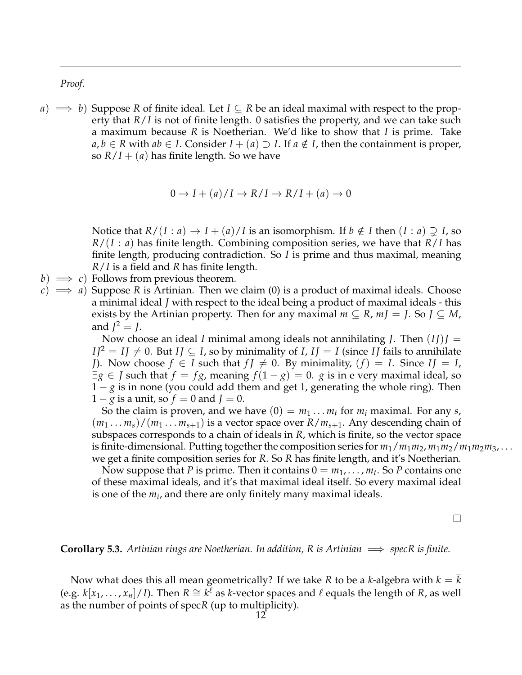*Proof.*

 $a) \implies b$ ) Suppose R of finite ideal. Let  $I \subseteq R$  be an ideal maximal with respect to the property that *R*/*I* is not of finite length. 0 satisfies the property, and we can take such a maximum because *R* is Noetherian. We'd like to show that *I* is prime. Take *a*, *b* ∈ *R* with *ab* ∈ *I*. Consider *I* + (*a*) ⊃ *I*. If *a* ∉ *I*, then the containment is proper, so  $R/I + (a)$  has finite length. So we have

$$
0 \to I + (a)/I \to R/I \to R/I + (a) \to 0
$$

Notice that  $R/(I : a) \to I + (a)/I$  is an isomorphism. If  $b \notin I$  then  $(I : a) \supsetneq I$ , so *R*/(*I* : *a*) has finite length. Combining composition series, we have that *R*/*I* has finite length, producing contradiction. So *I* is prime and thus maximal, meaning *R*/*I* is a field and *R* has finite length.

- *b*)  $\implies$  *c*) Follows from previous theorem.
- $(c) \implies a$ ) Suppose *R* is Artinian. Then we claim (0) is a product of maximal ideals. Choose a minimal ideal *J* with respect to the ideal being a product of maximal ideals - this exists by the Artinian property. Then for any maximal  $m \subseteq R$ ,  $mJ = J$ . So  $J \subseteq M$ , and  $J^2 = J$ .

Now choose an ideal *I* minimal among ideals not annihilating *J*. Then  $(IJ)J =$  $I/I^2 = IJ \neq 0$ . But  $I J \subseteq I$ , so by minimality of *I*,  $I J = I$  (since *II* fails to annihilate *J*). Now choose  $f \in I$  such that  $f \neq 0$ . By minimality,  $(f) = I$ . Since  $I \neq I$ ,  $\exists g \in J$  such that  $f = fg$ , meaning  $f(1-g) = 0$ . *g* is in e very maximal ideal, so 1 − *g* is in none (you could add them and get 1, generating the whole ring). Then  $1 - g$  is a unit, so  $f = 0$  and  $J = 0$ .

So the claim is proven, and we have  $(0) = m_1 \dots m_t$  for  $m_i$  maximal. For any *s*,  $(m_1 \ldots m_s)/(m_1 \ldots m_{s+1})$  is a vector space over  $R/m_{s+1}$ . Any descending chain of subspaces corresponds to a chain of ideals in *R*, which is finite, so the vector space is finite-dimensional. Putting together the composition series for  $m_1/m_1m_2$ ,  $m_1m_2/m_1m_2m_3$ , ... we get a finite composition series for *R*. So *R* has finite length, and it's Noetherian.

Now suppose that *P* is prime. Then it contains  $0 = m_1, \ldots, m_t$ . So *P* contains one of these maximal ideals, and it's that maximal ideal itself. So every maximal ideal is one of the *m<sup>i</sup>* , and there are only finitely many maximal ideals.

 $\Box$ 

**Corollary 5.3.** *Artinian rings are Noetherian. In addition, R is Artinian*  $\implies$  *specR is finite.* 

Now what does this all mean geometrically? If we take *R* to be a *k*-algebra with  $k = k$ (e.g. *k*[*x*<sub>1</sub>, . . . , *x*<sub>*n*</sub>]/*I*). Then *R* ≅ *k*<sup> $ℓ$ </sup> as *k*-vector spaces and  $ℓ$  equals the length of *R*, as well as the number of points of spec*R* (up to multiplicity).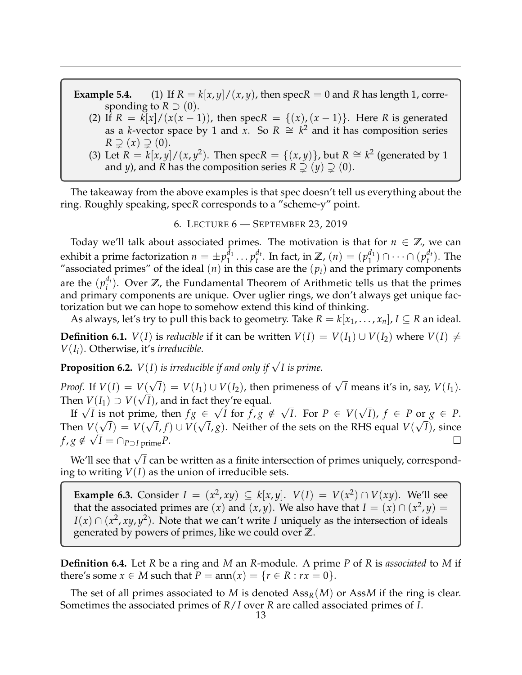**Example 5.4.** (1) If  $R = k[x, y]/(x, y)$ , then spec $R = 0$  and  $R$  has length 1, corresponding to  $R \supset (0)$ .

- (2) If  $R = k[x]/(x(x-1))$ , then spec $R = \{(x), (x-1)\}$ . Here  $R$  is generated as a *k*-vector space by 1 and *x*. So  $R \cong k^2$  and it has composition series  $R \supsetneq (x) \supsetneq (0).$
- (3) Let  $R = k[x, y]/(x, y^2)$ . Then spec $R = \{(x, y)\}\$ , but  $R \cong k^2$  (generated by 1) and *y*), and *R* has the composition series  $R \supsetneq (y) \supsetneq (0)$ .

The takeaway from the above examples is that spec doesn't tell us everything about the ring. Roughly speaking, spec*R* corresponds to a "scheme-y" point.

### 6. LECTURE 6 — SEPTEMBER 23, 2019

<span id="page-12-0"></span>Today we'll talk about associated primes. The motivation is that for  $n \in \mathbb{Z}$ , we can exhibit a prime factorization  $n=\pm p_1^{d_1}$  $i_1^{d_1} \ldots p_t^{d_t}$  $t^{d_t}$ . In fact, in Z,  $(n) = (p_1^{d_1})$  $\binom{d_1}{1} \cap \cdots \cap (p_t^{d_t}$  $_t^{a_t}$ ). The "associated primes" of the ideal  $(n)$  in this case are the  $(p_i)$  and the primary components are the  $(p_i^{d_i})$  $\mathbf{z}^{a_i}$ ). Over  $\mathbb{Z}$ , the Fundamental Theorem of Arithmetic tells us that the primes and primary components are unique. Over uglier rings, we don't always get unique factorization but we can hope to somehow extend this kind of thinking.

As always, let's try to pull this back to geometry. Take  $R = k[x_1, \ldots, x_n]$ ,  $I \subseteq R$  an ideal.

**Definition 6.1.** *V*(*I*) is *reducible* if it can be written  $V(I) = V(I_1) \cup V(I_2)$  where  $V(I) \neq$ *V*(*Ii*). Otherwise, it's *irreducible*.

**Proposition 6.2.**  $V(I)$  *is irreducible if and only if*  $\sqrt{I}$  *is prime.* 

*Proof.* If *V*(*I*) = *V*(  $V(\sqrt{I}) = V(I_1) \cup V(I_2)$ , then primeness of  $\sqrt{I}$  means it's in, say,  $V(I_1)$ . Then  $V(I_1) \supset V(\sqrt{I})$ , and in fact they're equal. √ √

 $V(T_1) \supset V(V_1)$ , and in fact they re equal.<br>If  $\sqrt{I}$  is not prime, then  $fg \in \sqrt{I}$  for  $f, g \notin I$ *I*. For *P* ∈ *V*( *I*),  $f \in P$  or  $g \in P$ .<br>  $\sqrt{P}$  or  $f, g \notin \sqrt{P}$ . For  $P \in V(\sqrt{P})$ ,  $f \in P$  or  $g \in P$ . Then  $V(\sqrt{I}) = V(\sqrt{I}, f) \cup V(\sqrt{I}, g)$ . Neither of the sets on the RHS equal  $V(\sqrt{I})$ , since  $f, g \notin \sqrt{I} = \bigcap_{P \supset I}$  prime  $P$ .

We'll see that <sup>√</sup> *I* can be written as a finite intersection of primes uniquely, corresponding to writing *V*(*I*) as the union of irreducible sets.

**Example 6.3.** Consider  $I = (x^2, xy) \subseteq k[x, y]$ .  $V(I) = V(x^2) \cap V(xy)$ . We'll see that the associated primes are  $(x)$  and  $(x, y)$ . We also have that  $I = (x) \cap (x^2, y) =$ *I*(*x*) ∩ (*x*<sup>2</sup>, *xy*, *y*<sup>2</sup>). Note that we can't write *I* uniquely as the intersection of ideals generated by powers of primes, like we could over **Z**.

**Definition 6.4.** Let *R* be a ring and *M* an *R*-module. A prime *P* of *R* is *associated* to *M* if there's some  $x \in M$  such that  $P = \text{ann}(x) = \{r \in R : rx = 0\}.$ 

The set of all primes associated to *M* is denoted Ass*R*(*M*) or Ass*M* if the ring is clear. Sometimes the associated primes of *R*/*I* over *R* are called associated primes of *I*.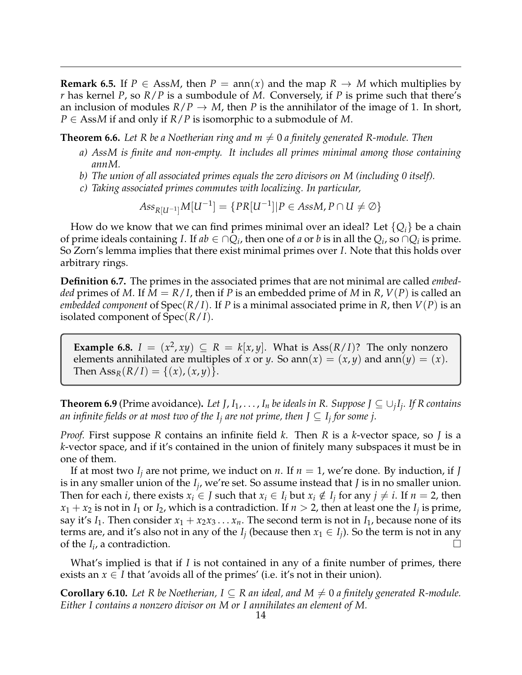**Remark 6.5.** If  $P \in$  AssM, then  $P = \text{ann}(x)$  and the map  $R \rightarrow M$  which multiplies by *r* has kernel *P*, so *R*/*P* is a sumbodule of *M*. Conversely, if *P* is prime such that there's an inclusion of modules  $R/P \rightarrow M$ , then P is the annihilator of the image of 1. In short, *P* ∈ Ass*M* if and only if *R*/*P* is isomorphic to a submodule of *M*.

**Theorem 6.6.** Let R be a Noetherian ring and  $m \neq 0$  a finitely generated R-module. Then

- *a) AssM is finite and non-empty. It includes all primes minimal among those containing annM.*
- *b) The union of all associated primes equals the zero divisors on M (including 0 itself).*
- *c) Taking associated primes commutes with localizing. In particular,*

$$
Ass_{R[U^{-1}]}M[U^{-1}] = \{PR[U^{-1}]| P \in AssM, P \cap U \neq \emptyset\}
$$

How do we know that we can find primes minimal over an ideal? Let  $\{Q_i\}$  be a chain of prime ideals containing *I*. If  $ab \in \bigcap Q_i$ , then one of *a* or *b* is in all the  $Q_i$ , so  $\bigcap Q_i$  is prime. So Zorn's lemma implies that there exist minimal primes over *I*. Note that this holds over arbitrary rings.

**Definition 6.7.** The primes in the associated primes that are not minimal are called *embedded* primes of *M*. If  $M = R/I$ , then if *P* is an embedded prime of *M* in *R*, *V(P)* is called an *embedded component* of Spec(*R*/*I*). If *P* is a minimal associated prime in *R*, then *V*(*P*) is an isolated component of Spec(*R*/*I*).

**Example 6.8.**  $I = (x^2, xy) \subseteq R = k[x, y]$ . What is Ass( $R/I$ )? The only nonzero elements annihilated are multiples of *x* or *y*. So ann $(x) = (x, y)$  and ann $(y) = (x)$ . Then  $\text{Ass}_{R}(R/I) = \{(x), (x, y)\}.$ 

**Theorem 6.9** (Prime avoidance). Let J,  $I_1, \ldots, I_n$  be ideals in R. Suppose J  $\subseteq \cup_j I_j$ . If R contains *an infinite fields or at most two of the I<sup>j</sup> are not prime, then J* ⊆ *I<sup>j</sup> for some j.*

*Proof.* First suppose *R* contains an infinite field *k*. Then *R* is a *k*-vector space, so *J* is a *k*-vector space, and if it's contained in the union of finitely many subspaces it must be in one of them.

If at most two  $I_j$  are not prime, we induct on *n*. If  $n = 1$ , we're done. By induction, if *J* is in any smaller union of the *I<sup>j</sup>* , we're set. So assume instead that *J* is in no smaller union. Then for each *i*, there exists  $x_i \in J$  such that  $x_i \in I_i$  but  $x_i \notin I_j$  for any  $j \neq i$ . If  $n = 2$ , then  $x_1 + x_2$  is not in  $I_1$  or  $I_2$ , which is a contradiction. If  $n > 2$ , then at least one the  $I_j$  is prime, say it's  $I_1$ . Then consider  $x_1 + x_2x_3 \ldots x_n$ . The second term is not in  $I_1$ , because none of its terms are, and it's also not in any of the  $I_j$  (because then  $x_1 \in I_j$ ). So the term is not in any of the  $I_i$ , a contradiction.

What's implied is that if *I* is not contained in any of a finite number of primes, there exists an  $x \in I$  that 'avoids all of the primes' (i.e. it's not in their union).

**Corollary 6.10.** Let R be Noetherian,  $I \subseteq R$  an ideal, and  $M \neq 0$  a finitely generated R-module. *Either I contains a nonzero divisor on M or I annihilates an element of M.*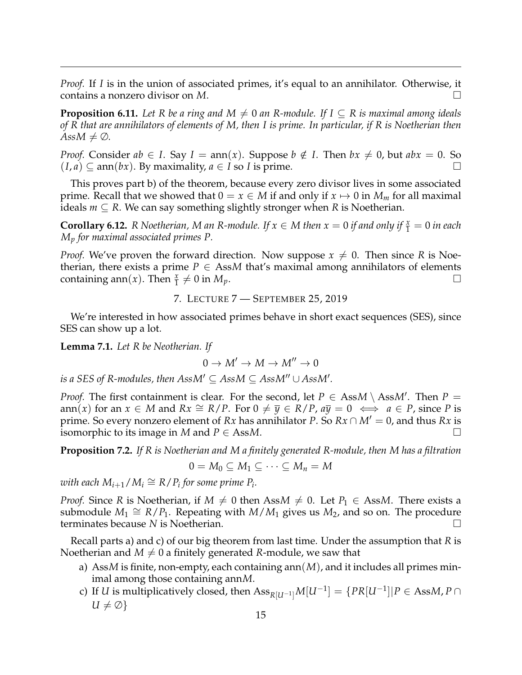*Proof.* If *I* is in the union of associated primes, it's equal to an annihilator. Otherwise, it contains a nonzero divisor on *M*.

**Proposition 6.11.** Let R be a ring and  $M \neq 0$  an R-module. If  $I \subseteq R$  is maximal among ideals *of R that are annihilators of elements of M, then I is prime. In particular, if R is Noetherian then*  $AssM \neq \emptyset$ *.* 

*Proof.* Consider  $ab \in I$ . Say  $I = \text{ann}(x)$ . Suppose  $b \notin I$ . Then  $bx \neq 0$ , but  $abx = 0$ . So  $(I, a) \subseteq \text{ann}(bx)$ . By maximality,  $a \in I$  so *I* is prime.

This proves part b) of the theorem, because every zero divisor lives in some associated prime. Recall that we showed that  $0 = x \in M$  if and only if  $x \mapsto 0$  in  $M_m$  for all maximal ideals  $m \subseteq R$ . We can say something slightly stronger when *R* is Noetherian.

**Corollary 6.12.** *R Noetherian, M an R-module. If*  $x \in M$  *then*  $x = 0$  *if and only if*  $\frac{x}{1} = 0$  *in each M<sup>p</sup> for maximal associated primes P.*

*Proof.* We've proven the forward direction. Now suppose  $x \neq 0$ . Then since R is Noetherian, there exists a prime  $P \in AssM$  that's maximal among annihilators of elements containing ann(*x*). Then  $\frac{x}{1} \neq 0$  in  $M_p$ .

7. LECTURE 7 — SEPTEMBER 25, 2019

<span id="page-14-0"></span>We're interested in how associated primes behave in short exact sequences (SES), since SES can show up a lot.

**Lemma 7.1.** *Let R be Neotherian. If*

$$
0\to M'\to M\to M''\to 0
$$

 $i$ s a SES of R-modules, then  $AssM' \subseteq AssM \subseteq AssM'' \cup AssM'.$ 

*Proof.* The first containment is clear. For the second, let  $P \in AssM \setminus AssM'$ . Then  $P =$ ann(*x*) for an *x* ∈ *M* and *Rx*  $\cong$  *R*/*P*. For 0  $\neq$   $\overline{y}$  ∈ *R*/*P*,  $a\overline{y}$  = 0  $\iff$  *a* ∈ *P*, since *P* is prime. So every nonzero element of *Rx* has annihilator *P*. So  $Rx \cap M' = 0$ , and thus *Rx* is isomorphic to its image in *M* and *P* ∈ Ass*M*.

**Proposition 7.2.** *If R is Noetherian and M a finitely generated R-module, then M has a filtration*

$$
0=M_0\subseteq M_1\subseteq\cdots\subseteq M_n=M
$$

 $\omega$ *ith each*  $M_{i+1}/M_i \cong R/P_i$  for some prime  $P_i$ .

*Proof.* Since *R* is Noetherian, if  $M \neq 0$  then Ass $M \neq 0$ . Let  $P_1 \in$  AssM. There exists a submodule  $M_1 \cong R/P_1$ . Repeating with  $M/M_1$  gives us  $M_2$ , and so on. The procedure terminates because *N* is Noetherian.

Recall parts a) and c) of our big theorem from last time. Under the assumption that *R* is Noetherian and  $M \neq 0$  a finitely generated *R*-module, we saw that

- a) Ass*M* is finite, non-empty, each containing ann(*M*), and it includes all primes minimal among those containing ann*M*.
- c) If *U* is multiplicatively closed, then  $\mathrm{Ass}_{R[U^{-1}]}M[U^{-1}]=\{PR[U^{-1}]|P\in \mathrm{AssM}, P\cap \mathbb{R}\}$  $U \neq \emptyset$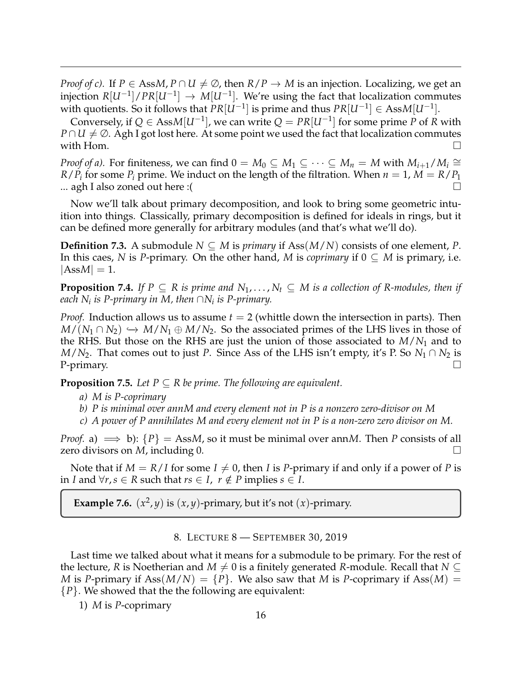*Proof of c).* If  $P \in AssM$ ,  $P \cap U \neq \emptyset$ , then  $R/P \rightarrow M$  is an injection. Localizing, we get an injection  $R[U^{-1}] / PR[U^{-1}] \rightarrow M[U^{-1}]$ . We're using the fact that localization commutes with quotients. So it follows that  $PR[U^{-1}]$  is prime and thus  $PR[U^{-1}] \in AssM[U^{-1}]$ .

Conversely, if  $Q \in AssM[U^{-1}]$ , we can write  $Q = PR[U^{-1}]$  for some prime P of R with *P* ∩ *U*  $\neq$  ∅. Agh I got lost here. At some point we used the fact that localization commutes with Hom.  $\Box$ 

*Proof of a).* For finiteness, we can find  $0 = M_0 \subseteq M_1 \subseteq \cdots \subseteq M_n = M$  with  $M_{i+1}/M_i \cong$ *R*/*P*<sub>*i*</sub> for some *P*<sub>*i*</sub> prime. We induct on the length of the filtration. When  $n = 1$ ,  $M = R/P_1$ ... agh I also zoned out here :( $\Box$ 

Now we'll talk about primary decomposition, and look to bring some geometric intuition into things. Classically, primary decomposition is defined for ideals in rings, but it can be defined more generally for arbitrary modules (and that's what we'll do).

**Definition 7.3.** A submodule  $N \subseteq M$  is *primary* if Ass $(M/N)$  consists of one element, *P*. In this caes, *N* is *P*-primary. On the other hand, *M* is *coprimary* if  $0 \subseteq M$  is primary, i.e.  $|AssM| = 1.$ 

**Proposition 7.4.** *If*  $P \subseteq R$  *is prime and*  $N_1, \ldots, N_t \subseteq M$  *is a collection of* R-modules, then *if each N<sup>i</sup> is P-primary in M, then* ∩*N<sup>i</sup> is P-primary.*

*Proof.* Induction allows us to assume *t* = 2 (whittle down the intersection in parts). Then  $M/(N_1 \cap N_2) \hookrightarrow M/N_1 \oplus M/N_2$ . So the associated primes of the LHS lives in those of the RHS. But those on the RHS are just the union of those associated to  $M/N_1$  and to *M*/*N*<sub>2</sub>. That comes out to just *P*. Since Ass of the LHS isn't empty, it's P. So *N*<sub>1</sub> ∩ *N*<sub>2</sub> is P-primary.  $\Box$ 

**Proposition 7.5.** Let  $P \subseteq R$  be prime. The following are equivalent.

- *a) M is P-coprimary*
- *b) P is minimal over annM and every element not in P is a nonzero zero-divisor on M*
- *c) A power of P annihilates M and every element not in P is a non-zero zero divisor on M.*

*Proof.* a)  $\implies$  b):  $\{P\}$  = AssM, so it must be minimal over annM. Then *P* consists of all zero divisors on *M*, including 0.

Note that if  $M = R/I$  for some  $I \neq 0$ , then *I* is *P*-primary if and only if a power of *P* is in *I* and ∀*r*, *s* ∈ *R* such that *rs* ∈ *I*, *r* ∉ *P* implies *s* ∈ *I*.

**Example 7.6.**  $(x^2, y)$  is  $(x, y)$ -primary, but it's not  $(x)$ -primary.

#### 8. LECTURE 8 — SEPTEMBER 30, 2019

<span id="page-15-0"></span>Last time we talked about what it means for a submodule to be primary. For the rest of the lecture, *R* is Noetherian and  $M \neq 0$  is a finitely generated *R*-module. Recall that  $N \subseteq$ *M* is *P*-primary if  $\text{Ass}(M/N) = \{P\}$ . We also saw that *M* is *P*-coprimary if  $\text{Ass}(M) =$ {*P*}. We showed that the the following are equivalent:

1) *M* is *P*-coprimary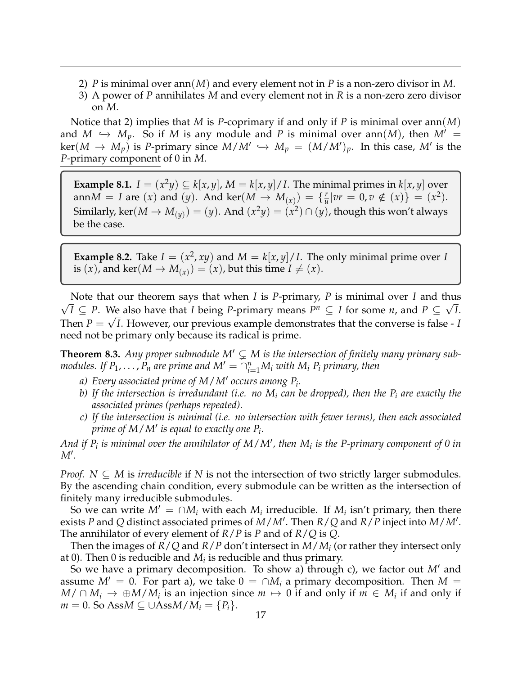- 2) *P* is minimal over ann(*M*) and every element not in *P* is a non-zero divisor in *M*.
- 3) A power of *P* annihilates *M* and every element not in *R* is a non-zero zero divisor on *M*.

Notice that 2) implies that *M* is *P*-coprimary if and only if *P* is minimal over ann(*M*) and  $M \hookrightarrow M_p$ . So if *M* is any module and *P* is minimal over ann(*M*), then  $M' =$  $\ker(M \to M_p)$  is *P*-primary since  $M/M' \hookrightarrow M_p = (M/M')_p$ . In this case, M' is the *P*-primary component of 0 in *M*.

**Example 8.1.**  $I = (x^2y) \subseteq k[x, y]$ ,  $M = k[x, y] / I$ . The minimal primes in  $k[x, y]$  over ann $M = I$  are  $(x)$  and  $(y)$ . And ker $(M \rightarrow M_{(x)}) = \{ \frac{r}{u} \}$  $\frac{r}{u}|vr = 0, v \notin (x)\} = (x^2).$ Similarly, ker $(M \to M_{(y)}) = (y)$ . And  $(x^2y) = (x^2) \cap (y)$ , though this won't always be the case.

**Example 8.2.** Take  $I = (x^2, xy)$  and  $M = k[x, y]/I$ . The only minimal prime over *I* is  $(x)$ , and ker $(M \to M_{(x)}) = (x)$ , but this time  $I \neq (x)$ .

Note that our theorem says that when *I* is *P*-primary, *P* is minimal over *I* and thus √ *I* ⊆ *P*. We also have that *I* being *P*-primary means  $P^n$  ⊆ *I* for some *n*, and  $P$  ⊆  $\sqrt{I}$ . Then  $P = \sqrt{I}$ . However, our previous example demonstrates that the converse is false -  $I$ need not be primary only because its radical is prime.

**Theorem 8.3.** Any proper submodule  $M' \subsetneq M$  is the intersection of finitely many primary sub*modules. If*  $P_1, \ldots, P_n$  *are prime and*  $M' = \bigcap_{i=1}^n M_i$  *with*  $M_i$   $P_i$  *primary, then* 

- *a*) Every associated prime of M / M' occurs among P<sub>i</sub>.
- *b) If the intersection is irredundant (i.e. no M<sup>i</sup> can be dropped), then the P<sup>i</sup> are exactly the associated primes (perhaps repeated).*
- *c) If the intersection is minimal (i.e. no intersection with fewer terms), then each associated prime of M* / M' *is equal to exactly one*  $P_i$ *.*

And if  $P_i$  is minimal over the annihilator of  $M/M'$ , then  $M_i$  is the P-primary component of 0 in  $M'.$ 

*Proof.*  $N \subseteq M$  is *irreducible* if *N* is not the intersection of two strictly larger submodules. By the ascending chain condition, every submodule can be written as the intersection of finitely many irreducible submodules.

So we can write  $M' = \cap M_i$  with each  $M_i$  irreducible. If  $M_i$  isn't primary, then there exists *P* and *Q* distinct associated primes of *M*/*M*<sup> $\prime$ </sup>. Then *R*/*Q* and *R*/*P* inject into *M*/*M*<sup> $\prime$ </sup>. The annihilator of every element of *R*/*P* is *P* and of *R*/*Q* is *Q*.

Then the images of *R*/*Q* and *R*/*P* don't intersect in *M*/*M<sup>i</sup>* (or rather they intersect only at 0). Then 0 is reducible and  $M_i$  is reducible and thus primary.

So we have a primary decomposition. To show a) through c), we factor out M' and assume  $M' = 0$ . For part a), we take  $0 = \bigcap M_i$  a primary decomposition. Then  $M =$ *M*/ ∩ *M*<sub>*i*</sub> → ⊕*M*/*M*<sub>*i*</sub> is an injection since *m*  $\mapsto$  0 if and only if *m* ∈ *M*<sub>*i*</sub> if and only if *m* = 0. So Ass $M \subseteq \cup$ Ass $M/M_i = \{P_i\}.$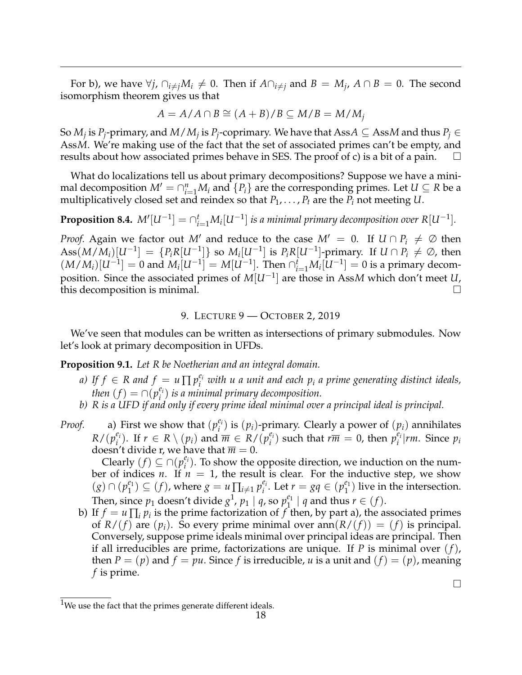For b), we have  $\forall j$ ,  $\cap_{i \neq j} M_i \neq 0$ . Then if  $A \cap_{i \neq j}$  and  $B = M_j$ ,  $A \cap B = 0$ . The second isomorphism theorem gives us that

$$
A = A/A \cap B \cong (A+B)/B \subseteq M/B = M/M_j
$$

So  $M_j$  is  $P_j$ -primary, and  $M/M_j$  is  $P_j$ -coprimary. We have that Ass $A \subseteq$  Ass $M$  and thus  $P_j \in$ Ass*M*. We're making use of the fact that the set of associated primes can't be empty, and results about how associated primes behave in SES. The proof of c) is a bit of a pain.

What do localizations tell us about primary decompositions? Suppose we have a minimal decomposition  $M' = \bigcap_{i=1}^{n} M_i$  and  $\{P_i\}$  are the corresponding primes. Let  $U \subseteq R$  be a multiplicatively closed set and reindex so that  $P_1, \ldots, P_t$  are the  $P_i$  not meeting U.

**Proposition 8.4.**  $M'[U^{-1}] = \bigcap_{i=1}^{t} M_i[U^{-1}]$  is a minimal primary decomposition over  $R[U^{-1}]$ .

*Proof.* Again we factor out *M'* and reduce to the case  $M' = 0$ . If  $U \cap P_i \neq \emptyset$  then  $\mathrm{Ass}(M/M_i)[U^{-1}] = \{P_iR[U^{-1}]\}$  so  $M_i[U^{-1}]$  is  $P_iR[U^{-1}]$ -primary. If  $U \cap P_i \neq \varnothing$ , then  $(M/M_i)[U^{-1}] = 0$  and  $M_i[U^{-1}] = M[U^{-1}]$ . Then  $\bigcap_{i=1}^{\tilde{t}} M_i[U^{-1}] = 0$  is a primary decomposition. Since the associated primes of *M*[*U*−<sup>1</sup> ] are those in Ass*M* which don't meet *U*, this decomposition is minimal.

### 9. LECTURE 9 — OCTOBER 2, 2019

<span id="page-17-0"></span>We've seen that modules can be written as intersections of primary submodules. Now let's look at primary decomposition in UFDs.

**Proposition 9.1.** *Let R be Noetherian and an integral domain.*

- *a)* If  $f \in R$  and  $f = u \prod p_i^{e_i}$  with u a unit and each  $p_i$  a prime generating distinct ideals, *then*  $(f) = \bigcap (p_i^{e_i})$ *i* ) *is a minimal primary decomposition.*
- *b) R is a UFD if and only if every prime ideal minimal over a principal ideal is principal.*
- *Proof.* a) First we show that  $(p_i^e)$  $e_i$ <sup>*e*<sub>*i*</sub></sup>) is  $(p_i)$ -primary. Clearly a power of  $(p_i)$  annihilates  $R/(p_i^{e_i})$  $f_i^{\epsilon_i}$ ). If  $r \in R \setminus (p_i)$  and  $\overline{m} \in R/(\overline{p}_i^{\epsilon_i})$  $\sum_{i}^{e_i}$ ) such that  $r\overline{m} = 0$ , then  $p_i^{e_i}$  $\binom{e_i}{i}$ *rm*. Since  $p_i$ doesn't divide r, we have that  $\overline{m} = 0$ .

Clearly  $(f) \subseteq \bigcap (p_i^{e_i})$  $e_i$ <sup> $e_i$ </sup>). To show the opposite direction, we induction on the number of indices *n*. If  $n = 1$ , the result is clear. For the inductive step, we show  $(g) ∩ (p_1^{e_1})$  $\binom{e_1}{1} \subseteq (f)$ , where  $g = u \prod_{i \neq 1} p_i^{e_i}$ *<sup>e<sub>i</sub>*</sup>. Let  $r = gq \in (p_1^{e_1})$  $_1^{e_1}$ ) live in the intersection. Then, since  $p_1$  $p_1$  doesn't divide  $g^1$ ,  $p_1 \mid q$ , so  $p_1^{e_1}$  $\begin{cases} \begin{array}{c} e_1 \\ 1 \end{array} \end{cases}$  *q* and thus  $r \in (f)$ .

b) If  $f = u \prod_i p_i$  is the prime factorization of  $f$  then, by part a), the associated primes of  $R/(f)$  are  $(p_i)$ . So every prime minimal over ann $(R/(f)) = (f)$  is principal. Conversely, suppose prime ideals minimal over principal ideas are principal. Then if all irreducibles are prime, factorizations are unique. If *P* is minimal over (*f*), then  $P = (p)$  and  $f = pu$ . Since f is irreducible, *u* is a unit and  $(f) = (p)$ , meaning *f* is prime.

 $\Box$ 

<span id="page-17-1"></span> $1$ We use the fact that the primes generate different ideals.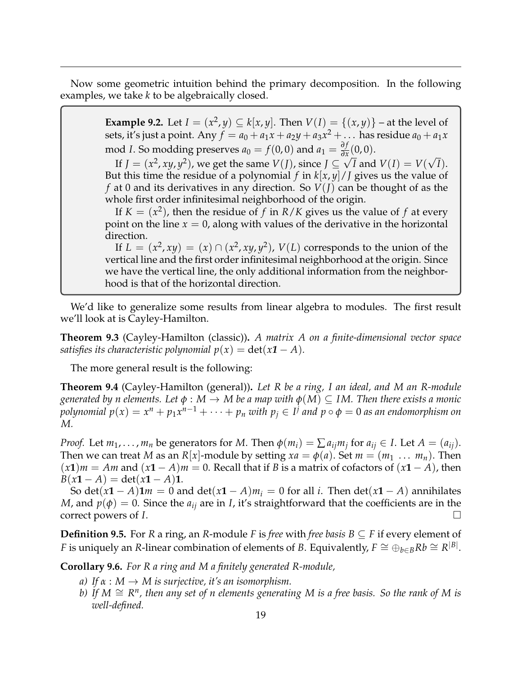Now some geometric intuition behind the primary decomposition. In the following examples, we take *k* to be algebraically closed.

> **Example 9.2.** Let  $I = (x^2, y) \subseteq k[x, y]$ . Then  $V(I) = \{(x, y)\}$  – at the level of sets, it's just a point. Any  $f = a_0 + a_1x + a_2y + a_3x^2 + \dots$  has residue  $a_0 + a_1x$ mod *I*. So modding preserves  $a_0 = f(0,0)$  and  $a_1 = \frac{\partial f}{\partial x}$  $\frac{\partial f}{\partial x}$  (0, 0). √

> If  $J = (x^2, xy, y^2)$ , we get the same  $V(J)$ , since  $J \subseteq \sqrt{I}$  and  $V(I) = V(I)$ *I*). But this time the residue of a polynomial *f* in  $k[x, y]/J$  gives us the value of *f* at 0 and its derivatives in any direction. So *V*(*J*) can be thought of as the whole first order infinitesimal neighborhood of the origin.

> If  $K = (x^2)$ , then the residue of f in  $R/K$  gives us the value of f at every point on the line  $x = 0$ , along with values of the derivative in the horizontal direction.

> If  $L = (x^2, xy) = (x) \cap (x^2, xy, y^2)$ ,  $V(L)$  corresponds to the union of the vertical line and the first order infinitesimal neighborhood at the origin. Since we have the vertical line, the only additional information from the neighborhood is that of the horizontal direction.

We'd like to generalize some results from linear algebra to modules. The first result we'll look at is Cayley-Hamilton.

**Theorem 9.3** (Cayley-Hamilton (classic))**.** *A matrix A on a finite-dimensional vector space satisfies its characteristic polynomial*  $p(x) = det(x1 - A)$ *.* 

The more general result is the following:

**Theorem 9.4** (Cayley-Hamilton (general))**.** *Let R be a ring, I an ideal, and M an R-module generated by n elements.* Let  $\phi : M \to M$  be a map with  $\phi(M) \subseteq IM$ . Then there exists a monic *polynomial*  $p(x) = x^n + p_1x^{n-1} + \cdots + p_n$  *with*  $p_j \in I^j$  *and*  $p \circ \phi = 0$  *as an endomorphism on M.*

*Proof.* Let  $m_1, \ldots, m_n$  be generators for *M*. Then  $\phi(m_i) = \sum a_{ij} m_j$  for  $a_{ij} \in I$ . Let  $A = (a_{ij})$ . Then we can treat *M* as an *R*[*x*]-module by setting  $xa = \phi(a)$ . Set  $m = (m_1 \ldots m_n)$ . Then  $(x1)m = Am$  and  $(x1 - A)m = 0$ . Recall that if *B* is a matrix of cofactors of  $(x1 - A)$ , then  $B(x1 - A) = \det(x1 - A)$ 1.

So det( $x$ **1** − *A*)**1***m* = 0 and det( $x$ **1** − *A*)*m*<sub>*i*</sub> = 0 for all *i*. Then det( $x$ **1** − *A*) annihilates *M*, and  $p(\phi) = 0$ . Since the  $a_{ij}$  are in *I*, it's straightforward that the coefficients are in the correct powers of *I*.

**Definition 9.5.** For *R* a ring, an *R*-module *F* is *free* with *free basis*  $B \subseteq F$  if every element of *F* is uniquely an *R*-linear combination of elements of *B*. Equivalently,  $F \cong \bigoplus_{b \in B} R b \cong R^{|B|}$ .

**Corollary 9.6.** *For R a ring and M a finitely generated R-module,*

- *a)* If  $\alpha : M \to M$  *is surjective, it's an isomorphism.*
- *b) If M* ∼= *R n , then any set of n elements generating M is a free basis. So the rank of M is well-defined.*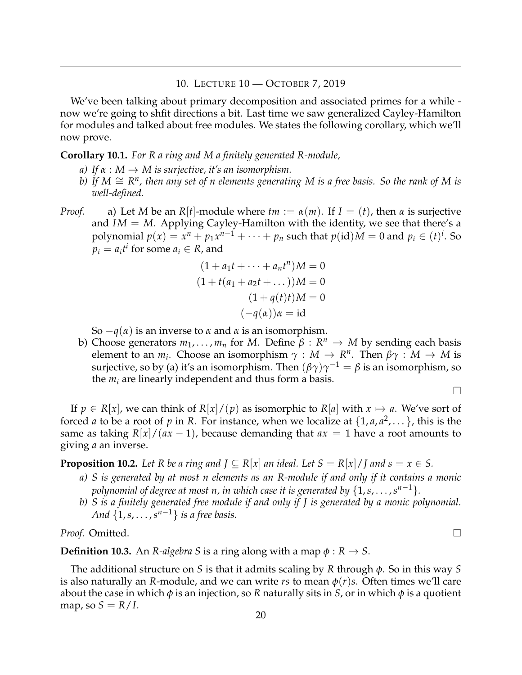### 10. LECTURE 10 — OCTOBER 7, 2019

<span id="page-19-0"></span>We've been talking about primary decomposition and associated primes for a while now we're going to shfit directions a bit. Last time we saw generalized Cayley-Hamilton for modules and talked about free modules. We states the following corollary, which we'll now prove.

#### **Corollary 10.1.** *For R a ring and M a finitely generated R-module,*

- *a)* If  $\alpha : M \to M$  *is surjective, it's an isomorphism.*
- *b) If M* ∼= *R n , then any set of n elements generating M is a free basis. So the rank of M is well-defined.*
- *Proof.* a) Let *M* be an *R*[*t*]-module where  $tm := \alpha(m)$ . If  $I = (t)$ , then  $\alpha$  is surjective and *IM* = *M*. Applying Cayley-Hamilton with the identity, we see that there's a polynomial  $p(x) = x^n + p_1x^{n-1} + \cdots + p_n$  such that  $p(\mathrm{id})M = 0$  and  $p_i \in (t)^i$ . So  $p_i = a_i t^i$  for some  $a_i \in R$ , and

$$
(1 + a_1t + \dots + a_nt^n)M = 0
$$
  
\n
$$
(1 + t(a_1 + a_2t + \dots))M = 0
$$
  
\n
$$
(1 + q(t)t)M = 0
$$
  
\n
$$
(-q(\alpha))\alpha = id
$$

So −*q*(*α*) is an inverse to *α* and *α* is an isomorphism.

b) Choose generators  $m_1, \ldots, m_n$  for *M*. Define  $\beta : R^n \to M$  by sending each basis element to an  $m_i$ . Choose an isomorphism  $\gamma : M \to R^n$ . Then  $\beta \gamma : M \to M$  is surjective, so by (a) it's an isomorphism. Then  $(\beta\gamma)\gamma^{-1}=\beta$  is an isomorphism, so the  $m_i$  are linearly independent and thus form a basis.

 $\Box$ 

If  $p \in R[x]$ , we can think of  $R[x]/(p)$  as isomorphic to  $R[a]$  with  $x \mapsto a$ . We've sort of forced *a* to be a root of *p* in *R*. For instance, when we localize at  $\{1, a, a^2, \dots\}$ , this is the same as taking  $R[x]/(ax-1)$ , because demanding that  $ax = 1$  have a root amounts to giving *a* an inverse.

**Proposition 10.2.** Let R be a ring and  $J \subseteq R[x]$  an ideal. Let  $S = R[x]/J$  and  $s = x \in S$ .

- *a) S is generated by at most n elements as an R-module if and only if it contains a monic polynomial of degree at most n, in which case it is generated by*  $\{1, s, \ldots, s^{n-1}\}.$
- *b) S is a finitely generated free module if and only if J is generated by a monic polynomial. And*  $\{1, s, \ldots, s^{n-1}\}$  *is a free basis.*

*Proof.* Omitted.

**Definition 10.3.** An *R-algebra S* is a ring along with a map  $\phi : R \to S$ .

The additional structure on *S* is that it admits scaling by *R* through *φ*. So in this way *S* is also naturally an *R*-module, and we can write *rs* to mean  $\phi(r)s$ . Often times we'll care about the case in which *φ* is an injection, so *R* naturally sits in *S*, or in which *φ* is a quotient map, so  $S = R/I$ .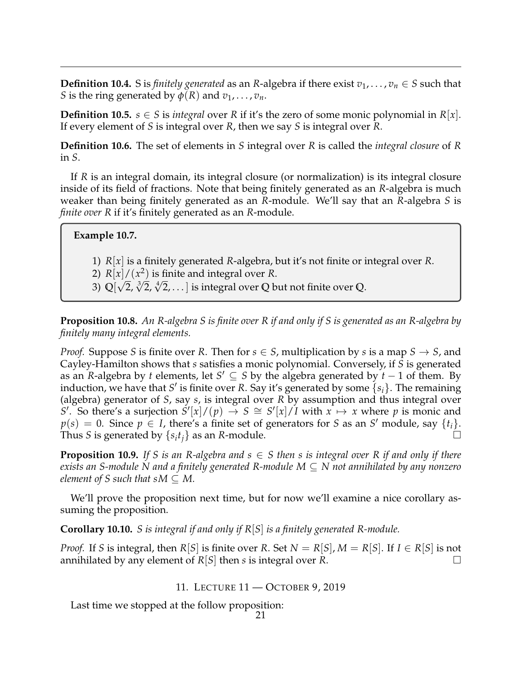**Definition 10.4.** S is *finitely generated* as an *R*-algebra if there exist  $v_1, \ldots, v_n \in S$  such that *S* is the ring generated by  $\phi(R)$  and  $v_1, \ldots, v_n$ .

**Definition 10.5.**  $s \in S$  is *integral* over *R* if it's the zero of some monic polynomial in  $R|x|$ . If every element of *S* is integral over *R*, then we say *S* is integral over *R*.

**Definition 10.6.** The set of elements in *S* integral over *R* is called the *integral closure* of *R* in *S*.

If *R* is an integral domain, its integral closure (or normalization) is its integral closure inside of its field of fractions. Note that being finitely generated as an *R*-algebra is much weaker than being finitely generated as an *R*-module. We'll say that an *R*-algebra *S* is *finite over R* if it's finitely generated as an *R*-module.

**Example 10.7.**

- 1) *R*[*x*] is a finitely generated *R*-algebra, but it's not finite or integral over *R*.
- 2)  $R[x]/(x^2)$  is finite and integral over *R*.
- 3) **Q**[ 2, √3 2, √4 2, . . . ] is integral over **Q** but not finite over **Q**.

**Proposition 10.8.** *An R-algebra S is finite over R if and only if S is generated as an R-algebra by finitely many integral elements.*

*Proof.* Suppose *S* is finite over *R*. Then for  $s \in S$ , multiplication by *s* is a map  $S \rightarrow S$ , and Cayley-Hamilton shows that *s* satisfies a monic polynomial. Conversely, if *S* is generated as an *R*-algebra by *t* elements, let  $S' \subseteq S$  by the algebra generated by  $t - 1$  of them. By induction, we have that *S'* is finite over *R*. Say it's generated by some  $\{s_i\}$ . The remaining (algebra) generator of *S*, say *s*, is integral over *R* by assumption and thus integral over  $S'$ . So there's a surjection  $S'[x]/(p) \rightarrow S \cong S'[x]/I$  with  $x \mapsto x$  where p is monic and  $p(s) = 0$ . Since  $p \in I$ , there's a finite set of generators for *S* as an *S*' module, say  $\{t_i\}$ . Thus *S* is generated by  $\{s_it_j\}$  as an *R*-module.

**Proposition 10.9.** If S is an R-algebra and  $s \in S$  then s is integral over R if and only if there *exists an S-module N and a finitely generated R-module M* ⊆ *N not annihilated by any nonzero element of S such that sM*  $\subseteq$  *M.* 

We'll prove the proposition next time, but for now we'll examine a nice corollary assuming the proposition.

**Corollary 10.10.** *S is integral if and only if R*[*S*] *is a finitely generated R-module.*

*Proof.* If *S* is integral, then  $R[S]$  is finite over  $R$ . Set  $N = R[S], M = R[S]$ . If  $I \in R[S]$  is not annihilated by any element of *R*[*S*] then *s* is integral over *R*.

11. LECTURE 11 — OCTOBER 9, 2019

<span id="page-20-0"></span>Last time we stopped at the follow proposition: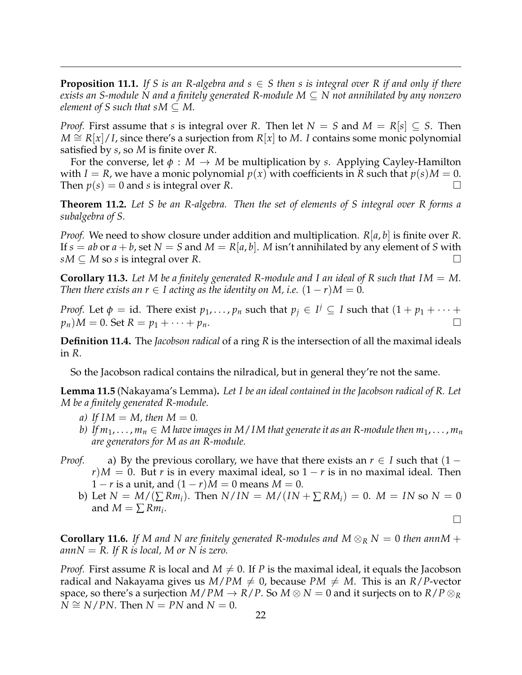**Proposition 11.1.** If S is an R-algebra and  $s \in S$  then s is integral over R if and only if there *exists an S-module N and a finitely generated R-module M* ⊆ *N not annihilated by any nonzero element of S such that sM*  $\subseteq$  *M.* 

*Proof.* First assume that *s* is integral over *R*. Then let  $N = S$  and  $M = R[s] \subseteq S$ . Then *M*  $\cong$  *R*[*x*]/*I*, since there's a surjection from *R*[*x*] to *M*. *I* contains some monic polynomial satisfied by *s*, so *M* is finite over *R*.

For the converse, let  $\phi : M \to M$  be multiplication by *s*. Applying Cayley-Hamilton with *I* = *R*, we have a monic polynomial  $p(x)$  with coefficients in *R* such that  $p(s)M = 0$ . Then  $p(s) = 0$  and *s* is integral over *R*.

**Theorem 11.2.** *Let S be an R-algebra. Then the set of elements of S integral over R forms a subalgebra of S.*

*Proof.* We need to show closure under addition and multiplication. *R*[*a*, *b*] is finite over *R*. If  $s = ab$  or  $a + b$ , set  $N = S$  and  $M = R[a, b]$ . M isn't annihilated by any element of S with  $sM \subseteq M$  so *s* is integral over *R*.

**Corollary 11.3.** Let M be a finitely generated R-module and I an ideal of R such that  $IM = M$ . *Then there exists an r*  $\in$  *I acting as the identity on M, i.e.*  $(1 - r)M = 0$ *.* 

*Proof.* Let  $\phi = \text{id}$ . There exist  $p_1, \ldots, p_n$  such that  $p_j \in I^j \subseteq I$  such that  $(1 + p_1 + \cdots + p_n)$  $p_n$ ) $M = 0$ . Set  $R = p_1 + \cdots + p_n$ .

**Definition 11.4.** The *Jacobson radical* of a ring *R* is the intersection of all the maximal ideals in *R*.

So the Jacobson radical contains the nilradical, but in general they're not the same.

**Lemma 11.5** (Nakayama's Lemma)**.** *Let I be an ideal contained in the Jacobson radical of R. Let M be a finitely generated R-module.*

- *a*) If  $IM = M$ , then  $M = 0$ .
- *b*) If  $m_1, \ldots, m_n \in M$  have images in M/IM that generate it as an R-module then  $m_1, \ldots, m_n$ *are generators for M as an R-module.*
- *Proof.* a) By the previous corollary, we have that there exists an  $r \in I$  such that  $(1$  $r$ / $M = 0$ . But *r* is in every maximal ideal, so  $1 - r$  is in no maximal ideal. Then  $1 - r$  is a unit, and  $(1 - r)M = 0$  means  $M = 0$ .
	- **b**) Let *N* = *M*/(∑*Rm<sub>i</sub>*). Then *N*/*IN* = *M*/(*IN* + ∑*RM<sub>i</sub>*) = 0. *M* = *IN* so *N* = 0 and  $M = \sum Rm_i$ .

 $\Box$ 

**Corollary 11.6.** *If* M and N are finitely generated R-modules and M  $\otimes_R$  N = 0 *then annM* +  $annN = R$ . If R is local, M or N is zero.

*Proof.* First assume *R* is local and  $M \neq 0$ . If *P* is the maximal ideal, it equals the Jacobson radical and Nakayama gives us  $M/PM \neq 0$ , because  $PM \neq M$ . This is an  $R/P$ -vector space, so there's a surjection  $M/PM \rightarrow R/P$ . So  $M \otimes N = 0$  and it surjects on to  $R/P \otimes_R R$  $N \cong N/PN$ . Then  $N = PN$  and  $N = 0$ .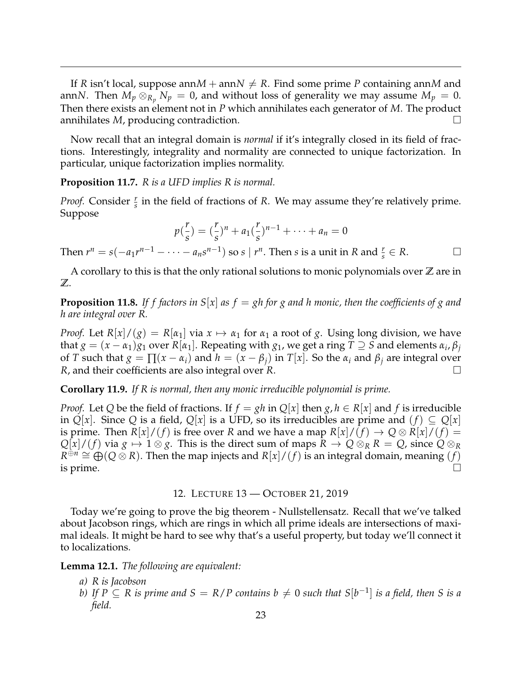If *R* isn't local, suppose ann $M + \text{ann } N \neq R$ . Find some prime *P* containing ann*M* and annN. Then  $M_p\otimes_{R_p}N_p=0$ , and without loss of generality we may assume  $M_p=0$ . Then there exists an element not in *P* which annihilates each generator of *M*. The product annihilates *M*, producing contradiction.

Now recall that an integral domain is *normal* if it's integrally closed in its field of fractions. Interestingly, integrality and normality are connected to unique factorization. In particular, unique factorization implies normality.

**Proposition 11.7.** *R is a UFD implies R is normal.*

*Proof.* Consider  $\frac{r}{s}$  in the field of fractions of *R*. We may assume they're relatively prime. Suppose

$$
p(\frac{r}{s}) = (\frac{r}{s})^n + a_1(\frac{r}{s})^{n-1} + \cdots + a_n = 0
$$

Then  $r^n = s(-a_1r^{n-1} - \cdots - a_ns^{n-1})$  so  $s \mid r^n$ . Then  $s$  is a unit in  $R$  and  $\frac{r}{s} \in R$ .

A corollary to this is that the only rational solutions to monic polynomials over **Z** are in **Z**.

**Proposition 11.8.** If f factors in  $S[x]$  as  $f = gh$  for g and h monic, then the coefficients of g and *h are integral over R.*

*Proof.* Let  $R[x]/(g) = R[a_1]$  via  $x \mapsto a_1$  for  $a_1$  a root of g. Using long division, we have that  $g = (x - \alpha_1)g_1$  over  $R[\alpha_1]$ . Repeating with  $g_1$ , we get a ring  $T \supseteq S$  and elements  $\alpha_i$ ,  $\beta_j$ of *T* such that  $g = \prod (x - \alpha_i)$  and  $h = (x - \beta_i)$  in *T*[*x*]. So the  $\alpha_i$  and  $\beta_i$  are integral over *R*, and their coefficients are also integral over *R*.

**Corollary 11.9.** *If R is normal, then any monic irreducible polynomial is prime.*

*Proof.* Let *Q* be the field of fractions. If  $f = gh$  in  $Q[x]$  then  $g, h \in R[x]$  and  $f$  is irreducible in  $Q[x]$ . Since  $Q$  is a field,  $Q[x]$  is a UFD, so its irreducibles are prime and  $(f) \subseteq Q[x]$ is prime. Then  $R[x]/(f)$  is free over R and we have a map  $R[x]/(f) \rightarrow Q \otimes R[x]/(f) =$  $Q|x|/(f)$  via  $g \mapsto 1 \otimes g$ . This is the direct sum of maps  $R \to Q \otimes_R R = Q$ , since  $Q \otimes_R R$  $R^{\oplus n} \cong \bigoplus_{i=1}^{\infty} (Q \otimes R)$ . Then the map injects and  $R[x]/(f)$  is an integral domain, meaning  $(f)$ is prime.  $\bigcup_{i=1}^{n}$  is  $\bigcup_{i=1}^{n}$  is  $\bigcup_{i=1}^{n}$  if  $\bigcup_{i=1}^{n}$  is  $\bigcup_{i=1}^{n}$  if  $\bigcup_{i=1}^{n}$ 

12. LECTURE 13 — OCTOBER 21, 2019

<span id="page-22-0"></span>Today we're going to prove the big theorem - Nullstellensatz. Recall that we've talked about Jacobson rings, which are rings in which all prime ideals are intersections of maximal ideals. It might be hard to see why that's a useful property, but today we'll connect it to localizations.

**Lemma 12.1.** *The following are equivalent:*

- *a) R is Jacobson*
- *b)* If  $P \subseteq R$  is prime and  $S = R/P$  contains  $b \neq 0$  such that  $S[b^{-1}]$  is a field, then S is a *field.*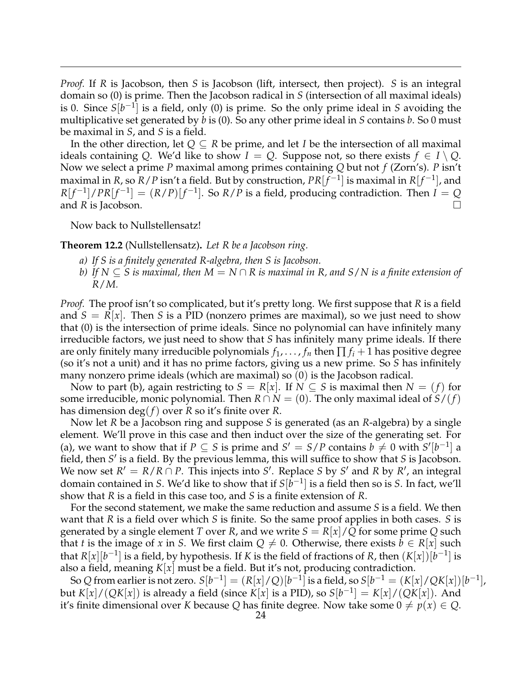*Proof.* If *R* is Jacobson, then *S* is Jacobson (lift, intersect, then project). *S* is an integral domain so (0) is prime. Then the Jacobson radical in *S* (intersection of all maximal ideals) is 0. Since *S*[*b* −1 ] is a field, only (0) is prime. So the only prime ideal in *S* avoiding the multiplicative set generated by *b* is (0). So any other prime ideal in *S* contains *b*. So 0 must be maximal in *S*, and *S* is a field.

In the other direction, let *Q* ⊆ *R* be prime, and let *I* be the intersection of all maximal ideals containing *Q*. We'd like to show  $I = Q$ . Suppose not, so there exists  $f \in I \setminus Q$ . Now we select a prime *P* maximal among primes containing *Q* but not *f* (Zorn's). *P* isn't maximal in *R*, so *R* / *P* isn't a field. But by construction,  $PR[f^{-1}]$  is maximal in  $R[f^{-1}]$ , and  $R[f^{-1}]$  /  $PR[f^{-1}] = (R/P)[f^{-1}]$ . So  $R/P$  is a field, producing contradiction. Then  $I = Q$ and *R* is Jacobson.

Now back to Nullstellensatz!

**Theorem 12.2** (Nullstellensatz)**.** *Let R be a Jacobson ring.*

- *a) If S is a finitely generated R-algebra, then S is Jacobson.*
- *b) If N* ⊆ *S is maximal, then M* = *N* ∩ *R is maximal in R, and S*/*N is a finite extension of R*/*M.*

*Proof.* The proof isn't so complicated, but it's pretty long. We first suppose that *R* is a field and  $S = R[x]$ . Then *S* is a PID (nonzero primes are maximal), so we just need to show that (0) is the intersection of prime ideals. Since no polynomial can have infinitely many irreducible factors, we just need to show that *S* has infinitely many prime ideals. If there are only finitely many irreducible polynomials  $f_1, \ldots, f_n$  then  $\prod f_i + 1$  has positive degree (so it's not a unit) and it has no prime factors, giving us a new prime. So *S* has infinitely many nonzero prime ideals (which are maximal) so (0) is the Jacobson radical.

Now to part (b), again restricting to  $S = R|x|$ . If  $N \subseteq S$  is maximal then  $N = (f)$  for some irreducible, monic polynomial. Then  $R \cap N = (0)$ . The only maximal ideal of  $S/(f)$ has dimension deg(*f*) over *R* so it's finite over *R*.

Now let *R* be a Jacobson ring and suppose *S* is generated (as an *R*-algebra) by a single element. We'll prove in this case and then induct over the size of the generating set. For (a), we want to show that if  $P \subseteq S$  is prime and  $S' = S/P$  contains  $b \neq 0$  with  $S'[b^{-1}]$  a field, then *S'* is a field. By the previous lemma, this will suffice to show that *S* is Jacobson. We now set  $R' = R/R \cap P$ . This injects into S'. Replace S by S' and R by R', an integral domain contained in *S*. We'd like to show that if *S*[*b* −1 ] is a field then so is *S*. In fact, we'll show that *R* is a field in this case too, and *S* is a finite extension of *R*.

For the second statement, we make the same reduction and assume *S* is a field. We then want that *R* is a field over which *S* is finite. So the same proof applies in both cases. *S* is generated by a single element *T* over *R*, and we write *S* = *R*[*x*]/*Q* for some prime *Q* such that *t* is the image of *x* in *S*. We first claim  $Q \neq 0$ . Otherwise, there exists  $b \in R[x]$  such that  $R[x][b^{-1}]$  is a field, by hypothesis. If *K* is the field of fractions of *R*, then  $(K[x])[b^{-1}]$  is also a field, meaning *K*[*x*] must be a field. But it's not, producing contradiction.

So  $Q$  from earlier is not zero.  $S[b^{-1}] = (R[x]/Q)[b^{-1}]$  is a field, so  $S[b^{-1} = (K[x]/QK[x])[b^{-1}]$ , but  $K[x]/(QK[x])$  is already a field (since  $K[x]$  is a PID), so  $S[b^{-1}] = K[x]/(QK[x])$ . And it's finite dimensional over *K* because *Q* has finite degree. Now take some  $0 \neq p(x) \in Q$ .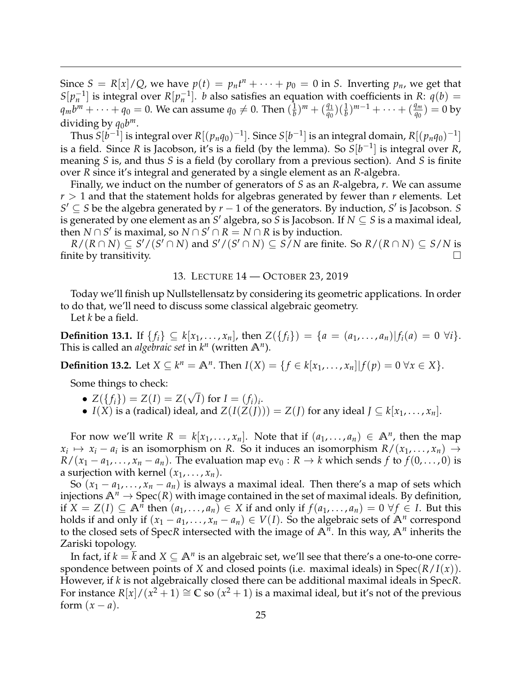Since  $S = R[x]/Q$ , we have  $p(t) = p_n t^n + \cdots + p_0 = 0$  in *S*. Inverting  $p_n$ , we get that *S*[ $p_n^{-1}$ ] is integral over *R*[ $p_n^{-1}$ ]. *b* also satisfies an equation with coefficients in *R*:  $q(b)$  =  $q_{m}b^{m}+\cdots+q_{0}=0.$  We can assume  $q_{0}\neq0.$  Then  $(\frac{1}{b})$  $\frac{1}{b}$ )<sup>*m*</sup> + ( $\frac{q_1}{q_0}$ )( $\frac{1}{b}$ )<sup>*m*-1</sup> + · · · + ( $\frac{q_m}{q_0}$ ) = 0 by dividing by  $q_0b^m$ .

Thus  $S[b^{-1}]$  is integral over  $R[(p_nq_0)^{-1}]$ . Since  $S[b^{-1}]$  is an integral domain,  $R[(p_nq_0)^{-1}]$ is a field. Since *R* is Jacobson, it's is a field (by the lemma). So  $S[b^{-1}]$  is integral over *R*, meaning *S* is, and thus *S* is a field (by corollary from a previous section). And *S* is finite over *R* since it's integral and generated by a single element as an *R*-algebra.

Finally, we induct on the number of generators of *S* as an *R*-algebra, *r*. We can assume  $r > 1$  and that the statement holds for algebras generated by fewer than  $r$  elements. Let *S*<sup> $′$ </sup> ⊆ *S* be the algebra generated by *r* − 1 of the generators. By induction, *S*<sup> $′$ </sup> is Jacobson. *S* is generated by one element as an *S* <sup>0</sup> algebra, so *S* is Jacobson. If *N* ⊆ *S* is a maximal ideal, then  $N \cap S'$  is maximal, so  $N \cap S' \cap R = N \cap R$  is by induction.

 $R/(R \cap N) \subseteq S'/(S' \cap N)$  and  $S'/(S' \cap N) \subseteq S/N$  are finite. So  $R/(R \cap N) \subseteq S/N$  is finite by transitivity.  $\Box$ 

### 13. LECTURE 14 — OCTOBER 23, 2019

<span id="page-24-0"></span>Today we'll finish up Nullstellensatz by considering its geometric applications. In order to do that, we'll need to discuss some classical algebraic geometry.

Let *k* be a field.

**Definition 13.1.** If  $\{f_i\} \subseteq k[x_1,\ldots,x_n]$ , then  $Z(\{f_i\}) = \{a = (a_1,\ldots,a_n)|f_i(a) = 0 \,\forall i\}.$ This is called an *algebraic set* in  $k^n$  (written  $\mathbb{A}^n$ ).

**Definition 13.2.** Let *X* ⊆  $k^n = \mathbb{A}^n$ . Then *I*(*X*) = {*f* ∈  $k[x_1, ..., x_n]$ |*f*(*p*) = 0 ∀*x* ∈ *X*}.

Some things to check:

- $Z({f_i}) = Z(I) = Z(I)$ √ *I*) for  $I = (f_i)_i$ .
- *I*(*X*) is a (radical) ideal, and  $Z(I(Z(J))) = Z(J)$  for any ideal  $J \subseteq k[x_1, \ldots, x_n]$ .

For now we'll write  $R = k[x_1, \ldots, x_n]$ . Note that if  $(a_1, \ldots, a_n) \in \mathbb{A}^n$ , then the map  $x_i \mapsto x_i - a_i$  is an isomorphism on *R*. So it induces an isomorphism  $R/(x_1, \ldots, x_n) \rightarrow$  $R/(x_1 - a_1, \ldots, x_n - a_n)$ . The evaluation map  $ev_0 : R \to k$  which sends *f* to  $f(0, \ldots, 0)$  is a surjection with kernel  $(x_1, \ldots, x_n)$ .

So  $(x_1 - a_1, \ldots, x_n - a_n)$  is always a maximal ideal. Then there's a map of sets which injections  $\mathbb{A}^n \to \text{Spec}(R)$  with image contained in the set of maximal ideals. By definition, if  $X = Z(I) \subseteq \mathbb{A}^{\tilde{n}}$  then  $(a_1, \ldots, a_n) \in X$  if and only if  $f(a_1, \ldots, a_n) = 0 \ \forall f \in I$ . But this holds if and only if  $(x_1 - a_1, \ldots, x_n - a_n) \in V(I)$ . So the algebraic sets of  $\mathbb{A}^n$  correspond to the closed sets of SpecR intersected with the image of  $A^n$ . In this way,  $A^n$  inherits the Zariski topology.

In fact, if  $k=\bar{k}$  and  $X\subseteq \mathbb{A}^n$  is an algebraic set, we'll see that there's a one-to-one correspondence between points of *X* and closed points (i.e. maximal ideals) in Spec(*R*/*I*(*x*)). However, if *k* is not algebraically closed there can be additional maximal ideals in Spec*R*. For instance  $R[x]/(x^2+1) \cong \mathbb{C}$  so  $(x^2+1)$  is a maximal ideal, but it's not of the previous form  $(x - a)$ .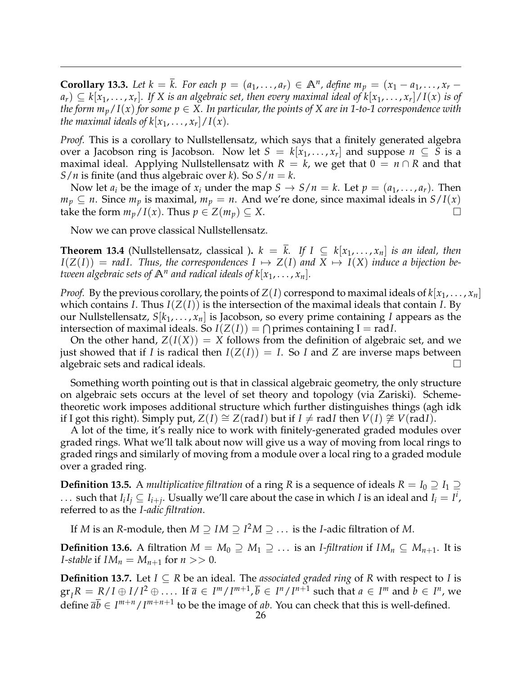**Corollary 13.3.** Let  $k = \overline{k}$ . For each  $p = (a_1, \ldots, a_r) \in \mathbb{A}^n$ , define  $m_p = (x_1 - a_1, \ldots, x_r - a_r)$  $a_r) \subseteq k[x_1,\ldots,x_r].$  If X is an algebraic set, then every maximal ideal of  $k[x_1,\ldots,x_r]/I(x)$  is of *the form*  $m_p/I(x)$  *for some*  $p \in X$ *. In particular, the points of X are in 1-to-1 correspondence with the maximal ideals of*  $k[x_1, \ldots, x_r]/I(x)$ *.* 

*Proof.* This is a corollary to Nullstellensatz, which says that a finitely generated algebra over a Jacobson ring is Jacobson. Now let  $S = k[x_1, \ldots, x_r]$  and suppose  $n \subseteq S$  is a maximal ideal. Applying Nullstellensatz with  $R = k$ , we get that  $0 = n \cap R$  and that *S*/*n* is finite (and thus algebraic over *k*). So *S*/*n* = *k*.

Now let  $a_i$  be the image of  $x_i$  under the map  $S \to S/n = k$ . Let  $p = (a_1, \ldots, a_r)$ . Then *m*<sup>*p*</sup> ⊆ *n*. Since *m*<sup>*p*</sup> is maximal, *m*<sup>*p*</sup> = *n*. And we're done, since maximal ideals in *S*/*I*(*x*) take the form  $m_p/I(x)$ . Thus  $p \in Z(m_p) \subseteq X$ .

Now we can prove classical Nullstellensatz.

**Theorem 13.4** (Nullstellensatz, classical ).  $k = k$ . If  $I \subseteq k[x_1, \ldots, x_n]$  is an ideal, then  $I(Z(I)) = radI$ . Thus, the correspondences  $I \mapsto Z(I)$  and  $X \mapsto I(X)$  induce a bijection be*tween algebraic sets of*  $\mathbb{A}^n$  and radical ideals of  $k[x_1, \ldots, x_n]$ .

*Proof.* By the previous corollary, the points of  $Z(I)$  correspond to maximal ideals of  $k[x_1, \ldots, x_n]$ which contains *I*. Thus  $I(Z(I))$  is the intersection of the maximal ideals that contain *I*. By our Nullstellensatz, *S*[*k*1, . . . , *xn*] is Jacobson, so every prime containing *I* appears as the intersection of maximal ideals. So  $I(Z(I)) = \bigcap$  primes containing I = rad*I*.

On the other hand,  $Z(I(X)) = X$  follows from the definition of algebraic set, and we just showed that if *I* is radical then  $I(Z(I)) = I$ . So *I* and *Z* are inverse maps between algebraic sets and radical ideals.  $\Box$ 

Something worth pointing out is that in classical algebraic geometry, the only structure on algebraic sets occurs at the level of set theory and topology (via Zariski). Schemetheoretic work imposes additional structure which further distinguishes things (agh idk if I got this right). Simply put,  $Z(I) \cong Z(\text{rad }I)$  but if  $I \neq \text{rad }I$  then  $V(I) \not\cong V(\text{rad }I)$ .

A lot of the time, it's really nice to work with finitely-generated graded modules over graded rings. What we'll talk about now will give us a way of moving from local rings to graded rings and similarly of moving from a module over a local ring to a graded module over a graded ring.

**Definition 13.5.** A *multiplicative filtration* of a ring *R* is a sequence of ideals  $R = I_0 \supseteq I_1 \supseteq I_2$ ... such that  $I_iI_j\subseteq I_{i+j}$ . Usually we'll care about the case in which *I* is an ideal and  $I_i=I^i$ , referred to as the *I-adic filtration*.

If *M* is an *R*-module, then  $M \supseteq IM \supseteq I^2M \supseteq \ldots$  is the *I*-adic filtration of *M*.

**Definition 13.6.** A filtration  $M = M_0 \supseteq M_1 \supseteq \dots$  is an *I-filtration* if  $IM_n \subseteq M_{n+1}$ . It is *I*-stable if  $IM_n = M_{n+1}$  for  $n >> 0$ .

**Definition 13.7.** Let *I* ⊆ *R* be an ideal. The *associated graded ring* of *R* with respect to *I* is  $\operatorname{gr}_I R = R/I \oplus I/I^2 \oplus \ldots$  If  $\overline{a} \in I^m/I^{m+1}$ ,  $\overline{b} \in I^n/I^{n+1}$  such that  $a \in I^m$  and  $b \in I^n$ , we define  $\overline{ab} \in I^{m+n}/I^{m+n+1}$  to be the image of *ab*. You can check that this is well-defined.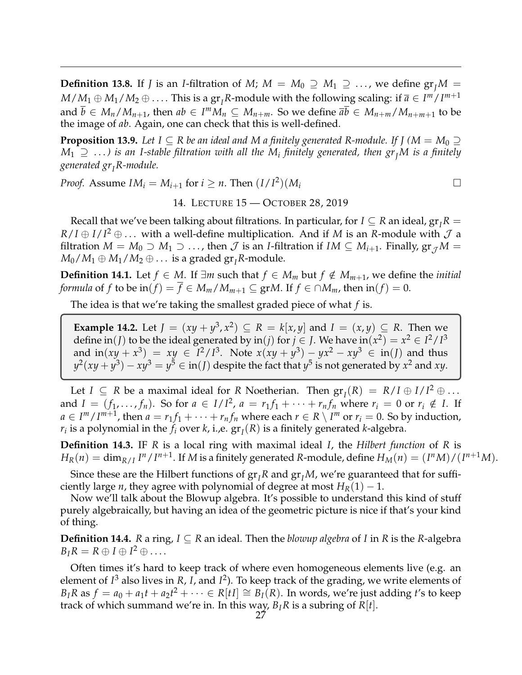**Definition 13.8.** If *J* is an *I*-filtration of *M*;  $M = M_0 \supseteq M_1 \supseteq \ldots$ , we define  $gr_I M =$  $M/M_1 \oplus M_1/M_2 \oplus \ldots$  . This is a gr<sub>*I*</sub>R-module with the following scaling: if  $\overline{a} \in I^m/I^{m+1}$ and  $\overline{b} \in M_n/M_{n+1}$ , then  $ab \in I^mM_n \subseteq M_{n+m}$ . So we define  $\overline{ab} \in M_{n+m}/M_{n+m+1}$  to be the image of *ab*. Again, one can check that this is well-defined.

**Proposition 13.9.** Let  $I \subseteq R$  be an ideal and M a finitely generated R-module. If  $I \cap M = M_0 \supseteq M$  $M_1 \supseteq \ldots$ ) is an I-stable filtration with all the  $M_i$  finitely generated, then  $gr_I M$  is a finitely *generated grIR-module.*

*Proof.* Assume  $IM_i = M_{i+1}$  for  $i \geq n$ . Then  $(I/I^2)(M_i$ 

14. LECTURE 15 — OCTOBER 28, 2019

<span id="page-26-0"></span>Recall that we've been talking about filtrations. In particular, for  $I \subseteq R$  an ideal,  $gr_I R =$  $R/I \oplus I/I^2 \oplus \ldots$  with a well-define multiplication. And if *M* is an *R*-module with  $\cal J$  a filtration  $M = M_0 \supset M_1 \supset \ldots$ , then  $\mathcal J$  is an *I*-filtration if  $IM \subseteq M_{i+1}$ . Finally,  $\operatorname{gr}_{\mathcal J}M =$  $M_0/M_1 \oplus M_1/M_2 \oplus \ldots$  is a graded gr<sub>*I*</sub>R-module.

**Definition 14.1.** Let *f* ∈ *M*. If ∃*m* such that *f* ∈ *M<sub>m</sub>* but *f* ∉ *M*<sub>*m*+1</sub>, we define the *initial formula* of *f* to be in(*f*) =  $\overline{f}$  ∈ *M*<sup>*m*</sup>/*M*<sub>*m*+1</sub> ⊆ gr*M*. If *f* ∈ ∩*M*<sub>*m*</sub>, then in(*f*) = 0.

The idea is that we're taking the smallest graded piece of what *f* is.

**Example 14.2.** Let  $J = (xy + y^3, x^2) \subseteq R = k[x, y]$  and  $I = (x, y) \subseteq R$ . Then we define  $\text{in}(J)$  to be the ideal generated by  $\text{in}(j)$  for  $j \in J$ . We have  $\text{in}(x^2) = x^2 \in I^2/I^3$ and  $\text{in}(xy + x^3) = xy \in I^2/I^3$ . Note  $x(xy + y^3) - yx^2 - xy^3 \in \text{in}(I)$  and thus  $y^2(xy + y^3) - xy^3 = y^5 \in \text{in}(J)$  despite the fact that  $y^5$  is not generated by  $x^2$  and  $xy$ .

Let  $I \subseteq R$  be a maximal ideal for  $R$  Noetherian. Then  $gr_I(R) = R/I \oplus I/I^2 \oplus ...$ and  $I = (f_1, \ldots, f_n)$ . So for  $a \in I/I^2$ ,  $a = r_1f_1 + \cdots + r_nf_n$  where  $r_i = 0$  or  $r_i \notin I$ . If  $a \in I^m / I^{m+1}$ , then  $a = r_1 f_1 + \cdots + r_n f_n$  where each  $r \in R \setminus I^m$  or  $r_i = 0$ . So by induction,  $r_i$  is a polynomial in the  $f_i$  over  $k$ , i.,e.  $\operatorname{gr}_I(R)$  is a finitely generated  $k$ -algebra.

**Definition 14.3.** IF *R* is a local ring with maximal ideal *I*, the *Hilbert function* of *R* is  $H_R(n) = \dim_{R/I} I^n/I^{n+1}$ . If M is a finitely generated R-module, define  $H_M(n) = (I^nM)/(I^{n+1}M)$ .

Since these are the Hilbert functions of  $gr_I R$  and  $gr_I M$ , we're guaranteed that for sufficiently large *n*, they agree with polynomial of degree at most  $H_R(1) - 1$ .

Now we'll talk about the Blowup algebra. It's possible to understand this kind of stuff purely algebraically, but having an idea of the geometric picture is nice if that's your kind of thing.

**Definition 14.4.** *R* a ring,  $I \subseteq R$  an ideal. Then the *blowup algebra* of *I* in *R* is the *R*-algebra  $B_I R = R \oplus I \oplus I^2 \oplus \ldots$ 

Often times it's hard to keep track of where even homogeneous elements live (e.g. an element of *I* <sup>3</sup> also lives in *R*, *I*, and *I* 2 ). To keep track of the grading, we write elements of  $B_I R$  as  $f = a_0 + a_1 t + a_2 t^2 + \cdots \in R[t] \cong B_I(R)$ . In words, we're just adding *t*'s to keep track of which summand we're in. In this way,  $B_I R$  is a subring of  $R[t]$ .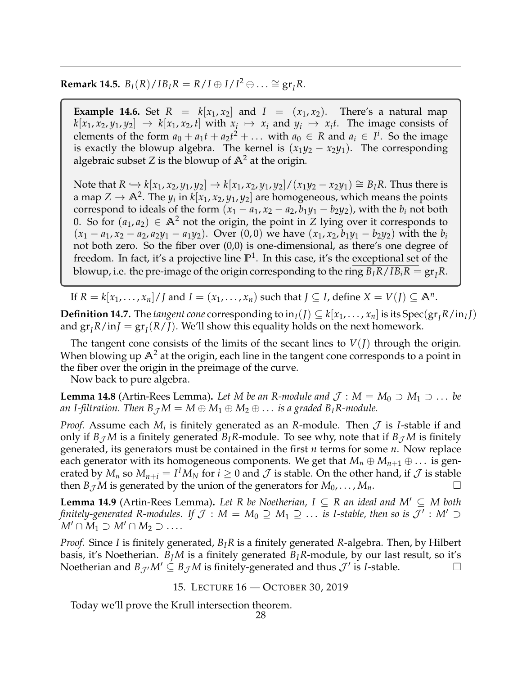**Remark 14.5.**  $B_I(R)/IB_I R = R/I \oplus I/I^2 \oplus \ldots \cong \operatorname{gr}_I R$ .

**Example 14.6.** Set  $R = k[x_1, x_2]$  and  $I = (x_1, x_2)$ . There's a natural map  $k[x_1, x_2, y_1, y_2] \rightarrow k[x_1, x_2, t]$  with  $x_i \mapsto x_i$  and  $y_i \mapsto x_i t$ . The image consists of elements of the form  $a_0 + a_1t + a_2t^2 + \ldots$  with  $a_0 \in R$  and  $a_i \in I^i$ . So the image is exactly the blowup algebra. The kernel is  $(x_1y_2 - x_2y_1)$ . The corresponding algebraic subset *Z* is the blowup of  $\mathbb{A}^2$  at the origin.

Note that *R*  $\hookrightarrow$  *k*[*x*<sub>1</sub>, *x*<sub>2</sub>, *y*<sub>1</sub>, *y*<sub>2</sub>] → *k*[*x*<sub>1</sub>, *x*<sub>2</sub>, *y*<sub>1</sub>, *y*<sub>2</sub>]/(*x*<sub>1</sub>*y*<sub>2</sub> − *x*<sub>2</sub>*y*<sub>1</sub>) ≅ *B*<sub>I</sub>*R*. Thus there is a map  $Z \to \mathbb{A}^2$ . The  $y_i$  in  $k[x_1, x_2, y_1, y_2]$  are homogeneous, which means the points correspond to ideals of the form  $(x_1 - a_1, x_2 - a_2, b_1y_1 - b_2y_2)$ , with the  $b_i$  not both 0. So for  $(a_1, a_2) \in \mathbb{A}^2$  not the origin, the point in *Z* lying over it corresponds to  $(x_1 - a_1, x_2 - a_2, a_2y_1 - a_1y_2)$ . Over (0,0) we have  $(x_1, x_2, b_1y_1 - b_2y_2)$  with the  $b_i$ not both zero. So the fiber over (0,0) is one-dimensional, as there's one degree of freedom. In fact, it's a projective line **P**<sup>1</sup> . In this case, it's the exceptional set of the blowup, i.e. the pre-image of the origin corresponding to the ring  $B_I R / I B_i R = \frac{gr}{I} R$ .

If  $R = k[x_1, \ldots, x_n]/J$  and  $I = (x_1, \ldots, x_n)$  such that  $J \subseteq I$ , define  $X = V(J) \subseteq \mathbb{A}^n$ .

**Definition 14.7.** The *tangent cone* corresponding to  $in_I(J) \subseteq k[x_1, ..., x_n]$  is its  $Spec(gr_I R/in_I J)$ and  $gr_lR/inJ = gr_l(R/J)$ . We'll show this equality holds on the next homework.

The tangent cone consists of the limits of the secant lines to  $V(I)$  through the origin. When blowing up  $\mathbb{A}^2$  at the origin, each line in the tangent cone corresponds to a point in the fiber over the origin in the preimage of the curve.

Now back to pure algebra.

**Lemma 14.8** (Artin-Rees Lemma). Let M be an R-module and  $\mathcal{J}: M = M_0 \supset M_1 \supset \dots$  be *an I-filtration. Then*  $B_{\mathcal{J}} M = M \oplus M_1 \oplus M_2 \oplus \ldots$  *is a graded B*<sub>I</sub>*R-module.* 

*Proof.* Assume each  $M_i$  is finitely generated as an *R*-module. Then  $\mathcal J$  is *I*-stable if and only if  $B_{\mathcal{J}}M$  is a finitely generated  $B_{I}R$ -module. To see why, note that if  $B_{\mathcal{J}}M$  is finitely generated, its generators must be contained in the first *n* terms for some *n*. Now replace each generator with its homogeneous components. We get that  $M_n \oplus M_{n+1} \oplus \ldots$  is generated by  $M_n$  so  $M_{n+i} = I^I M_N$  for  $i \geq 0$  and  $\mathcal J$  is stable. On the other hand, if  $\mathcal J$  is stable then *B*<sub>J</sub> *M* is generated by the union of the generators for  $M_0$ , ...,  $M_n$ .

**Lemma 14.9** (Artin-Rees Lemma). Let R be Noetherian,  $I \subseteq R$  an ideal and  $M' \subseteq M$  both *finitely-generated R-modules. If*  $\mathcal{J}: M = M_0 \supseteq M_1 \supseteq \ldots$  *is I-stable, then so is*  $\mathcal{J}': M' \supseteq M$  $M' \cap M_1 \supset M' \cap M_2 \supset \ldots$ 

*Proof.* Since *I* is finitely generated, *BIR* is a finitely generated *R*-algebra. Then, by Hilbert basis, it's Noetherian. *B*<sub>*I</sub>M* is a finitely generated *B*<sub>*I*</sub>*R*-module, by our last result, so it's</sub> Noetherian and  $B_{\mathcal{J'}}M' \subseteq B_{\mathcal{J}}M$  is finitely-generated and thus  $\mathcal{J}'$  is *I*-stable.

15. LECTURE 16 — OCTOBER 30, 2019

<span id="page-27-0"></span>Today we'll prove the Krull intersection theorem.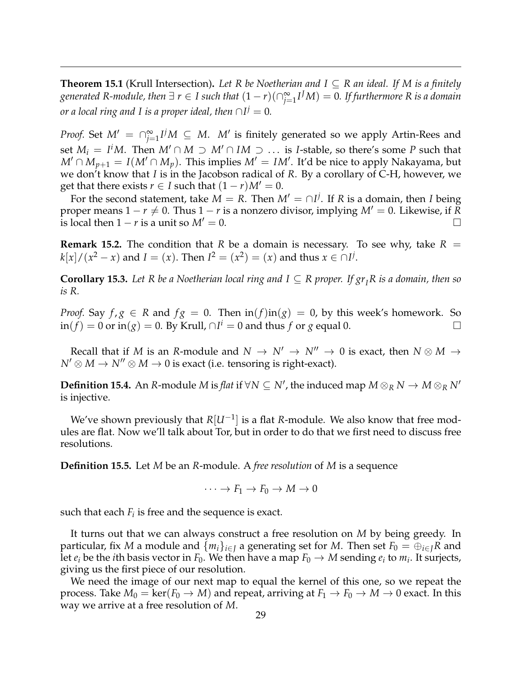**Theorem 15.1** (Krull Intersection). Let R be Noetherian and  $I ⊆ R$  an ideal. If M is a finitely  $g$ enerated R-module, then  $\exists$   $r \in I$  such that  $(1 - r) (\cap_{j = 1}^\infty I^J M) = 0.$  If furthermore R is a domain *or a local ring and I is a proper ideal, then*  $\cap I^j = 0.$ 

*Proof.* Set  $M' = \bigcap_{j=1}^{\infty} I^j M \subseteq M$ . *M'* is finitely generated so we apply Artin-Rees and set  $M_i = I^i M$ . Then  $M' \cap M \supset M' \cap IM \supset \ldots$  is *I*-stable, so there's some *P* such that *M'* ∩  $\dot{M}_{p+1} = I(M' \cap M_p)$ . This implies  $M' = IM'$ . It'd be nice to apply Nakayama, but we don't know that *I* is in the Jacobson radical of *R*. By a corollary of C-H, however, we get that there exists  $r \in I$  such that  $(1 - r)M' = 0$ .

For the second statement, take  $M = R$ . Then  $M' = \bigcap I^j$ . If  $R$  is a domain, then *I* being proper means  $1 - r \neq 0$ . Thus  $1 - r$  is a nonzero divisor, implying  $M' = 0$ . Likewise, if R is local then  $1 - r$  is a unit so  $M' = 0$ .

**Remark 15.2.** The condition that *R* be a domain is necessary. To see why, take  $R =$ *k*[*x*] / (*x*<sup>2</sup> − *x*) and *I* = (*x*). Then *I*<sup>2</sup> = (*x*<sup>2</sup>) = (*x*) and thus *x* ∈ ∩*I*<sup>*j*</sup>.

**Corollary 15.3.** Let R be a Noetherian local ring and  $I \subseteq R$  proper. If  $gr_I R$  is a domain, then so *is R.*

*Proof.* Say  $f, g \in R$  and  $fg = 0$ . Then  $\text{in}(f) \text{in}(g) = 0$ , by this week's homework. So  $\sin(f) = 0$  or  $\sin(g) = 0$ . By Krull,  $\cap I^i = 0$  and thus *f* or *g* equal 0. □

Recall that if *M* is an *R*-module and  $N \to N' \to N'' \to 0$  is exact, then  $N \otimes M \to$  $N' \otimes M \rightarrow N'' \otimes M \rightarrow 0$  is exact (i.e. tensoring is right-exact).

 $D$ efinition 15.4. An *R*-module *M* is *flat* if  $\forall N \subseteq N'$ , the induced map  $M \otimes_R N \to M \otimes_R N'$ is injective.

We've shown previously that *R*[*U*−<sup>1</sup> ] is a flat *R*-module. We also know that free modules are flat. Now we'll talk about Tor, but in order to do that we first need to discuss free resolutions.

**Definition 15.5.** Let *M* be an *R*-module. A *free resolution* of *M* is a sequence

$$
\cdots \to F_1 \to F_0 \to M \to 0
$$

such that each  $F_i$  is free and the sequence is exact.

It turns out that we can always construct a free resolution on *M* by being greedy. In particular, fix *M* a module and  $\{m_i\}_{i \in I}$  a generating set for *M*. Then set  $F_0 = \bigoplus_{i \in I} R$  and let  $e_i$  be the *i*th basis vector in  $F_0$ . We then have a map  $F_0 \to M$  sending  $e_i$  to  $m_i$ . It surjects, giving us the first piece of our resolution.

We need the image of our next map to equal the kernel of this one, so we repeat the process. Take  $M_0 = \text{ker}(F_0 \to M)$  and repeat, arriving at  $F_1 \to F_0 \to M \to 0$  exact. In this way we arrive at a free resolution of *M*.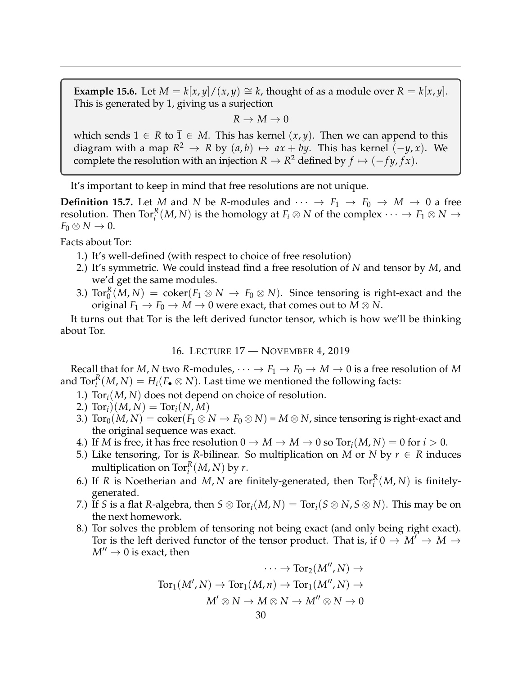**Example 15.6.** Let  $M = k[x, y]/(x, y) \cong k$ , thought of as a module over  $R = k[x, y]$ . This is generated by 1, giving us a surjection

 $R \to M \to 0$ 

which sends  $1 \in R$  to  $\overline{1} \in M$ . This has kernel  $(x, y)$ . Then we can append to this diagram with a map  $R^2 \to R$  by  $(a, b) \mapsto ax + by$ . This has kernel  $(-y, x)$ . We complete the resolution with an injection  $R \to R^2$  defined by  $f \mapsto (-fy, fx)$ .

It's important to keep in mind that free resolutions are not unique.

**Definition 15.7.** Let *M* and *N* be *R*-modules and  $\cdots \rightarrow F_1 \rightarrow F_0 \rightarrow M \rightarrow 0$  a free resolution. Then  $\text{Tor}_i^R(M,N)$  is the homology at  $F_i\otimes N$  of the complex  $\cdots\to F_1\otimes N\to$  $F_0 \otimes N \to 0$ .

Facts about Tor:

- 1.) It's well-defined (with respect to choice of free resolution)
- 2.) It's symmetric. We could instead find a free resolution of *N* and tensor by *M*, and we'd get the same modules.
- 3.)  $\text{Tor}_0^R(M,N) \ = \ \text{coker}(F_1 \otimes N \ \to \ F_0 \otimes N).$  Since tensoring is right-exact and the original  $F_1 \to F_0 \to M \to 0$  were exact, that comes out to  $M \otimes N$ .

It turns out that Tor is the left derived functor tensor, which is how we'll be thinking about Tor.

16. LECTURE 17 — NOVEMBER 4, 2019

<span id="page-29-0"></span>Recall that for *M*, *N* two *R*-modules,  $\cdots \rightarrow F_1 \rightarrow F_0 \rightarrow M \rightarrow 0$  is a free resolution of *M* and  $\operatorname{Tor}_i^R(M,N) = H_i(F_\bullet \otimes N)$ . Last time we mentioned the following facts:

- 1.) Tor*i*(*M*, *N*) does not depend on choice of resolution.
- 2.)  $\text{Tor}_{i}(M, N) = \text{Tor}_{i}(N, M)$
- 3.)  $\text{Tor}_0(M, N) = \text{coker}(F_1 \otimes N \to F_0 \otimes N) = M \otimes N$ , since tensoring is right-exact and the original sequence was exact.
- 4.) If *M* is free, it has free resolution  $0 \to M \to M \to 0$  so  $Tor_i(M, N) = 0$  for  $i > 0$ .
- 5.) Like tensoring, Tor is *R*-bilinear. So multiplication on *M* or *N* by  $r \in R$  induces multiplication on  $\operatorname{Tor}_i^R(M,N)$  by *r*.
- 6.) If *R* is Noetherian and *M*, *N* are finitely-generated, then  $Tor_i^R(M, N)$  is finitelygenerated.
- 7.) If *S* is a flat *R*-algebra, then  $S \otimes Tor_i(M, N) = Tor_i(S \otimes N, S \otimes N)$ . This may be on the next homework.
- 8.) Tor solves the problem of tensoring not being exact (and only being right exact). Tor is the left derived functor of the tensor product. That is, if  $0 \to M' \to M \to$  $M'' \rightarrow 0$  is exact, then

$$
\cdots \to \text{Tor}_2(M'', N) \to
$$
  
\n
$$
\text{Tor}_1(M', N) \to \text{Tor}_1(M, n) \to \text{Tor}_1(M'', N) \to
$$
  
\n
$$
M' \otimes N \to M \otimes N \to M'' \otimes N \to 0
$$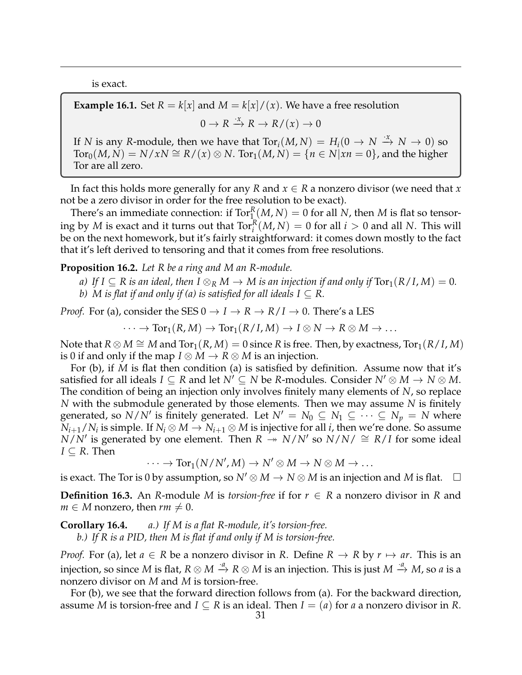is exact.

**Example 16.1.** Set  $R = k[x]$  and  $M = k[x]/(x)$ . We have a free resolution  $0 \to R \stackrel{\cdot x}{\to} R \to R/(x) \to 0$ If *N* is any *R*-module, then we have that  $Tor_i(M, N) = H_i(0 \to N \stackrel{\cdot x}{\to} N \to 0)$  so  $Tor_0(M, N) = N/xN \cong R/(x) \otimes N$ .  $Tor_1(M, N) = \{n \in N | xn = 0\}$ , and the higher Tor are all zero.

In fact this holds more generally for any *R* and *x* ∈ *R* a nonzero divisor (we need that *x* not be a zero divisor in order for the free resolution to be exact).

There's an immediate connection: if  $\operatorname{Tor}^R_\mathbb{L}(M,N) = 0$  for all  $N$ , then  $M$  is flat so tensoring by *M* is exact and it turns out that  $\text{Tor}_{i}^{R}(M, N) = 0$  for all  $i > 0$  and all *N*. This will be on the next homework, but it's fairly straightforward: it comes down mostly to the fact that it's left derived to tensoring and that it comes from free resolutions.

**Proposition 16.2.** *Let R be a ring and M an R-module.*

- *a*) If  $I \subseteq R$  is an ideal, then  $I \otimes_R M \to M$  is an injection if and only if  $Tor_1(R/I, M) = 0$ .
- *b*) *M* is flat if and only if (a) is satisfied for all ideals  $I \subseteq R$ .

*Proof.* For (a), consider the SES  $0 \rightarrow I \rightarrow R \rightarrow R/I \rightarrow 0$ . There's a LES

 $\cdots \rightarrow \text{Tor}_1(R, M) \rightarrow \text{Tor}_1(R/I, M) \rightarrow I \otimes N \rightarrow R \otimes M \rightarrow \ldots$ 

Note that *R* ⊗ *M*  $\cong$  *M* and Tor<sub>1</sub>(*R*, *M*) = 0 since *R* is free. Then, by exactness, Tor<sub>1</sub>(*R*/*I*, *M*) is 0 if and only if the map  $I \otimes M \to R \otimes M$  is an injection.

For (b), if *M* is flat then condition (a) is satisfied by definition. Assume now that it's satisfied for all ideals  $I \subseteq R$  and let  $N' \subseteq N$  be R-modules. Consider  $N' \otimes M \to N \otimes M$ . The condition of being an injection only involves finitely many elements of *N*, so replace *N* with the submodule generated by those elements. Then we may assume *N* is finitely generated, so  $N/N'$  is finitely generated. Let  $N' = N_0 \subseteq N_1 \subseteq \cdots \subseteq N_p = N$  where  $N_{i+1}/N_i$  is simple. If  $N_i\otimes M\to N_{i+1}\otimes M$  is injective for all *i*, then we're done. So assume  $N/N'$  is generated by one element. Then  $R \rightarrow N/N'$  so  $N/N' \cong R/I$  for some ideal  $I \subseteq R$ . Then

 $\cdots \rightarrow \text{Tor}_1(N/N',M) \rightarrow N' \otimes M \rightarrow N \otimes M \rightarrow \ldots$ 

is exact. The Tor is 0 by assumption, so  $N' \otimes M \to N \otimes M$  is an injection and *M* is flat.  $\square$ 

**Definition 16.3.** An *R*-module *M* is *torsion-free* if for  $r \in R$  a nonzero divisor in *R* and *m*  $\in$  *M* nonzero, then *rm*  $\neq$  0.

**Corollary 16.4.** *a.) If M is a flat R-module, it's torsion-free.*

*b.) If R is a PID, then M is flat if and only if M is torsion-free.*

*Proof.* For (a), let  $a \in R$  be a nonzero divisor in R. Define  $R \rightarrow R$  by  $r \mapsto ar$ . This is an injection, so since *M* is flat,  $R \otimes M \stackrel{a}{\to} R \otimes M$  is an injection. This is just  $M \stackrel{a}{\to} M$ , so *a* is a nonzero divisor on *M* and *M* is torsion-free.

For (b), we see that the forward direction follows from (a). For the backward direction, assume *M* is torsion-free and  $I \subseteq R$  is an ideal. Then  $I = (a)$  for *a* a nonzero divisor in *R*.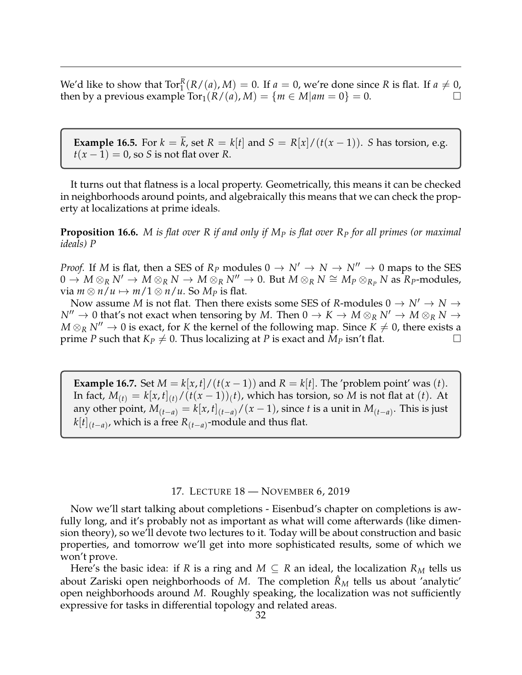We'd like to show that  $Tor_1^R(R/(a), M) = 0$ . If  $a = 0$ , we're done since R is flat. If  $a \neq 0$ , then by a previous example  $Tor_1(R/(a), M) = \{m \in M | am = 0\} = 0.$ 

**Example 16.5.** For  $k = \overline{k}$ , set  $R = k[t]$  and  $S = R[x]/(t(x-1))$ . *S* has torsion, e.g.  $t(x-1) = 0$ , so *S* is not flat over *R*.

It turns out that flatness is a local property. Geometrically, this means it can be checked in neighborhoods around points, and algebraically this means that we can check the property at localizations at prime ideals.

**Proposition 16.6.** *M is flat over R if and only if M<sup>P</sup> is flat over R<sup>P</sup> for all primes (or maximal ideals) P*

*Proof.* If *M* is flat, then a SES of  $R_p$  modules  $0 \rightarrow N' \rightarrow N \rightarrow N'' \rightarrow 0$  maps to the SES  $0 \to M \otimes_R N' \to M \otimes_R N \to M \otimes_R N'' \to 0$ . But  $M \otimes_R N \cong M_P \otimes_{R_P} N$  as  $R_P$ -modules, via  $m \otimes n/u \mapsto m/1 \otimes n/u$ . So  $M_p$  is flat.

Now assume *M* is not flat. Then there exists some SES of *R*-modules  $0 \rightarrow N' \rightarrow N \rightarrow$  $N'' \to 0$  that's not exact when tensoring by *M*. Then  $0 \to K \to M \otimes_R N' \to M \otimes_R N \to$  $M \otimes_R N'' \to 0$  is exact, for *K* the kernel of the following map. Since  $K \neq 0$ , there exists a prime *P* such that  $K_P \neq 0$ . Thus localizing at *P* is exact and  $M_P$  isn't flat.

**Example 16.7.** Set  $M = k[x, t]/(t(x - 1))$  and  $R = k[t]$ . The 'problem point' was (*t*). In fact,  $M_{(t)}=k[x,t]_{(t)}/(t(x-1))_{(t)}$ , which has torsion, so  $M$  is not flat at  $(t).$  At any other point,  $M_{(t-a)} = k[x,t]_{(t-a)}/(x-1)$ , since *t* is a unit in  $M_{(t-a)}$ . This is just *k*[*t*] (*t*−*a*) , which is a free *R*(*t*−*a*) -module and thus flat.

### 17. LECTURE 18 — NOVEMBER 6, 2019

<span id="page-31-0"></span>Now we'll start talking about completions - Eisenbud's chapter on completions is awfully long, and it's probably not as important as what will come afterwards (like dimension theory), so we'll devote two lectures to it. Today will be about construction and basic properties, and tomorrow we'll get into more sophisticated results, some of which we won't prove.

Here's the basic idea: if *R* is a ring and  $M \subseteq R$  an ideal, the localization  $R_M$  tells us about Zariski open neighborhoods of *M*. The completion  $\mathcal{R}_M$  tells us about 'analytic' open neighborhoods around *M*. Roughly speaking, the localization was not sufficiently expressive for tasks in differential topology and related areas.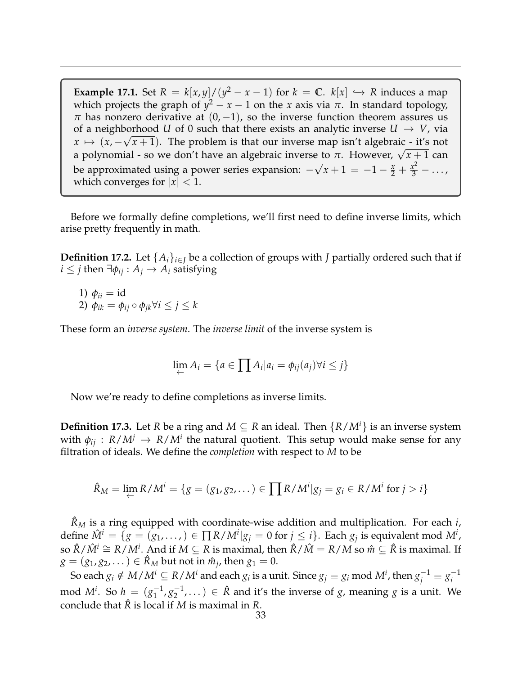**Example 17.1.** Set  $R = k[x, y]/(y^2 - x - 1)$  for  $k = \mathbb{C}$ .  $k[x] \hookrightarrow R$  induces a map which projects the graph of  $y^2 - x - 1$  on the *x* axis via  $\pi$ . In standard topology,  $\pi$  has nonzero derivative at  $(0, -1)$ , so the inverse function theorem assures us of a neighborhood *U* of 0 such that there exists an analytic inverse  $U \rightarrow V$ , via  $x \mapsto (x, -\sqrt{x}+1)$ . The problem is that our inverse map isn't algebraic - it's not a polynomial - so we don't have an algebraic inverse to *<sup>π</sup>*. However, <sup>√</sup> *x* + 1 can be approximated using a power series expansion:  $−$ √  $\overline{x+1} = -1 - \frac{x}{2} + \frac{x^2}{3} - \dots$ which converges for  $|x|$  < 1.

Before we formally define completions, we'll first need to define inverse limits, which arise pretty frequently in math.

**Definition 17.2.** Let  $\{A_i\}_{i \in I}$  be a collection of groups with *J* partially ordered such that if *i* ≤ *j* then  $\exists \phi_{ij}$  :  $A_j$  →  $A_i$  satisfying

1)  $\phi_{ii} = id$ 2)  $\phi_{ik} = \phi_{ij} \circ \phi_{jk} \forall i \leq j \leq k$ 

These form an *inverse system*. The *inverse limit* of the inverse system is

$$
\lim_{\leftarrow} A_i = \{ \overline{a} \in \prod A_i | a_i = \phi_{ij}(a_j) \forall i \leq j \}
$$

Now we're ready to define completions as inverse limits.

**Definition 17.3.** Let *R* be a ring and  $M \subseteq R$  an ideal. Then  $\{R/M^i\}$  is an inverse system with  $\phi_{ij}$  :  $R/M^j \rightarrow R/M^i$  the natural quotient. This setup would make sense for any filtration of ideals. We define the *completion* with respect to *M* to be

$$
\hat{R}_M = \lim_{\leftarrow} R/M^i = \{ g = (g_1, g_2, \dots) \in \prod R/M^i | g_j = g_i \in R/M^i \text{ for } j > i \}
$$

 $\hat{R}_M$  is a ring equipped with coordinate-wise addition and multiplication. For each *i*,  $\det$   $\hat{M}^i = \{ g = (g_1, \ldots, ) \in \prod R / M^i | g_j = 0 \text{ for } j \leq i \}.$  Each  $g_j$  is equivalent mod  $M^i$ , so  $\hat{R}/\hat{M}^i \cong R/M^i$ . And if  $M \subseteq R$  is maximal, then  $\hat{R}/\hat{M} = R/M$  so  $\hat{m} \subseteq \hat{R}$  is maximal. If  $g = (g_1, g_2, \dots) \in \hat{R}_M$  but not in  $\hat{m}_j$ , then  $g_1 = 0$ .

So each  $g_i \notin M/M^i \subseteq R/M^i$  and each  $g_i$  is a unit. Since  $g_j \equiv g_i \text{ mod } M^i$ , then  $g_j^{-1} \equiv g_i^{-1}$ *i* mod *M<sup>i</sup>*. So  $h = (g_1^{-1})$  $\frac{-1}{1}, \frac{g-1}{g}$  $\mathcal{L}_2^{-1}, \ldots$  )  $\in \hat{R}$  and it's the inverse of *g*, meaning *g* is a unit. We conclude that  $\hat{R}$  is local if *M* is maximal in *R*.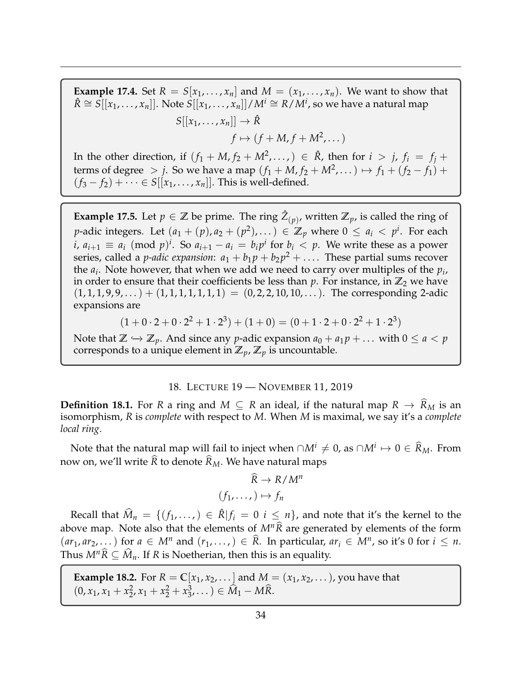**Example 17.4.** Set  $R = S[x_1, \ldots, x_n]$  and  $M = (x_1, \ldots, x_n)$ . We want to show that  $\hat{R} \cong S[[x_1,\ldots,x_n]].$  Note  $S[[x_1,\ldots,x_n]]/M^i \cong R/M^i$ , so we have a natural map  $S[[x_1, \ldots, x_n]] \to \hat{R}$ 

 $f \mapsto (f + M, f + M^2, \dots)$ 

In the other direction, if  $(f_1 + M, f_2 + M^2, \dots) \in \hat{R}$ , then for  $i > j$ ,  $f_i = f_j + I$ terms of degree > *j*. So we have a map  $(f_1 + M, f_2 + M^2, ...)$  →  $f_1 + (f_2 - f_1)$  +  $(f_3 - f_2) + \cdots$  ∈ *S*[[ $x_1, ..., x_n$ ]]. This is well-defined.

**Example 17.5.** Let  $p \in \mathbb{Z}$  be prime. The ring  $\hat{Z}_{(p)}$ , written  $\mathbb{Z}_p$ , is called the ring of *p*-adic integers. Let  $(a_1 + (p), a_2 + (p^2), \dots) \in \mathbb{Z}_p$  where  $0 \le a_i < p^i$ . For each *i*,  $a_{i+1} \equiv a_i \pmod{p^i}$ . So  $a_{i+1} - a_i = b_i p^i$  for  $b_i < p$ . We write these as a power series, called a *p-adic expansion*:  $a_1 + b_1 p + b_2 p^2 + \ldots$ . These partial sums recover the *a<sup>i</sup>* . Note however, that when we add we need to carry over multiples of the *p<sup>i</sup>* , in order to ensure that their coefficients be less than  $p$ . For instance, in  $\mathbb{Z}_2$  we have  $(1, 1, 1, 9, 9, \dots) + (1, 1, 1, 1, 1, 1) = (0, 2, 2, 10, 10, \dots)$ . The corresponding 2-adic expansions are

$$
(1+0\cdot 2+0\cdot 2^2+1\cdot 2^3)+(1+0)=(0+1\cdot 2+0\cdot 2^2+1\cdot 2^3)
$$

Note that  $\mathbb{Z} \hookrightarrow \mathbb{Z}_p$ . And since any *p*-adic expansion  $a_0 + a_1 p + \ldots$  with  $0 \le a < p$ corresponds to a unique element in  $\mathbb{Z}_p$ ,  $\mathbb{Z}_p$  is uncountable.

#### 18. LECTURE 19 — NOVEMBER 11, 2019

<span id="page-33-0"></span>**Definition 18.1.** For *R* a ring and  $M \subseteq R$  an ideal, if the natural map  $R \to \widehat{R}_M$  is an isomorphism, *R* is *complete* with respect to *M*. When *M* is maximal, we say it's a *complete local ring*.

Note that the natural map will fail to inject when  $\cap M^i \neq 0$ , as  $\cap M^i \mapsto 0 \in \widehat{R}_M$ . From now on, we'll write  $\hat{R}$  to denote  $\hat{R}_M$ . We have natural maps

$$
\widehat{R} \to R/M^n
$$

$$
(f_1, \dots, ) \mapsto f_n
$$

Recall that  $\widehat{M}_n = \{(f_1, \ldots) \in \widehat{R} | f_i = 0 \ i \leq n\}$ , and note that it's the kernel to the above map. Note also that the elements of  $M^n\hat{R}$  are generated by elements of the form  $(ar_1, ar_2, \dots)$  for  $a \in M^n$  and  $(r_1, \dots, r) \in \hat{R}$ . In particular,  $ar_i \in M^n$ , so it's 0 for  $i \leq n$ . Thus  $M^n\widehat{R} \subseteq \widehat{M}_n$ . If *R* is Noetherian, then this is an equality.

**Example 18.2.** For  $R = \mathbb{C}[x_1, x_2, \dots]$  and  $M = (x_1, x_2, \dots)$ , you have that  $(0, x_1, x_1 + x_2^2)$  $x_2^2$ ,  $x_1 + x_2^2 + x_3^3$  $(3, 3, ...)$  ∈  $M_1 - M\overline{R}$ .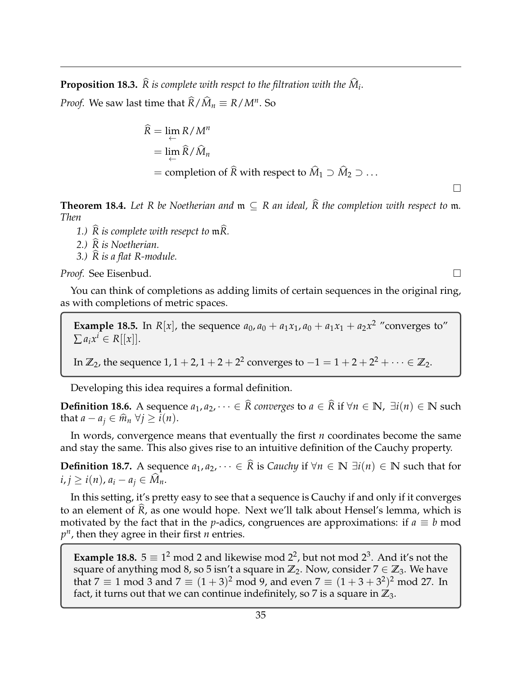**Proposition 18.3.**  $R$  *is complete with respct to the filtration with the*  $M_i$ *.* 

*Proof.* We saw last time that  $\widehat{R}/\widehat{M}_n \equiv R/M^n$ . So

$$
\widehat{R} = \lim_{\leftarrow} R / M^n
$$
  
= 
$$
\lim_{\leftarrow} \widehat{R} / \widehat{M}_n
$$
  
= completion of  $\widehat{R}$  with respect to  $\widehat{M}_1 \supset \widehat{M}_2 \supset \dots$ 

**Theorem 18.4.** Let R be Noetherian and  $m \subseteq R$  an ideal,  $\widehat{R}$  the completion with respect to  $m$ . *Then*

 $\Box$ 

- *1.)*  $\widehat{R}$  *is complete with resepct to*  $\mathfrak{m}\widehat{R}$ *.*
- *2.) R is Noetherian.* <sup>b</sup>
- *3.) R is a flat R-module.* <sup>b</sup>

*Proof.* See Eisenbud.

You can think of completions as adding limits of certain sequences in the original ring, as with completions of metric spaces.

**Example 18.5.** In *R*[*x*], the sequence  $a_0$ ,  $a_0 + a_1x_1$ ,  $a_0 + a_1x_1 + a_2x^2$  "converges to"  $\sum a_i x^i \in R[[x]].$ 

In  $\mathbb{Z}_2$ , the sequence 1, 1 + 2, 1 + 2 + 2<sup>2</sup> converges to −1 = 1 + 2 + 2<sup>2</sup> +  $\cdots$  ∈  $\mathbb{Z}_2$ .

Developing this idea requires a formal definition.

**Definition 18.6.** A sequence  $a_1, a_2, \cdots \in \widehat{R}$  converges to  $a \in \widehat{R}$  if ∀ $n \in \mathbb{N}$ ,  $\exists i(n) \in \mathbb{N}$  such that  $a - a_j \in \widehat{m}_n \ \forall j \geq i(n)$ .

In words, convergence means that eventually the first *n* coordinates become the same and stay the same. This also gives rise to an intuitive definition of the Cauchy property.

**Definition 18.7.** A sequence  $a_1, a_2, \cdots \in \widehat{R}$  is *Cauchy* if ∀*n* ∈ **N** ∃*i*(*n*) ∈ **N** such that for  $i, j \geq i(n)$ ,  $a_i - a_j \in \widehat{M}_n$ .

In this setting, it's pretty easy to see that a sequence is Cauchy if and only if it converges to an element of  $\overline{R}$ , as one would hope. Next we'll talk about Hensel's lemma, which is motivated by the fact that in the *p*-adics, congruences are approximations: if  $a \equiv b$  mod  $p<sup>n</sup>$ , then they agree in their first *n* entries.

**Example 18.8.**  $5 \equiv 1^2 \mod 2$  and likewise mod  $2^2$ , but not mod  $2^3$ . And it's not the square of anything mod 8, so 5 isn't a square in  $\mathbb{Z}_2$ . Now, consider  $7 \in \mathbb{Z}_3$ . We have that 7  $\equiv 1$  mod 3 and 7  $\equiv (1+3)^2$  mod 9, and even 7  $\equiv (1+3+3^2)^2$  mod 27. In fact, it turns out that we can continue indefinitely, so 7 is a square in  $\mathbb{Z}_3$ .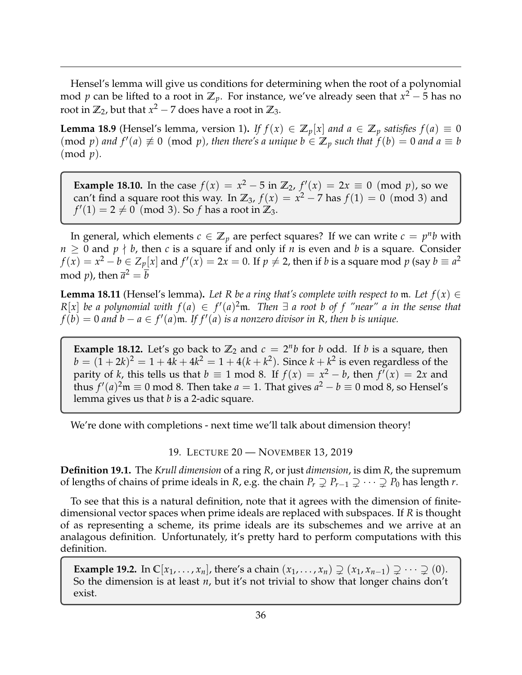Hensel's lemma will give us conditions for determining when the root of a polynomial mod *p* can be lifted to a root in **Z***p*. For instance, we've already seen that *x* <sup>2</sup> − 5 has no root in  $\mathbb{Z}_2$ , but that  $x^2 - 7$  does have a root in  $\mathbb{Z}_3$ .

**Lemma 18.9** (Hensel's lemma, version 1). *If*  $f(x) \in \mathbb{Z}_p[x]$  *and*  $a \in \mathbb{Z}_p$  *satisfies*  $f(a) \equiv 0$  $p$  (mod *p*) and  $f'(a) \not\equiv 0 \pmod{p}$ , then there's a unique  $b \in \mathbb{Z}_p$  such that  $f(b) = 0$  and  $a \equiv b$ (mod *p*)*.*

**Example 18.10.** In the case  $f(x) = x^2 - 5$  in  $\mathbb{Z}_2$ ,  $f'(x) = 2x \equiv 0 \pmod{p}$ , so we can't find a square root this way. In  $\mathbb{Z}_3$ ,  $f(x) = x^2 - 7$  has  $f(1) = 0 \pmod{3}$  and  $f'(1) = 2 \neq 0$  (mod 3). So *f* has a root in  $\mathbb{Z}_3$ .

In general, which elements  $c \in \mathbb{Z}_p$  are perfect squares? If we can write  $c = p^n b$  with  $n \geq 0$  and  $p \nmid b$ , then *c* is a square if and only if *n* is even and *b* is a square. Consider  $f(x) = x^2 - b \in Z_p[x]$  and  $f'(x) = 2x = 0$ . If  $p \neq 2$ , then if *b* is a square mod  $p$  (say  $b \equiv a^2$ mod *p*), then  $\overline{a}^2 = \overline{b}$ 

**Lemma 18.11** (Hensel's lemma). Let R be a ring that's complete with respect to m. Let  $f(x) \in$  $R[x]$  *be a polynomial with*  $f(a) \in f'(a)^2 \mathfrak{m}$ . Then  $\exists$  *a root b of f "near" a in the sense that*  $f(b) = 0$  and  $b - a \in f'(a)$  m. If  $f'(a)$  is a nonzero divisor in R, then b is unique.

**Example 18.12.** Let's go back to  $\mathbb{Z}_2$  and  $c = 2^n b$  for *b* odd. If *b* is a square, then  $b = (1 + 2k)^2 = 1 + 4k + 4k^2 = 1 + 4(k + k^2)$ . Since  $k + k^2$  is even regardless of the parity of *k*, this tells us that  $b \equiv 1 \mod 8$ . If  $f(x) = x^2 - b$ , then  $f'(x) = 2x$  and thus  $f'(a)^2$ m  $\equiv 0$  mod 8. Then take  $a = 1$ . That gives  $a^2 - b \equiv 0$  mod 8, so Hensel's lemma gives us that *b* is a 2-adic square.

We're done with completions - next time we'll talk about dimension theory!

19. LECTURE 20 — NOVEMBER 13, 2019

<span id="page-35-0"></span>**Definition 19.1.** The *Krull dimension* of a ring *R*, or just *dimension*, is dim *R*, the supremum of lengths of chains of prime ideals in *R*, e.g. the chain  $P_r \supsetneq P_{r-1} \supsetneq \cdots \supsetneq P_0$  has length *r*.

To see that this is a natural definition, note that it agrees with the dimension of finitedimensional vector spaces when prime ideals are replaced with subspaces. If *R* is thought of as representing a scheme, its prime ideals are its subschemes and we arrive at an analagous definition. Unfortunately, it's pretty hard to perform computations with this definition.

**Example 19.2.** In  $\mathbb{C}[x_1,\ldots,x_n]$ , there's a chain  $(x_1,\ldots,x_n) \supsetneq (x_1,x_{n-1}) \supsetneq \cdots \supsetneq (0)$ . So the dimension is at least *n*, but it's not trivial to show that longer chains don't exist.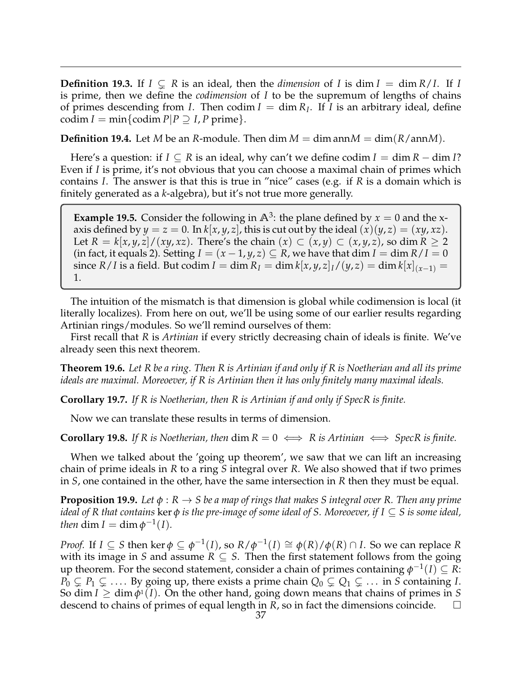**Definition 19.3.** If  $I \subseteq R$  is an ideal, then the *dimension* of *I* is dim  $I = \dim R/I$ . If *I* is prime, then we define the *codimension* of *I* to be the supremum of lengths of chains of primes descending from *I*. Then codim  $I = \dim R_I$ . If *I* is an arbitrary ideal, define codim  $I = min\{codim P|P \supseteq I, P \text{ prime}\}.$ 

**Definition 19.4.** Let *M* be an *R*-module. Then dim  $M = \dim \text{ann } M = \dim(R/\text{ann } M)$ .

Here's a question: if  $I \subseteq R$  is an ideal, why can't we define codim  $I = \dim R - \dim I$ ? Even if *I* is prime, it's not obvious that you can choose a maximal chain of primes which contains *I*. The answer is that this is true in "nice" cases (e.g. if *R* is a domain which is finitely generated as a *k*-algebra), but it's not true more generally.

**Example 19.5.** Consider the following in  $\mathbb{A}^3$ : the plane defined by  $x = 0$  and the xaxis defined by  $y = z = 0$ . In  $k[x, y, z]$ , this is cut out by the ideal  $(x)(y, z) = (xy, xz)$ . Let  $R = k[x, y, z]/(xy, xz)$ . There's the chain  $(x) \subset (x, y) \subset (x, y, z)$ , so dim  $R \ge 2$ (in fact, it equals 2). Setting  $I = (x - 1, y, z) \subseteq R$ , we have that dim  $I = \dim R/I = 0$  $\sin \left(R/I\right)$  is a field. But  $\c{codim} \, I = \dim R_I = \dim k[x,y,z]$   $I/(y,z) = \dim k[x]_{(x-1)} = \sin k[x]$ 1.

The intuition of the mismatch is that dimension is global while codimension is local (it literally localizes). From here on out, we'll be using some of our earlier results regarding Artinian rings/modules. So we'll remind ourselves of them:

First recall that *R* is *Artinian* if every strictly decreasing chain of ideals is finite. We've already seen this next theorem.

**Theorem 19.6.** *Let R be a ring. Then R is Artinian if and only if R is Noetherian and all its prime ideals are maximal. Moreoever, if R is Artinian then it has only finitely many maximal ideals.*

**Corollary 19.7.** *If R is Noetherian, then R is Artinian if and only if SpecR is finite.*

Now we can translate these results in terms of dimension.

**Corollary 19.8.** If R is Noetherian, then  $\dim R = 0 \iff R$  is Artinian  $\iff$  SpecR is finite.

When we talked about the 'going up theorem', we saw that we can lift an increasing chain of prime ideals in *R* to a ring *S* integral over *R*. We also showed that if two primes in *S*, one contained in the other, have the same intersection in *R* then they must be equal.

**Proposition 19.9.** *Let φ* : *R* → *S be a map of rings that makes S integral over R. Then any prime ideal of R that contains* ker *φ is the pre-image of some ideal of S. Moreoever, if I* ⊆ *S is some ideal, then* dim *I* = dim  $\phi^{-1}(I)$ *.* 

*Proof.* If  $I \subseteq S$  then ker  $\phi \subseteq \phi^{-1}(I)$ , so  $R/\phi^{-1}(I) \cong \phi(R)/\phi(R) \cap I$ . So we can replace R with its image in *S* and assume  $R \subseteq S$ . Then the first statement follows from the going up theorem. For the second statement, consider a chain of primes containing  $\phi^{-1}(I) \subseteq \overline{R}$ :  $P_0 \subsetneq P_1 \subsetneq \ldots$  By going up, there exists a prime chain  $Q_0 \subsetneq Q_1 \subsetneq \ldots$  in *S* containing *I*. So dim  $I \ge \dim \phi(1)$ . On the other hand, going down means that chains of primes in *S* descend to chains of primes of equal length in *R*, so in fact the dimensions coincide.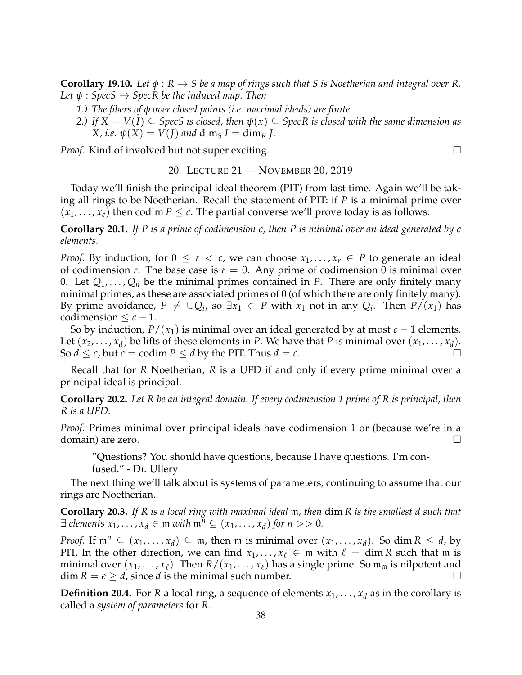**Corollary 19.10.** Let  $\phi : R \to S$  be a map of rings such that S is Noetherian and integral over R. *Let ψ* : *SpecS* → *SpecR be the induced map. Then*

- *1.) The fibers of φ over closed points (i.e. maximal ideals) are finite.*
- *2.) If*  $X = V(I) \subseteq$  *SpecS is closed, then*  $\psi(x) \subseteq$  *SpecR is closed with the same dimension as*  $X$ , *i.e.*  $\psi(X) = V(J)$  and  $\dim_S I = \dim_R J$ .

<span id="page-37-0"></span>*Proof.* Kind of involved but not super exciting. □

#### 20. LECTURE 21 — NOVEMBER 20, 2019

Today we'll finish the principal ideal theorem (PIT) from last time. Again we'll be taking all rings to be Noetherian. Recall the statement of PIT: if *P* is a minimal prime over  $(x_1, \ldots, x_c)$  then codim  $P \leq c$ . The partial converse we'll prove today is as follows:

**Corollary 20.1.** *If P is a prime of codimension c, then P is minimal over an ideal generated by c elements.*

*Proof.* By induction, for  $0 \le r < c$ , we can choose  $x_1, \ldots, x_r \in P$  to generate an ideal of codimension *r*. The base case is  $r = 0$ . Any prime of codimension 0 is minimal over 0. Let  $Q_1, \ldots, Q_n$  be the minimal primes contained in P. There are only finitely many minimal primes, as these are associated primes of 0 (of which there are only finitely many). By prime avoidance,  $P \neq \cup Q_i$ , so  $\exists x_1 \in P$  with  $x_1$  not in any  $Q_i$ . Then  $P/(x_1)$  has codimension  $\leq c-1$ .

So by induction,  $P/(x_1)$  is minimal over an ideal generated by at most  $c - 1$  elements. Let  $(x_2, \ldots, x_d)$  be lifts of these elements in *P*. We have that *P* is minimal over  $(x_1, \ldots, x_d)$ . So  $d \leq c$ , but  $c = \text{codim } P \leq d$  by the PIT. Thus  $d = c$ .

Recall that for *R* Noetherian, *R* is a UFD if and only if every prime minimal over a principal ideal is principal.

**Corollary 20.2.** *Let R be an integral domain. If every codimension 1 prime of R is principal, then R is a UFD.*

*Proof.* Primes minimal over principal ideals have codimension 1 or (because we're in a domain) are zero.  $\Box$ 

"Questions? You should have questions, because I have questions. I'm confused." - Dr. Ullery

The next thing we'll talk about is systems of parameters, continuing to assume that our rings are Noetherian.

**Corollary 20.3.** *If R is a local ring with maximal ideal* m*, then* dim *R is the smallest d such that*  $\exists$  *elements*  $x_1, \ldots, x_d \in \mathfrak{m}$  *with*  $\mathfrak{m}^n \subseteq (x_1, \ldots, x_d)$  *for*  $n >> 0$ *.* 

*Proof.* If  $\mathfrak{m}^n \subseteq (x_1, \ldots, x_d) \subseteq \mathfrak{m}$ , then  $\mathfrak{m}$  is minimal over  $(x_1, \ldots, x_d)$ . So dim  $R \leq d$ , by PIT. In the other direction, we can find  $x_1, \ldots, x_\ell \in \mathfrak{m}$  with  $\ell = \dim R$  such that  $\mathfrak{m}$  is minimal over  $(x_1, \ldots, x_\ell)$ . Then  $R/(x_1, \ldots, x_\ell)$  has a single prime. So  $\mathfrak{m}_m$  is nilpotent and  $\dim R = e \geq d$ , since *d* is the minimal such number.

**Definition 20.4.** For *R* a local ring, a sequence of elements  $x_1, \ldots, x_d$  as in the corollary is called a *system of parameters* for *R*.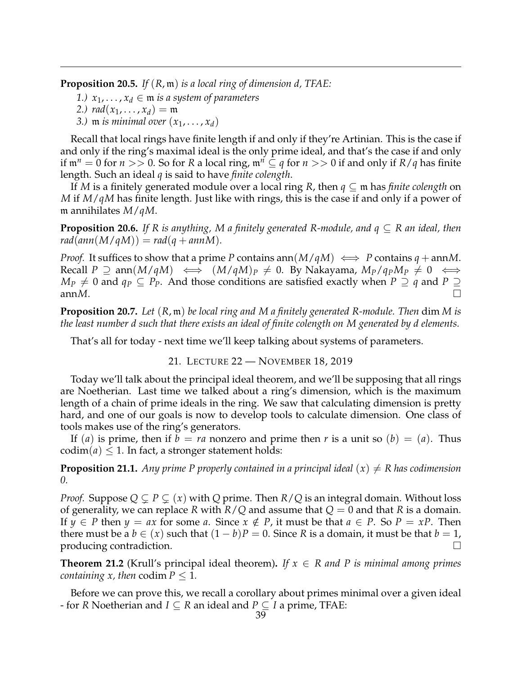**Proposition 20.5.** *If* (*R*, m) *is a local ring of dimension d, TFAE:*

*1.)*  $x_1, \ldots, x_d \in \mathfrak{m}$  *is a system of parameters* 

2.) 
$$
rad(x_1, \ldots, x_d) = \mathfrak{m}
$$

*3.*) **m** *is minimal over*  $(x_1, \ldots, x_d)$ 

Recall that local rings have finite length if and only if they're Artinian. This is the case if and only if the ring's maximal ideal is the only prime ideal, and that's the case if and only if  $\mathfrak{m}^n = 0$  for  $n >> 0$ . So for *R* a local ring,  $\mathfrak{m}^n \subseteq q$  for  $n >> 0$  if and only if  $R/q$  has finite length. Such an ideal *q* is said to have *finite colength*.

If *M* is a finitely generated module over a local ring *R*, then *q* ⊆ m has *finite colength* on *M* if *M*/*qM* has finite length. Just like with rings, this is the case if and only if a power of m annihilates *M*/*qM*.

**Proposition 20.6.** *If R is anything, M a finitely generated R-module, and q* ⊆ *R an ideal, then*  $rad(ann(M/qM)) = rad(q + annM)$ .

*Proof.* It suffices to show that a prime *P* contains ann( $M/qM$ )  $\iff$  *P* contains  $q + \text{ann}M$ .  $Recall P \supseteq$  ann $(M/qM) \iff (M/qM)_P \neq 0$ . By Nakayama,  $M_P/q_P M_P \neq 0 \iff$ *M*<sup>*P*</sup>  $\neq$  0 and *q*<sup>*P*</sup> ⊆ *PP*. And those conditions are satisfied exactly when *P* ⊇ *q* and *P* ⊇  $an nM$ .

**Proposition 20.7.** *Let* (*R*, m) *be local ring and M a finitely generated R-module. Then* dim *M is the least number d such that there exists an ideal of finite colength on M generated by d elements.*

That's all for today - next time we'll keep talking about systems of parameters.

### 21. LECTURE 22 — NOVEMBER 18, 2019

<span id="page-38-0"></span>Today we'll talk about the principal ideal theorem, and we'll be supposing that all rings are Noetherian. Last time we talked about a ring's dimension, which is the maximum length of a chain of prime ideals in the ring. We saw that calculating dimension is pretty hard, and one of our goals is now to develop tools to calculate dimension. One class of tools makes use of the ring's generators.

If (*a*) is prime, then if  $b = ra$  nonzero and prime then *r* is a unit so (*b*) = (*a*). Thus  $\text{codim}(a) \leq 1$ . In fact, a stronger statement holds:

**Proposition 21.1.** Any prime P properly contained in a principal ideal  $(x) \neq R$  has codimension *0.*

*Proof.* Suppose  $Q \subsetneq P \subsetneq (x)$  with  $Q$  prime. Then  $R/Q$  is an integral domain. Without loss of generality, we can replace *R* with  $R/Q$  and assume that  $Q = 0$  and that *R* is a domain. If  $y \in P$  then  $y = ax$  for some *a*. Since  $x \notin P$ , it must be that  $a \in P$ . So  $P = xP$ . Then there must be a  $b \in (x)$  such that  $(1 - b)P = 0$ . Since *R* is a domain, it must be that  $b = 1$ , producing contradiction.

**Theorem 21.2** (Krull's principal ideal theorem). If  $x \in R$  and P is minimal among primes *containing x, then* codim  $P \leq 1$ *.* 

Before we can prove this, we recall a corollary about primes minimal over a given ideal - for *R* Noetherian and *I*  $\subseteq$  *R* an ideal and *P*  $\subseteq$  *I* a prime, TFAE: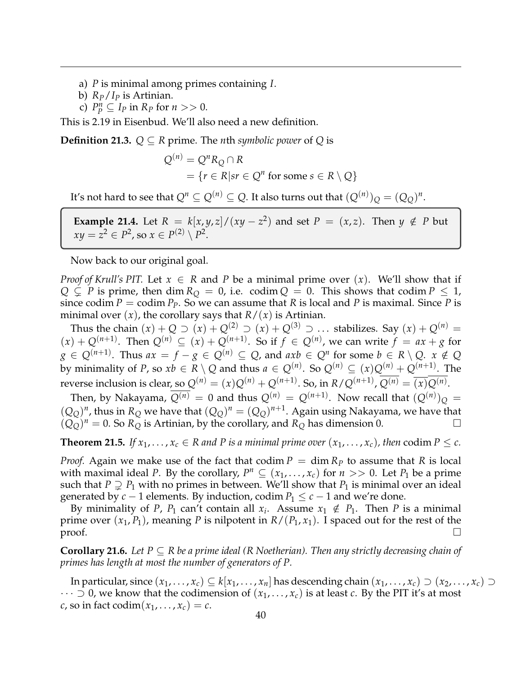- a) *P* is minimal among primes containing *I*.
- b) *RP*/*I<sup>P</sup>* is Artinian.
- c)  $P_P^n \subseteq I_P$  in  $R_P$  for  $n >> 0$ .

This is 2.19 in Eisenbud. We'll also need a new definition.

**Definition 21.3.**  $Q ⊆ R$  prime. The *n*th *symbolic power* of  $Q$  is

$$
Q^{(n)} = Q^n R_Q \cap R
$$
  
= { $r \in R | sr \in Q^n$  for some  $s \in R \setminus Q$ }

It's not hard to see that  $Q^n \subseteq Q^{(n)} \subseteq Q.$  It also turns out that  $(Q^{(n)})_Q = (Q_Q)^n.$ 

**Example 21.4.** Let  $R = k[x, y, z]/(xy - z^2)$  and set  $P = (x, z)$ . Then  $y \notin P$  but  $xy = z^2 \in P^2$ , so  $x \in P^{(2)} \setminus P^2$ .

Now back to our original goal.

*Proof of Krull's PIT.* Let  $x \in R$  and P be a minimal prime over  $(x)$ . We'll show that if  $Q \subsetneq P$  is prime, then dim  $R_Q = 0$ , i.e. codim  $Q = 0$ . This shows that codim  $P \leq 1$ , since codim  $P = \text{codim } P_P$ . So we can assume that *R* is local and *P* is maximal. Since *P* is minimal over  $(x)$ , the corollary says that  $R/(x)$  is Artinian.

Thus the chain  $(x) + Q$  ⊃  $(x) + Q^{(2)}$  ⊃  $(x) + Q^{(3)}$  ⊃ ... stabilizes. Say  $(x) + Q^{(n)}$  =  $(x) + Q^{(n+1)}$ . Then  $Q^{(n)} \subseteq (x) + Q^{(n+1)}$ . So if  $f \in Q^{(n)}$ , we can write  $f = ax + g$  for  $g \in Q^{(n+1)}$ . Thus  $ax = f - g \in Q^{(n)} \subseteq Q$ , and  $axb \in Q^n$  for some  $b \in R \setminus Q$ .  $x \notin Q$ by minimality of *P*, so  $xb \in R \setminus Q$  and thus  $a \in Q^{(n)}$ . So  $Q^{(n)} \subseteq (x)Q^{(n)} + Q^{(n+1)}$ . The reverse inclusion is clear, so  $Q^{(n)} = (x)Q^{(n)} + Q^{(n+1)}$ . So, in  $R/Q^{(n+1)}$ ,  $Q^{(n)} = \overline{(x)}Q^{(n)}$ .

Then, by Nakayama,  $Q^{(n)} = 0$  and thus  $Q^{(n)} = Q^{(n+1)}$ . Now recall that  $(Q^{(n)})_Q =$  $(Q_Q)^n$ , thus in  $R_Q$  we have that  $(Q_Q)^n = (Q_Q)^{n+1}$ . Again using Nakayama, we have that  $(Q_Q^{\infty})^n = 0$ . So  $R_Q^{\infty}$  is Artinian, by the corollary, and  $R_Q$  has dimension 0.

**Theorem 21.5.** *If*  $x_1, \ldots, x_c \in R$  *and P is a minimal prime over*  $(x_1, \ldots, x_c)$ *, then* codim  $P \leq c$ *.* 

*Proof.* Again we make use of the fact that codim  $P = \dim R_P$  to assume that R is local with maximal ideal *P*. By the corollary,  $P^n \subseteq (x_1, \ldots, x_c)$  for  $n >> 0$ . Let  $P_1$  be a prime such that  $P \supsetneq P_1$  with no primes in between. We'll show that  $P_1$  is minimal over an ideal generated by  $c - 1$  elements. By induction, codim  $P_1 \leq c - 1$  and we're done.

By minimality of *P*, *P*<sub>1</sub> can't contain all  $x_i$ . Assume  $x_1 \notin P_1$ . Then *P* is a minimal prime over  $(x_1, P_1)$ , meaning *P* is nilpotent in  $R/(P_1, x_1)$ . I spaced out for the rest of the proof.  $\Box$ 

**Corollary 21.6.** *Let P* ⊆ *R be a prime ideal (R Noetherian). Then any strictly decreasing chain of primes has length at most the number of generators of P.*

In particular, since  $(x_1, \ldots, x_c) \subseteq k[x_1, \ldots, x_n]$  has descending chain  $(x_1, \ldots, x_c) \supset (x_2, \ldots, x_c) \supset$  $\cdots$   $\supset$  0, we know that the codimension of  $(x_1, \ldots, x_c)$  is at least *c*. By the PIT it's at most  $c$ , so in fact codim $(x_1, \ldots, x_c) = c$ .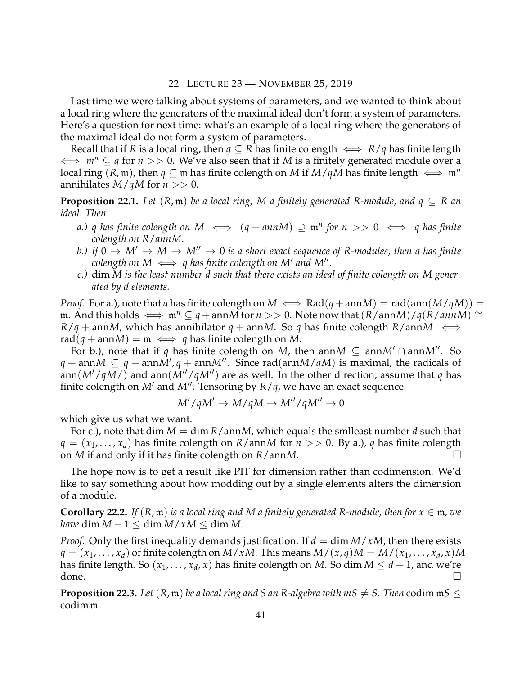#### 22. LECTURE 23 — NOVEMBER 25, 2019

<span id="page-40-0"></span>Last time we were talking about systems of parameters, and we wanted to think about a local ring where the generators of the maximal ideal don't form a system of parameters. Here's a question for next time: what's an example of a local ring where the generators of the maximal ideal do not form a system of parameters.

Recall that if *R* is a local ring, then  $q \subseteq R$  has finite colength  $\iff R/q$  has finite length ⇐⇒ *m<sup>n</sup>* ⊆ *q* for *n* >> 0. We've also seen that if *M* is a finitely generated module over a local ring  $(R, \mathfrak{m})$ , then  $q \subseteq \mathfrak{m}$  has finite colength on *M* if  $M/qM$  has finite length  $\iff \mathfrak{m}^n$ annihilates  $M/qM$  for  $n >> 0$ .

**Proposition 22.1.** *Let*  $(R, \mathfrak{m})$  *be a local ring, M a finitely generated R-module, and*  $q \subseteq R$  *an ideal. Then*

- *a.) q* has finite colength on  $M \iff (q + ann M) \supseteq \mathfrak{m}^n$  for  $n >> 0 \iff q$  has finite *colength on R*/*annM.*
- *b.)* If  $0 \to M' \to M \to M'' \to 0$  is a short exact sequence of R-modules, then q has finite  $\alpha$  *colength on M*  $\iff$  *q has finite colength on M' and M''*.
- *c.)* dim *M is the least number d such that there exists an ideal of finite colength on M generated by d elements.*

*Proof.* For a.), note that *q* has finite colength on  $M \iff \text{Rad}(q + \text{ann}M) = \text{rad}(\text{ann}(M/qM)) =$ m. And this holds  $\iff$  m<sup>n</sup> ⊂ q + ann*M* for *n* >> 0. Note now that  $(R/annM)/q(R/annM) \cong$  $R/q$  + ann*M*, which has annihilator *q* + ann*M*. So *q* has finite colength *R*/ann*M*  $\iff$  $rad(q + annM) = m \iff q$  has finite colength on M.

For b.), note that if *q* has finite colength on *M*, then ann*M*  $\subseteq$  ann*M'* ∩ ann*M''*. So  $q + \text{ann } M \subseteq q + \text{ann } M', q + \text{ann } M''$ . Since rad(ann $M/qM$ ) is maximal, the radicals of ann( $M'/qM$ ) and ann( $M''/qM''$ ) are as well. In the other direction, assume that *q* has finite colength on  $M'$  and  $M''$ . Tensoring by  $R/q$ , we have an exact sequence

$$
M'/qM' \to M/qM \to M''/qM'' \to 0
$$

which give us what we want.

For c.), note that dim *M* = dim *R*/ann*M*, which equals the smlleast number *d* such that  $q = (x_1, \ldots, x_d)$  has finite colength on  $R/$  ann*M* for  $n >> 0$ . By a.), q has finite colength on *M* if and only if it has finite colength on *R*/ann*M*.

The hope now is to get a result like PIT for dimension rather than codimension. We'd like to say something about how modding out by a single elements alters the dimension of a module.

**Corollary 22.2.** *If*  $(R, \mathfrak{m})$  *is a local ring and M a finitely generated R-module, then for*  $x \in \mathfrak{m}$ *, we have* dim  $M - 1 \leq \dim M / xM \leq \dim M$ .

*Proof.* Only the first inequality demands justification. If  $d = \dim M / xM$ , then there exists  $q = (x_1, \ldots, x_d)$  of finite colength on  $M/xM$ . This means  $M/(x, q)M = M/(x_1, \ldots, x_d, x)M$ has finite length. So  $(x_1, \ldots, x_d, x)$  has finite colength on  $M$ . So  $\dim M \leq d+1$ , and we're done.

**Proposition 22.3.** Let  $(R, m)$  be a local ring and S an R-algebra with  $mS \neq S$ . Then codim  $mS$  < codim m*.*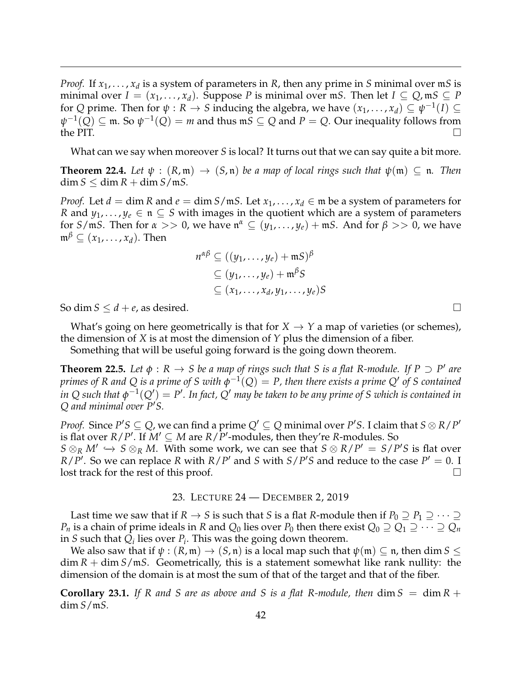*Proof.* If  $x_1, \ldots, x_d$  is a system of parameters in *R*, then any prime in *S* minimal over m*S* is minimal over  $I = (x_1, \ldots, x_d)$ . Suppose P is minimal over  $mS$ . Then let  $I \subseteq Q$ ,  $mS \subseteq P$ for *Q* prime. Then for  $\psi : R \to S$  inducing the algebra, we have  $(x_1, \ldots, x_d) \subseteq \psi^{-1}(I) \subseteq$  $ψ^{-1}(Q) ⊆ m$ . So  $ψ^{-1}(Q) = m$  and thus m $S ⊆ Q$  and  $P = Q$ . Our inequality follows from the PIT.

What can we say when moreover *S* is local? It turns out that we can say quite a bit more.

**Theorem 22.4.** Let  $\psi$  :  $(R, \mathfrak{m}) \rightarrow (S, \mathfrak{n})$  be a map of local rings such that  $\psi(\mathfrak{m}) \subseteq \mathfrak{n}$ . Then  $\dim S \leq \dim R + \dim S / \mathfrak{m} S$ .

*Proof.* Let  $d = \dim R$  and  $e = \dim S/\mathfrak{m}S$ . Let  $x_1, \ldots, x_d \in \mathfrak{m}$  be a system of parameters for *R* and  $y_1, \ldots, y_e \in \mathfrak{n} \subseteq S$  with images in the quotient which are a system of parameters for *S*/m*S*. Then for  $\alpha >> 0$ , we have  $\mathfrak{n}^{\alpha} \subseteq (y_1, \ldots, y_{\ell}) + \mathfrak{m}S$ . And for  $\beta >> 0$ , we have  $\mathfrak{m}^{\beta} \subseteq (x_1, \ldots, x_d)$ . Then

$$
n^{\alpha\beta} \subseteq ((y_1, \dots, y_e) + \mathfrak{m}S)^{\beta}
$$
  
\n
$$
\subseteq (y_1, \dots, y_e) + \mathfrak{m}^{\beta}S
$$
  
\n
$$
\subseteq (x_1, \dots, x_d, y_1, \dots, y_e)S
$$

So dim  $S \le d + e$ , as desired.

What's going on here geometrically is that for  $X \to Y$  a map of varieties (or schemes), the dimension of *X* is at most the dimension of *Y* plus the dimension of a fiber.

Something that will be useful going forward is the going down theorem.

**Theorem 22.5.** Let  $\phi$  :  $R \to S$  be a map of rings such that S is a flat R-module. If  $P \supset P'$  are  $p$ rimes of R and Q is a prime of S with  $\phi^{-1}(Q)=P$ , then there exists a prime  $Q'$  of S contained  $i$ n Q such that  $\phi^{-1}(Q') = P'$ . In fact,  $Q'$  may be taken to be any prime of S which is contained in *Q* and minimal over  $P'S$ .

*Proof.* Since  $P'S \subseteq Q$ , we can find a prime  $Q' \subseteq Q$  minimal over  $P'S$ . I claim that  $S \otimes R/P'$ is flat over  $R/P'$ . If  $M' \subseteq M$  are  $R/P'$ -modules, then they're *R*-modules. So *S* ⊗*R M*<sup> $\prime$ </sup>  $\hookrightarrow$  *S* ⊗*R M*. With some work, we can see that *S* ⊗ *R*/*P*<sup> $\prime$ </sup> = *S*/*P*<sup> $\prime$ </sup>*S* is flat over *R*/*P*<sup> $\prime$ </sup>. So we can replace *R* with *R*/*P*<sup> $\prime$ </sup> and *S* with *S*/*P*<sup> $\prime$ </sup>*S* and reduce to the case *P*<sup> $\prime$ </sup> = 0. I lost track for the rest of this proof.  $\Box$ 

#### 23. LECTURE 24 — DECEMBER 2, 2019

<span id="page-41-0"></span>Last time we saw that if *R*  $\rightarrow$  *S* is such that *S* is a flat *R*-module then if  $P_0 \supseteq P_1 \supseteq \cdots \supseteq$ *P<sub>n</sub>* is a chain of prime ideals in *R* and  $Q_0$  lies over *P*<sub>0</sub> then there exist  $Q_0 \supseteq Q_1 \supseteq \cdots \supseteq Q_n$ in *S* such that  $Q_i$  lies over  $P_i$ . This was the going down theorem.

We also saw that if  $\psi : (R, \mathfrak{m}) \to (S, \mathfrak{n})$  is a local map such that  $\psi(\mathfrak{m}) \subseteq \mathfrak{n}$ , then dim  $S \leq$ dim *R* + dim *S*/m*S*. Geometrically, this is a statement somewhat like rank nullity: the dimension of the domain is at most the sum of that of the target and that of the fiber.

**Corollary 23.1.** If R and S are as above and S is a flat R-module, then  $\dim S = \dim R +$ dim *S*/m*S.*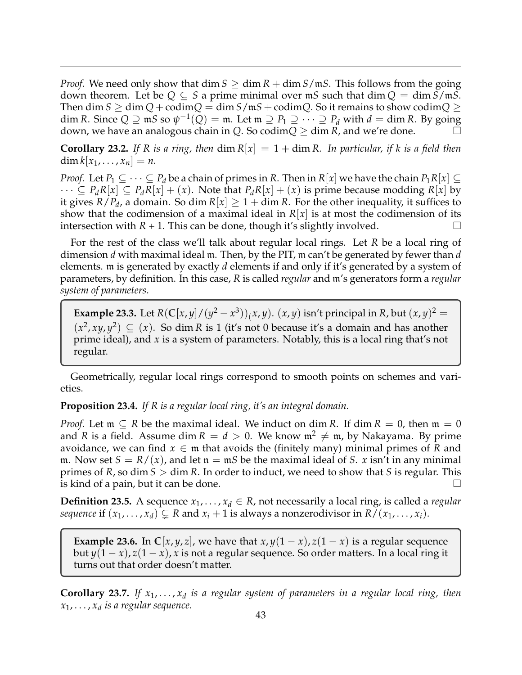*Proof.* We need only show that  $\dim S \geq \dim R + \dim S / \mathfrak{m} S$ . This follows from the going down theorem. Let be  $Q \subseteq S$  a prime minimal over  $mS$  such that  $\dim Q = \dim S/mS$ . Then dim *S*  $\geq$  dim *Q* + codim*Q* = dim *S*/m*S* + codim*Q*. So it remains to show codim*Q*  $\geq$ dim *R*. Since  $Q \supseteq mS$  so  $\psi^{-1}(Q) = m$ . Let  $m \supseteq P_1 \supseteq \cdots \supseteq P_d$  with  $d = \dim R$ . By going down, we have an analogous chain in *Q*. So codim $Q >$  dim *R*, and we're done.

**Corollary 23.2.** If R is a ring, then  $\dim R[x] = 1 + \dim R$ . In particular, if k is a field then  $\dim k[x_1, \ldots, x_n] = n.$ 

*Proof.* Let  $P_1 \subseteq \cdots \subseteq P_d$  be a chain of primes in *R*. Then in  $R[x]$  we have the chain  $P_1R[x] \subseteq$  $\cdots \subseteq P_dR[x] \subseteq P_dR[x] + (x)$ . Note that  $P_dR[x] + (x)$  is prime because modding  $R[x]$  by it gives  $R/P_d$ , a domain. So dim  $R[x] \geq 1 + \dim R$ . For the other inequality, it suffices to show that the codimension of a maximal ideal in  $R[x]$  is at most the codimension of its intersection with  $R + 1$ . This can be done, though it's slightly involved.

For the rest of the class we'll talk about regular local rings. Let *R* be a local ring of dimension *d* with maximal ideal m. Then, by the PIT, m can't be generated by fewer than *d* elements. m is generated by exactly *d* elements if and only if it's generated by a system of parameters, by definition. In this case, *R* is called *regular* and m's generators form a *regular system of parameters*.

**Example 23.3.** Let  $R(C[x, y]/(y^2 - x^3))$  (*x*, *y*). (*x*, *y*) isn't principal in *R*, but  $(x, y)^2 =$  $(x^2, xy, y^2) \subseteq (x)$ . So dim *R* is 1 (it's not 0 because it's a domain and has another prime ideal), and *x* is a system of parameters. Notably, this is a local ring that's not regular.

Geometrically, regular local rings correspond to smooth points on schemes and varieties.

#### **Proposition 23.4.** *If R is a regular local ring, it's an integral domain.*

*Proof.* Let  $m \subseteq R$  be the maximal ideal. We induct on dim *R*. If dim  $R = 0$ , then  $m = 0$ and *R* is a field. Assume dim  $R = d > 0$ . We know  $m^2 \neq m$ , by Nakayama. By prime avoidance, we can find  $x \in \mathfrak{m}$  that avoids the (finitely many) minimal primes of R and m. Now set  $S = R/(x)$ , and let  $n = mS$  be the maximal ideal of *S*. *x* isn't in any minimal primes of *R*, so dim *S* > dim *R*. In order to induct, we need to show that *S* is regular. This is kind of a pain, but it can be done.  $\Box$ 

**Definition 23.5.** A sequence  $x_1, \ldots, x_d \in R$ , not necessarily a local ring, is called a *regular sequence* if  $(x_1, \ldots, x_d) \subsetneq R$  and  $x_i + 1$  is always a nonzerodivisor in  $R/(x_1, \ldots, x_i)$ .

**Example 23.6.** In  $\mathbb{C}[x, y, z]$ , we have that  $x, y(1-x), z(1-x)$  is a regular sequence but  $y(1-x)$ ,  $z(1-x)$ , x is not a regular sequence. So order matters. In a local ring it turns out that order doesn't matter.

**Corollary 23.7.** If  $x_1, \ldots, x_d$  is a regular system of parameters in a regular local ring, then *x*1, . . . , *x<sup>d</sup> is a regular sequence.*